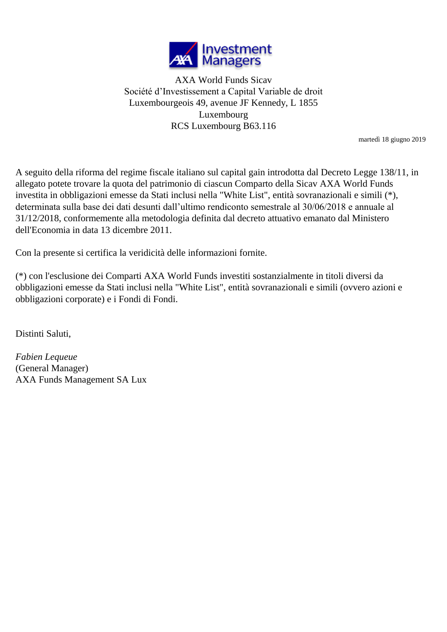

AXA World Funds Sicav Société d'Investissement a Capital Variable de droit Luxembourgeois 49, avenue JF Kennedy, L 1855 Luxembourg RCS Luxembourg B63.116

martedì 18 giugno 2019

A seguito della riforma del regime fiscale italiano sul capital gain introdotta dal Decreto Legge 138/11, in allegato potete trovare la quota del patrimonio di ciascun Comparto della Sicav AXA World Funds investita in obbligazioni emesse da Stati inclusi nella "White List", entità sovranazionali e simili (\*), determinata sulla base dei dati desunti dall'ultimo rendiconto semestrale al 30/06/2018 e annuale al 31/12/2018, conformemente alla metodologia definita dal decreto attuativo emanato dal Ministero dell'Economia in data 13 dicembre 2011.

Con la presente si certifica la veridicità delle informazioni fornite.

(\*) con l'esclusione dei Comparti AXA World Funds investiti sostanzialmente in titoli diversi da obbligazioni emesse da Stati inclusi nella "White List", entità sovranazionali e simili (ovvero azioni e obbligazioni corporate) e i Fondi di Fondi.

Distinti Saluti,

*Fabien Lequeue* (General Manager) AXA Funds Management SA Lux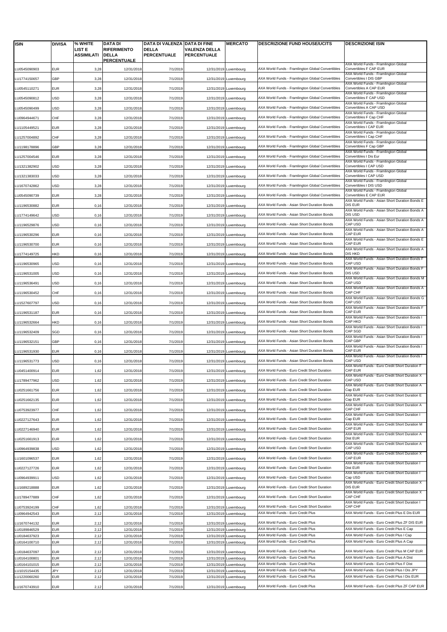| <b>ISIN</b>                  | <b>DIVISA</b>            | % WHITE                     | DATA DI                            | DATA DI VALENZA DATA DI FINE       |                                            | <b>MERCATO</b>           | <b>DESCRIZIONE FUND HOUSE/UCITS</b>                                      | <b>DESCRIZIONE ISIN</b>                                                                   |
|------------------------------|--------------------------|-----------------------------|------------------------------------|------------------------------------|--------------------------------------------|--------------------------|--------------------------------------------------------------------------|-------------------------------------------------------------------------------------------|
|                              |                          | LIST E<br><b>ASSIMILATI</b> | <b>RIFERIMENTO</b><br><b>DELLA</b> | <b>DELLA</b><br><b>PERCENTUALE</b> | <b>VALENZA DELLA</b><br><b>PERCENTUALE</b> |                          |                                                                          |                                                                                           |
|                              |                          |                             | <b>PERCENTUALE</b>                 |                                    |                                            |                          |                                                                          |                                                                                           |
| LU0545090903                 | <b>EUR</b>               | 3,28                        | 12/31/2018                         | 7/1/2019                           |                                            | 12/31/2019 Luxembourg    | AXA World Funds - Framlington Global Convertibles                        | AXA World Funds - Framlington Global<br>Convertibles F CAP EUR                            |
| LU1774150657                 | GBP                      | 3,28                        | 12/31/2018                         | 7/1/2019                           |                                            | 12/31/2019 Luxembourg    | AXA World Funds - Framlington Global Convertibles                        | AXA World Funds - Framlington Global<br>Convertibles I DIS GBP                            |
| LU0545110271                 | EUR                      | 3,28                        | 12/31/2018                         | 7/1/2019                           |                                            | 12/31/2019 Luxembourg    | AXA World Funds - Framlington Global Convertibles                        | AXA World Funds - Framlington Global<br>Convertibles A CAP EUR                            |
| LU0545090812                 | USD                      | 3,28                        | 12/31/2018                         | 7/1/2019                           |                                            | 12/31/2019 Luxembourg    | AXA World Funds - Framlington Global Convertibles                        | AXA World Funds - Framlington Global<br>Convertibles F CAP USD                            |
|                              |                          |                             |                                    |                                    |                                            |                          |                                                                          | AXA World Funds - Framlington Global<br>Convertibles A CAP USD                            |
| LU0545090499                 | USD                      | 3,28                        | 12/31/2018                         | 7/1/2019                           | 12/31/2019                                 | Luxembourg               | AXA World Funds - Framlington Global Convertibles                        | AXA World Funds - Framlington Global                                                      |
| LU0964944671                 | CHF                      | 3,28                        | 12/31/2018                         | 7/1/2019                           |                                            | 12/31/2019 Luxembourg    | AXA World Funds - Framlington Global Convertibles                        | Convertibles F Cap CHF<br>AXA World Funds - Framlington Global                            |
| LU1105449521                 | <b>EUR</b>               | 3,28                        | 12/31/2018                         | 7/1/2019                           |                                            | 12/31/2019 Luxembourg    | AXA World Funds - Framlington Global Convertibles                        | Convertibles I CAP EUR<br>AXA World Funds - Framlington Global                            |
| LU1257004892                 | CHF                      | 3,28                        | 12/31/2018                         | 7/1/2019                           |                                            | 12/31/2019 Luxembourg    | AXA World Funds - Framlington Global Convertibles                        | Convertibles I Cap CHF<br>AXA World Funds - Framlington Global                            |
| LU1198178896                 | GBP                      | 3,28                        | 12/31/2018                         | 7/1/2019                           |                                            | 12/31/2019 Luxembourg    | AXA World Funds - Framlington Global Convertibles                        | Convertibles F Cap GBP<br>AXA World Funds - Framlington Global                            |
| LU1257004546                 | EUR                      | 3,28                        | 12/31/2018                         | 7/1/2019                           |                                            | 12/31/2019 Luxembourg    | AXA World Funds - Framlington Global Convertibles                        | Convertibles I Dis Eur                                                                    |
| LU1321382902                 | USD                      | 3,28                        | 12/31/2018                         | 7/1/2019                           | 12/31/2019                                 | Luxembourg               | AXA World Funds - Framlington Global Convertibles                        | AXA World Funds - Framlington Global<br>Convertibles I CAP USD                            |
| LU1321383033                 | USD                      | 3,28                        | 12/31/2018                         | 7/1/2019                           | 12/31/2019                                 | Luxembourg               | AXA World Funds - Framlington Global Convertibles                        | AXA World Funds - Framlington Global<br>Convertibles I CAP USD                            |
| LU1670742862                 | USD                      | 3,28                        | 12/31/2018                         | 7/1/2019                           |                                            | 12/31/2019 Luxembourg    | AXA World Funds - Framlington Global Convertibles                        | AXA World Funds - Framlington Global<br>Convertibles I DIS USD                            |
| LU0545090739                 | EUR                      | 3,28                        | 12/31/2018                         | 7/1/2019                           |                                            | 12/31/2019 Luxembourg    | AXA World Funds - Framlington Global Convertibles                        | AXA World Funds - Framlington Global<br>Convertibles E CAP EUR                            |
| LU1196530882                 | EUR                      | 0, 16                       | 12/31/2018                         | 7/1/2019                           |                                            | 12/31/2019 Luxembourg    | AXA World Funds - Asian Short Duration Bonds                             | AXA World Funds - Asian Short Duration Bonds E<br>DIS EUR                                 |
| LU1774149642                 |                          |                             |                                    |                                    |                                            |                          | AXA World Funds - Asian Short Duration Bonds                             | AXA World Funds - Asian Short Duration Bonds A<br>DIS USD                                 |
|                              | USD                      | 0, 16                       | 12/31/2018                         | 7/1/2019                           |                                            | 12/31/2019 Luxembourg    |                                                                          | AXA World Funds - Asian Short Duration Bonds A                                            |
| LU1196529876                 | USD                      | 0,16                        | 12/31/2018                         | 7/1/2019                           |                                            | 12/31/2019 Luxembourg    | AXA World Funds - Asian Short Duration Bonds                             | CAP USD<br>AXA World Funds - Asian Short Duration Bonds A                                 |
| LU1196530296                 | <b>EUR</b>               | 0, 16                       | 12/31/2018                         | 7/1/2019                           |                                            | 12/31/2019 Luxembourg    | AXA World Funds - Asian Short Duration Bonds                             | CAP EUR<br>AXA World Funds - Asian Short Duration Bonds E                                 |
| LU1196530700                 | EUR                      | 0, 16                       | 12/31/2018                         | 7/1/2019                           |                                            | 12/31/2019 Luxembourg    | AXA World Funds - Asian Short Duration Bonds                             | CAP EUR<br>AXA World Funds - Asian Short Duration Bonds A                                 |
| LU1774149725                 | HKD                      | 0, 16                       | 12/31/2018                         | 7/1/2019                           |                                            | 12/31/2019 Luxembourg    | AXA World Funds - Asian Short Duration Bonds                             | DIS HKD<br>AXA World Funds - Asian Short Duration Bonds F                                 |
| LU1196530965                 | USD                      | 0, 16                       | 12/31/2018                         | 7/1/2019                           |                                            | 12/31/2019 Luxembourg    | AXA World Funds - Asian Short Duration Bonds                             | CAP USD                                                                                   |
| LU1196531005                 | JSD                      | 0, 16                       | 12/31/2018                         | 7/1/2019                           |                                            | 12/31/2019 Luxembourg    | AXA World Funds - Asian Short Duration Bonds                             | AXA World Funds - Asian Short Duration Bonds F<br>DIS USD                                 |
| LU1196536491                 | USD                      | 0, 16                       | 12/31/2018                         | 7/1/2019                           |                                            | 12/31/2019 Luxembourg    | AXA World Funds - Asian Short Duration Bonds                             | AXA World Funds - Asian Short Duration Bonds M<br>CAP USD                                 |
| LU1196530452                 | CHF                      | 0, 16                       | 12/31/2018                         | 7/1/2019                           | 12/31/2019                                 | Luxembourg               | AXA World Funds - Asian Short Duration Bonds                             | AXA World Funds - Asian Short Duration Bonds A<br>CAP CHF                                 |
| LU1527607797                 | USD                      | 0, 16                       | 12/31/2018                         | 7/1/2019                           |                                            | 12/31/2019 Luxembourg    | AXA World Funds - Asian Short Duration Bonds                             | AXA World Funds - Asian Short Duration Bonds G<br>CAP USD                                 |
|                              |                          |                             |                                    |                                    |                                            |                          | AXA World Funds - Asian Short Duration Bonds                             | AXA World Funds - Asian Short Duration Bonds F<br>CAP EUR                                 |
| LU1196531187                 | EUR                      | 0, 16                       | 12/31/2018                         | 7/1/2019                           |                                            | 12/31/2019 Luxembourg    |                                                                          | AXA World Funds - Asian Short Duration Bonds I                                            |
| LU1196532664                 | HKD                      | 0, 16                       | 12/31/2018                         | 7/1/2019                           |                                            | 12/31/2019 Luxembourg    | AXA World Funds - Asian Short Duration Bonds                             | <b>CAP HKD</b><br>AXA World Funds - Asian Short Duration Bonds I                          |
| LU1196532409                 | SGD                      | 0, 16                       | 12/31/2018                         | 7/1/2019                           |                                            | 12/31/2019 Luxembourg    | AXA World Funds - Asian Short Duration Bonds                             | CAP SGD<br>AXA World Funds - Asian Short Duration Bonds I                                 |
| LU1196532151                 | GBP                      | 0, 16                       | 12/31/2018                         | 7/1/2019                           |                                            | 12/31/2019 Luxembourg    | AXA World Funds - Asian Short Duration Bonds                             | CAP GBP<br>AXA World Funds - Asian Short Duration Bonds I                                 |
| LU1196531930                 | EUR                      | 0, 16                       | 12/31/2018                         | 7/1/2019                           | 12/31/2019                                 | Luxembourg               | AXA World Funds - Asian Short Duration Bonds                             | <b>CAP EUR</b><br>AXA World Funds - Asian Short Duration Bonds I                          |
| LU1196531773                 | USD                      | 0, 16                       | 12/31/2018                         | 7/1/2019                           |                                            | 12/31/2019 Luxembourg    | AXA World Funds - Asian Short Duration Bonds                             | CAP USD<br>AXA World Funds - Euro Credit Short Duration F                                 |
| LU0451400914                 | <b>EUR</b>               | 1,62                        | 12/31/2018                         | 7/1/2019                           |                                            | 12/31/2019 Luxembourg    | AXA World Funds - Euro Credit Short Duration                             | <b>CAP EUR</b>                                                                            |
| LU1789477962                 | <b>USD</b>               | 1,62                        | 12/31/2018                         | 7/1/2019                           |                                            | 12/31/2019 Luxembourg    | AXA World Funds - Euro Credit Short Duration                             | CAP USD                                                                                   |
| LU0251661756                 | EUR                      | 1,62                        | 12/31/2018                         | 7/1/2019                           |                                            | 12/31/2019 Luxembourg    | AXA World Funds - Euro Credit Short Duration                             | AXA World Funds - Euro Credit Short Duration A<br>Cap EUR                                 |
| LU0251662135                 | EUR                      | 1,62                        | 12/31/2018                         | 7/1/2019                           |                                            | 12/31/2019 Luxembourg    | AXA World Funds - Euro Credit Short Duration                             | AXA World Funds - Euro Credit Short Duration E<br>Cap EUR                                 |
| LU0753923977                 | CHF                      | 1,62                        | 12/31/2018                         | 7/1/2019                           | 12/31/2019                                 | Luxembourg               | AXA World Funds - Euro Credit Short Duration                             | AXA World Funds - Euro Credit Short Duration A<br><b>CAP CHF</b>                          |
| LU0227127643                 | <b>EUR</b>               |                             | 12/31/2018                         | 7/1/2019                           |                                            | 12/31/2019 Luxembourg    | AXA World Funds - Euro Credit Short Duration                             | AXA World Funds - Euro Credit Short Duration I<br>Cap EUR                                 |
|                              |                          | 1,62                        |                                    |                                    |                                            |                          |                                                                          | AXA World Funds - Euro Credit Short Duration M                                            |
| LU0227146940                 | <b>EUR</b>               | 1,62                        | 12/31/2018                         | 7/1/2019                           |                                            | 12/31/2019 Luxembourg    | AXA World Funds - Euro Credit Short Duration                             | CAP EUR<br>AXA World Funds - Euro Credit Short Duration A                                 |
| LU0251661913                 | EUR                      | 1,62                        | 12/31/2018                         | 7/1/2019                           |                                            | 12/31/2019 Luxembourg    | AXA World Funds - Euro Credit Short Duration                             | Dist EUR<br>AXA World Funds - Euro Credit Short Duration A                                |
| LU0964939838                 | USD                      | 1,62                        | 12/31/2018                         | 7/1/2019                           |                                            | 12/31/2019 Luxembourg    | AXA World Funds - Euro Credit Short Duration                             | CAP USD<br>AXA World Funds - Euro Credit Short Duration X                                 |
| LU1601096537                 | EUR                      | 1,62                        | 12/31/2018                         | 7/1/2019                           |                                            | 12/31/2019 Luxembourg    | AXA World Funds - Euro Credit Short Duration                             | CAP EUR<br>AXA World Funds - Euro Credit Short Duration I                                 |
| LU0227127726                 | EUR                      | 1,62                        | 12/31/2018                         | 7/1/2019                           |                                            | 12/31/2019 Luxembourg    | AXA World Funds - Euro Credit Short Duration                             | Dist EUR<br>AXA World Funds - Euro Credit Short Duration I                                |
| LU0964939911                 | USD                      | 1,62                        | 12/31/2018                         | 7/1/2019                           | 12/31/2019                                 | Luxembourg               | AXA World Funds - Euro Credit Short Duration                             | Cap USD                                                                                   |
| LU1689218888                 | EUR                      | 1,62                        | 12/31/2018                         | 7/1/2019                           |                                            | 12/31/2019 Luxembourg    | AXA World Funds - Euro Credit Short Duration                             | AXA World Funds - Euro Credit Short Duration X<br>DIS EUR                                 |
| LU1789477889                 | CHF                      | 1,62                        | 12/31/2018                         | 7/1/2019                           |                                            | 12/31/2019 Luxembourg    | AXA World Funds - Euro Credit Short Duration                             | AXA World Funds - Euro Credit Short Duration X<br>CAP CHF                                 |
| LU0753924199                 | CHF                      | 1,62                        | 12/31/2018                         | 7/1/2019                           |                                            | 12/31/2019 Luxembourg    | AXA World Funds - Euro Credit Short Duration                             | AXA World Funds - Euro Credit Short Duration I<br><b>CAP CHF</b>                          |
| LU0964942543                 | <b>EUR</b>               | 2,12                        | 12/31/2018                         | 7/1/2019                           | 12/31/2019                                 | Luxembourg               | AXA World Funds - Euro Credit Plus                                       | AXA World Funds - Euro Credit Plus E Dis EUR                                              |
| LU1670744132                 | EUR                      | 2,12                        | 12/31/2018                         | 7/1/2019                           | 12/31/2019                                 | Luxembourg               | AXA World Funds - Euro Credit Plus                                       | AXA World Funds - Euro Credit Plus ZF DIS EUR                                             |
| LU0189846529                 | EUR                      | 2,12                        | 12/31/2018                         | 7/1/2019                           | 12/31/2019                                 | Luxembourg               | AXA World Funds - Euro Credit Plus<br>AXA World Funds - Euro Credit Plus | AXA World Funds - Euro Credit Plus E Cap<br>AXA World Funds - Euro Credit Plus I Cap      |
| LU0184637923<br>LU0164100710 | <b>EUR</b><br><b>EUR</b> | 2,12<br>2,12                | 12/31/2018<br>12/31/2018           | 7/1/2019<br>7/1/2019               | 12/31/2019<br>12/31/2019                   | Luxembourg<br>Luxembourg | AXA World Funds - Euro Credit Plus                                       | AXA World Funds - Euro Credit Plus A Cap                                                  |
| LU0184637097                 | EUR                      | 2,12                        | 12/31/2018                         | 7/1/2019                           | 12/31/2019                                 | Luxembourg               | AXA World Funds - Euro Credit Plus                                       | AXA World Funds - Euro Credit Plus M CAP EUR                                              |
| LU0164100801                 | <b>EUR</b>               | 2,12                        | 12/31/2018                         | 7/1/2019                           | 12/31/2019                                 | Luxembourg               | AXA World Funds - Euro Credit Plus                                       | AXA World Funds - Euro Credit Plus A Dist                                                 |
| LU0164101015                 | EUR                      | 2,12                        | 12/31/2018                         | 7/1/2019                           | 12/31/2019                                 | Luxembourg               | AXA World Funds - Euro Credit Plus<br>AXA World Funds - Euro Credit Plus | AXA World Funds - Euro Credit Plus F Dist<br>AXA World Funds - Euro Credit Plus I Dis JPY |
| LU1015154435<br>LU1220060260 | JPY<br><b>EUR</b>        | 2,12<br>2,12                | 12/31/2018<br>12/31/2018           | 7/1/2019<br>7/1/2019               | 12/31/2019<br>12/31/2019                   | Luxembourg<br>Luxembourg | AXA World Funds - Euro Credit Plus                                       | AXA World Funds - Euro Credit Plus I Dis EUR                                              |
| LU1670743910                 | EUR                      | 2,12                        | 12/31/2018                         | 7/1/2019                           |                                            | 12/31/2019 Luxembourg    | AXA World Funds - Euro Credit Plus                                       | AXA World Funds - Euro Credit Plus ZF CAP EUR                                             |
|                              |                          |                             |                                    |                                    |                                            |                          |                                                                          |                                                                                           |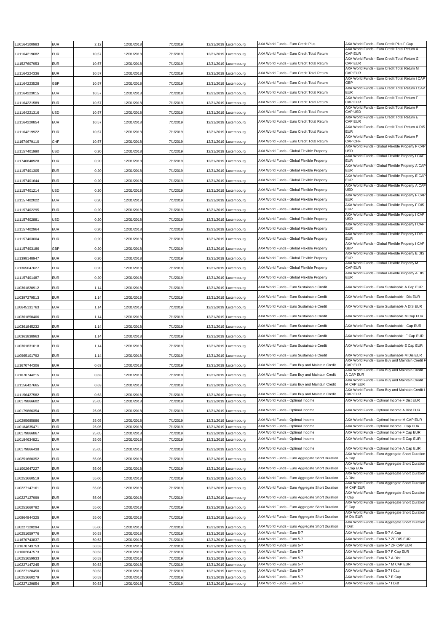| LU0164100983                 | <b>EUR</b>               | 2,12           | 12/31/2018               | 7/1/2019             |            | 12/31/2019 Luxembourg                          | AXA World Funds - Euro Credit Plus                                   | AXA World Funds - Euro Credit Plus F Cap                                                 |
|------------------------------|--------------------------|----------------|--------------------------|----------------------|------------|------------------------------------------------|----------------------------------------------------------------------|------------------------------------------------------------------------------------------|
|                              |                          |                |                          |                      |            |                                                | AXA World Funds - Euro Credit Total Return                           | AXA World Funds - Euro Credit Total Return A<br>CAP EUR                                  |
| LU1164219682                 | EUR                      | 10,57          | 12/31/2018               | 7/1/2019             |            | 12/31/2019 Luxembourg                          |                                                                      | AXA World Funds - Euro Credit Total Return G                                             |
| LU1527607953                 | <b>EUR</b>               | 10,57          | 12/31/2018               | 7/1/2019             |            | 12/31/2019 Luxembourg                          | AXA World Funds - Euro Credit Total Return                           | CAP EUR                                                                                  |
| LU1164224336                 | EUR                      | 10,57          | 12/31/2018               | 7/1/2019             |            | 12/31/2019 Luxembourg                          | AXA World Funds - Euro Credit Total Return                           | AXA World Funds - Euro Credit Total Return M<br>CAP EUR                                  |
| LU1164223528                 | GBP                      | 10,57          | 12/31/2018               | 7/1/2019             |            | 12/31/2019 Luxembourg                          | AXA World Funds - Euro Credit Total Return                           | AXA World Funds - Euro Credit Total Return I CAP<br>GBP                                  |
|                              |                          |                |                          |                      |            |                                                |                                                                      | AXA World Funds - Euro Credit Total Return I CAP                                         |
| LU1164223015                 | EUR                      | 10,57          | 12/31/2018               | 7/1/2019             |            | 12/31/2019 Luxembourg                          | AXA World Funds - Euro Credit Total Return                           | EUR<br>AXA World Funds - Euro Credit Total Return F                                      |
| LU1164221589                 | EUR                      | 10,57          | 12/31/2018               | 7/1/2019             |            | 12/31/2019 Luxembourg                          | AXA World Funds - Euro Credit Total Return                           | CAP EUR                                                                                  |
| LU1164221316                 | USD                      | 10,57          | 12/31/2018               | 7/1/2019             |            | 12/31/2019 Luxembourg                          | AXA World Funds - Euro Credit Total Return                           | AXA World Funds - Euro Credit Total Return F<br>CAP USD                                  |
| U1164220854                  | <b>EUR</b>               | 10,57          | 12/31/2018               | 7/1/2019             |            | 12/31/2019 Luxembourg                          | AXA World Funds - Euro Credit Total Return                           | AXA World Funds - Euro Credit Total Return E<br>CAP EUR                                  |
|                              |                          |                |                          |                      |            |                                                |                                                                      | AXA World Funds - Euro Credit Total Return A DIS                                         |
| LU1164219922                 | EUR                      | 10,57          | 12/31/2018               | 7/1/2019             |            | 12/31/2019 Luxembourg                          | AXA World Funds - Euro Credit Total Return                           | <b>EUR</b><br>AXA World Funds - Euro Credit Total Return F                               |
| LU1674679110                 | CHF                      | 10,57          | 12/31/2018               | 7/1/2019             |            | 12/31/2019 Luxembourg                          | AXA World Funds - Euro Credit Total Return                           | CAP CHF                                                                                  |
| LU1157401990                 | USD                      | 0,20           | 12/31/2018               | 7/1/2019             |            | 12/31/2019 Luxembourg                          | AXA World Funds - Global Flexible Property                           | AXA World Funds - Global Flexible Property F CAP<br>USD                                  |
| LU1740840928                 | EUR                      | 0,20           | 12/31/2018               | 7/1/2019             |            | 12/31/2019 Luxembourg                          | AXA World Funds - Global Flexible Property                           | AXA World Funds - Global Flexible Property I CAP<br><b>EUR</b>                           |
|                              |                          |                |                          |                      |            |                                                |                                                                      | AXA World Funds - Global Flexible Property A CAP                                         |
| LU1157401305                 | EUR                      | 0,20           | 12/31/2018               | 7/1/2019             |            | 12/31/2019 Luxembourg                          | AXA World Funds - Global Flexible Property                           | <b>EUR</b><br>AXA World Funds - Global Flexible Property E CAP                           |
| LU1157401644                 | <b>EUR</b>               | 0,20           | 12/31/2018               | 7/1/2019             |            | 12/31/2019 Luxembourg                          | AXA World Funds - Global Flexible Property                           | EUR<br>AXA World Funds - Global Flexible Property A CAP                                  |
| LU1157401214                 | USD                      | 0,20           | 12/31/2018               | 7/1/2019             |            | 12/31/2019 Luxembourg                          | AXA World Funds - Global Flexible Property                           | USD                                                                                      |
| LU1157402022                 | <b>EUR</b>               | 0,20           | 12/31/2018               | 7/1/2019             |            | 12/31/2019 Luxembourg                          | AXA World Funds - Global Flexible Property                           | AXA World Funds - Global Flexible Property F CAP<br>EUR                                  |
|                              |                          |                |                          |                      |            |                                                |                                                                      | AXA World Funds - Global Flexible Property F DIS                                         |
| LU1157402295                 | <b>EUR</b>               | 0,20           | 12/31/2018               | 7/1/2019             |            | 12/31/2019 Luxembourg                          | AXA World Funds - Global Flexible Property                           | EUR<br>AXA World Funds - Global Flexible Property I CAP                                  |
| LU1157402881                 | USD                      | 0,20           | 12/31/2018               | 7/1/2019             |            | 12/31/2019 Luxembourg                          | AXA World Funds - Global Flexible Property                           | <b>USD</b><br>AXA World Funds - Global Flexible Property I CAP                           |
| LU1157402964                 | EUR                      | 0,20           | 12/31/2018               | 7/1/2019             |            | 12/31/2019 Luxembourg                          | AXA World Funds - Global Flexible Property                           | EUR                                                                                      |
| LU1157403004                 | EUR                      | 0,20           | 12/31/2018               | 7/1/2019             |            | 12/31/2019 Luxembourg                          | AXA World Funds - Global Flexible Property                           | AXA World Funds - Global Flexible Property I DIS<br>EUR                                  |
|                              |                          |                |                          |                      |            |                                                |                                                                      | AXA World Funds - Global Flexible Property I CAP                                         |
| LU1157403186                 | GBP                      | 0,20           | 12/31/2018               | 7/1/2019             |            | 12/31/2019 Luxembourg                          | AXA World Funds - Global Flexible Property                           | GBP<br>AXA World Funds - Global Flexible Property E DIS                                  |
| LU1398148947                 | EUR                      | 0,20           | 12/31/2018               | 7/1/2019             |            | 12/31/2019 Luxembourg                          | AXA World Funds - Global Flexible Property                           | EUR                                                                                      |
| LU1365047627                 | EUR                      | 0,20           | 12/31/2018               | 7/1/2019             |            | 12/31/2019 Luxembourg                          | AXA World Funds - Global Flexible Property                           | AXA World Funds - Global Flexible Property M<br>CAP EUR                                  |
| LU1157401487                 | <b>EUR</b>               | 0,20           | 12/31/2018               | 7/1/2019             |            | 12/31/2019 Luxembourg                          | AXA World Funds - Global Flexible Property                           | AXA World Funds - Global Flexible Property A DIS<br>EUR                                  |
|                              |                          |                |                          |                      |            |                                                |                                                                      |                                                                                          |
| LU0361820912                 | EUR                      | 1,14           | 12/31/2018               | 7/1/2019             |            | 12/31/2019 Luxembourg                          | AXA World Funds - Euro Sustainable Credit                            | AXA World Funds - Euro Sustainable A Cap EUR                                             |
| LU0397279513                 | <b>EUR</b>               | 1,14           | 12/31/2018               | 7/1/2019             |            | 12/31/2019 Luxembourg                          | AXA World Funds - Euro Sustainable Credit                            | AXA World Funds - Euro Sustainable I Dis EUR                                             |
| LU0645131763                 | <b>EUR</b>               | 1,14           | 12/31/2018               | 7/1/2019             |            | 12/31/2019 Luxembourg                          | AXA World Funds - Euro Sustainable Credit                            | AXA World Funds - Euro Sustainable A DIS EUR                                             |
| LU0361850406                 | EUR                      | 1,14           | 12/31/2018               | 7/1/2019             |            | 12/31/2019 Luxembourg                          | AXA World Funds - Euro Sustainable Credit                            | AXA World Funds - Euro Sustainable M Cap EUR                                             |
|                              |                          |                |                          |                      |            |                                                |                                                                      |                                                                                          |
| LU0361845232                 | EUR                      | 1,14           | 12/31/2018               | 7/1/2019             |            | 12/31/2019 Luxembourg                          | AXA World Funds - Euro Sustainable Credit                            | AXA World Funds - Euro Sustainable I Cap EUR                                             |
| LU0361838963                 | EUR                      | 1,14           | 12/31/2018               | 7/1/2019             |            | 12/31/2019 Luxembourg                          | AXA World Funds - Euro Sustainable Credit                            | AXA World Funds - Euro Sustainable F Cap EUR                                             |
| LU0361831018                 | EUR                      | 1,14           | 12/31/2018               | 7/1/2019             |            | 12/31/2019 Luxembourg                          | AXA World Funds - Euro Sustainable Credit                            | AXA World Funds - Euro Sustainable E Cap EUR                                             |
| LU0965101792                 | EUR                      | 1,14           | 12/31/2018               | 7/1/2019             |            | 12/31/2019 Luxembourg                          | AXA World Funds - Euro Sustainable Credit                            | AXA World Funds - Euro Sustainable M Dis EUR                                             |
|                              |                          |                |                          |                      |            |                                                |                                                                      | AXA World Funds - Euro Buy and Maintain Credit F                                         |
| LU1670744306                 | <b>EUR</b>               | 0,63           | 12/31/2018               | 7/1/2019             |            | 12/31/2019 Luxembourg                          | AXA World Funds - Euro Buy and Maintain Credit                       | CAP EUR<br>AXA World Funds - Euro Buy and Maintain Credit                                |
| LU1670744215                 | <b>EUR</b>               | 0.63           | 12/31/2018               | 7/1/2019             |            | 12/31/2019 Luxembourg                          | AXA World Funds - Euro Buy and Maintain Credit                       | A CAP EUR<br>AXA World Funds - Euro Buy and Maintain Credit                              |
| LU1156427665                 | <b>EUR</b>               | 0,63           | 12/31/2018               | 7/1/2019             |            | 12/31/2019 Luxembourg                          | AXA World Funds - Euro Buy and Maintain Credit                       | M CAP EUR                                                                                |
| LU1156427582                 | <b>EUR</b>               | 0.63           | 12/31/2018               | 7/1/2019             |            | 12/31/2019 Luxembourg                          | AXA World Funds - Euro Buy and Maintain Credit                       | AXA World Funds - Euro Buy and Maintain Credit I<br>CAP EUR                              |
| LU0179866602                 | <b>EUR</b>               | 25,05          | 12/31/2018               | 7/1/2019             |            | 12/31/2019 Luxembourg                          | AXA World Funds - Optimal Income                                     | AXA World Funds - Optimal Income F Dist EUR                                              |
| LU0179866354                 | <b>EUR</b>               | 25,05          | 12/31/2018               | 7/1/2019             |            | 12/31/2019 Luxembourg                          | AXA World Funds - Optimal Income                                     | AXA World Funds - Optimal Income A Dist EUR                                              |
|                              |                          |                |                          |                      |            |                                                |                                                                      |                                                                                          |
| LU0295685886<br>LU0184635471 | <b>EUR</b><br><b>EUR</b> | 25,05<br>25,05 | 12/31/2018<br>12/31/2018 | 7/1/2019<br>7/1/2019 |            | 12/31/2019 Luxembourg<br>12/31/2019 Luxembourg | AXA World Funds - Optimal Income<br>AXA World Funds - Optimal Income | AXA World Funds - Optimal Income M CAP EUR<br>AXA World Funds - Optimal Income I Cap EUR |
| LU0179866867                 | <b>EUR</b>               | 25,05          | 12/31/2018               | 7/1/2019             |            | 12/31/2019 Luxembourg                          | AXA World Funds - Optimal Income                                     | AXA World Funds - Optimal Income F Cap EUR                                               |
| LU0184634821                 | <b>EUR</b>               | 25,05          | 12/31/2018               | 7/1/2019             |            | 12/31/2019 Luxembourg                          | AXA World Funds - Optimal Income                                     | AXA World Funds - Optimal Income E Cap EUR                                               |
| LU0179866438                 | <b>EUR</b>               | 25,05          | 12/31/2018               | 7/1/2019             |            | 12/31/2019 Luxembourg                          | AXA World Funds - Optimal Income                                     | AXA World Funds - Optimal Income A Cap EUR                                               |
|                              |                          |                | 12/31/2018               |                      |            | 12/31/2019 Luxembourg                          | AXA World Funds - Euro Aggregate Short Duration                      | AXA World Funds - Euro Aggregate Short Duration<br>A Cap                                 |
| LU0251660352                 | EUR                      | 55,06          |                          | 7/1/2019             |            |                                                |                                                                      | AXA World Funds - Euro Aggregate Short Duration                                          |
| LU1002647227                 | <b>EUR</b>               | 55,06          | 12/31/2018               | 7/1/2019             |            | 12/31/2019 Luxembourg                          | AXA World Funds - Euro Aggregate Short Duration                      | F Cap EUR<br>AXA World Funds - Euro Aggregate Short Duration                             |
| LU0251660519                 | <b>EUR</b>               | 55,06          | 12/31/2018               | 7/1/2019             |            | 12/31/2019 Luxembourg                          | AXA World Funds - Euro Aggregate Short Duration                      | A Dist                                                                                   |
| LU0227147161                 | <b>EUR</b>               | 55,06          | 12/31/2018               | 7/1/2019             |            | 12/31/2019 Luxembourg                          | AXA World Funds - Euro Aggregate Short Duration                      | AXA World Funds - Euro Aggregate Short Duration<br>M CAP EUR                             |
|                              |                          |                |                          |                      |            |                                                | AXA World Funds - Euro Aggregate Short Duration                      | AXA World Funds - Euro Aggregate Short Duration<br>I Cap                                 |
| LU0227127999                 | <b>EUR</b>               | 55,06          | 12/31/2018               | 7/1/2019             |            | 12/31/2019 Luxembourg                          |                                                                      | AXA World Funds - Euro Aggregate Short Duration                                          |
| LU0251660782                 | <b>EUR</b>               | 55,06          | 12/31/2018               | 7/1/2019             |            | 12/31/2019 Luxembourg                          | AXA World Funds - Euro Aggregate Short Duration                      | E Cap<br>AXA World Funds - Euro Aggregate Short Duration                                 |
| LU0964944325                 | EUR                      | 55,06          | 12/31/2018               | 7/1/2019             |            | 12/31/2019 Luxembourg                          | AXA World Funds - Euro Aggregate Short Duration                      | M Dis EUR                                                                                |
| LU0227128294                 | <b>EUR</b>               | 55,06          | 12/31/2018               | 7/1/2019             |            | 12/31/2019 Luxembourg                          | AXA World Funds - Euro Aggregate Short Duration                      | AXA World Funds - Euro Aggregate Short Duration<br>I Dist                                |
| LU0251659776                 | <b>EUR</b>               | 50,53          | 12/31/2018               | 7/1/2019             |            | 12/31/2019 Luxembourg                          | AXA World Funds - Euro 5-7                                           | AXA World Funds - Euro 5-7 A Cap                                                         |
| LU1670743837                 | <b>EUR</b>               | 50,53          | 12/31/2018               | 7/1/2019             |            | 12/31/2019 Luxembourg                          | AXA World Funds - Euro 5-7                                           | AXA World Funds - Euro 5-7 ZF DIS EUR                                                    |
| LU1670743753                 | <b>EUR</b>               | 50,53          | 12/31/2018               | 7/1/2019             |            | 12/31/2019 Luxembourg                          | AXA World Funds - Euro 5-7                                           | AXA World Funds - Euro 5-7 ZF CAP EUR                                                    |
| U1002647573<br>LU0251659933  | <b>EUR</b><br><b>EUR</b> | 50,53<br>50,53 | 12/31/2018<br>12/31/2018 | 7/1/2019<br>7/1/2019 | 12/31/2019 | 12/31/2019 Luxembourg<br>Luxembourg            | AXA World Funds - Euro 5-7<br>AXA World Funds - Euro 5-7             | AXA World Funds - Euro 5-7 F Cap EUR<br>AXA World Funds - Euro 5-7 A Dist                |
| LU0227147245                 | EUR                      | 50,53          | 12/31/2018               | 7/1/2019             | 12/31/2019 | Luxembourg                                     | AXA World Funds - Euro 5-7                                           | AXA World Funds - Euro 5-7 M CAP EUR                                                     |
| LU0227128450                 | <b>EUR</b>               | 50,53          | 12/31/2018               | 7/1/2019             | 12/31/2019 | Luxembourg                                     | AXA World Funds - Euro 5-7                                           | AXA World Funds - Euro 5-7 I Cap                                                         |
| LU0251660279                 | <b>EUR</b>               | 50,53          | 12/31/2018               | 7/1/2019             |            | 12/31/2019 Luxembourg                          | AXA World Funds - Euro 5-7                                           | AXA World Funds - Euro 5-7 E Cap                                                         |
| LU0227129854                 | <b>EUR</b>               | 50,53          | 12/31/2018               | 7/1/2019             |            | 12/31/2019 Luxembourg                          | AXA World Funds - Euro 5-7                                           | AXA World Funds - Euro 5-7 I Dist                                                        |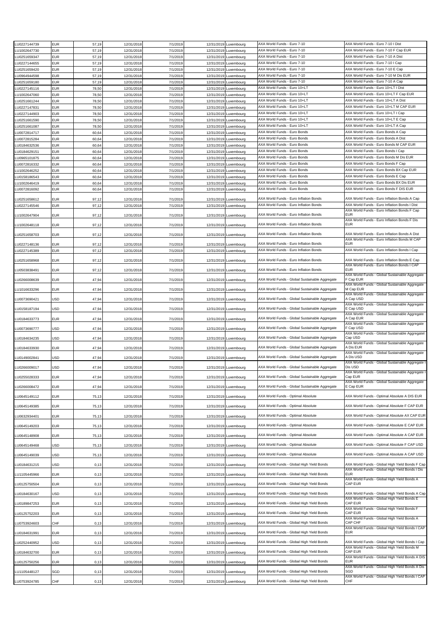| LU0227144739 | <b>EUR</b> | 57,19 | 12/31/2018 | 7/1/2019 |            | 12/31/2019 Luxembourg | AXA World Funds - Euro 7-10                    | AXA World Funds - Euro 7-10 I Dist                            |
|--------------|------------|-------|------------|----------|------------|-----------------------|------------------------------------------------|---------------------------------------------------------------|
| U1002647730  | EUR        | 57,19 | 12/31/2018 | 7/1/2019 |            | 12/31/2019 Luxembourg | AXA World Funds - Euro 7-10                    | AXA World Funds - Euro 7-10 F Cap EUR                         |
|              |            |       |            |          |            |                       |                                                |                                                               |
| LU0251659347 | EUR        | 57,19 | 12/31/2018 | 7/1/2019 |            | 12/31/2019 Luxembourg | AXA World Funds - Euro 7-10                    | AXA World Funds - Euro 7-10 A Dist                            |
| LU0227144655 | EUR        | 57,19 | 12/31/2018 | 7/1/2019 | 12/31/2019 | Luxembourg            | AXA World Funds - Euro 7-10                    | AXA World Funds - Euro 7-10 I Cap                             |
| LU0251659420 | EUR        | 57,19 | 12/31/2018 | 7/1/2019 |            | 12/31/2019 Luxembourg | AXA World Funds - Euro 7-10                    | AXA World Funds - Euro 7-10 E Cap                             |
| LU0964944598 | EUR        | 57,19 | 12/31/2018 | 7/1/2019 |            | 12/31/2019 Luxembourg | AXA World Funds - Euro 7-10                    | AXA World Funds - Euro 7-10 M Dis EUR                         |
| LU0251659180 | EUR        | 57,19 | 12/31/2018 | 7/1/2019 |            | 12/31/2019 Luxembourg | AXA World Funds - Euro 7-10                    | AXA World Funds - Euro 7-10 A Cap                             |
| U0227145116  | EUR        | 78,50 | 12/31/2018 | 7/1/2019 | 12/31/2019 | Luxembourg            | AXA World Funds - Euro 10+LT                   | AXA World Funds - Euro 10+LT I Dist                           |
| LU1002647060 | EUR        | 78,50 | 12/31/2018 | 7/1/2019 | 12/31/2019 |                       | AXA World Funds - Euro 10+LT                   | AXA World Funds - Euro 10+LT F Cap EUR                        |
|              |            |       |            |          |            | Luxembourg            |                                                |                                                               |
| LU0251661244 | EUR        | 78,50 | 12/31/2018 | 7/1/2019 |            | 12/31/2019 Luxembourg | AXA World Funds - Euro 10+LT                   | AXA World Funds - Euro 10+LT A Dist                           |
| LU0227147831 | EUR        | 78,50 | 12/31/2018 | 7/1/2019 |            | 12/31/2019 Luxembourg | AXA World Funds - Euro 10+LT                   | AXA World Funds - Euro 10+LT M CAP EUR                        |
| LU0227144903 | EUR        | 78,50 | 12/31/2018 | 7/1/2019 |            | 12/31/2019 Luxembourg | AXA World Funds - Euro 10+LT                   | AXA World Funds - Euro 10+LT I Cap                            |
| LU0251661590 | EUR        | 78,50 | 12/31/2018 | 7/1/2019 | 12/31/2019 | Luxembourg            | AXA World Funds - Euro 10+LT                   | AXA World Funds - Euro 10+LT E Cap                            |
| LU0251661087 | EUR        | 78,50 | 12/31/2018 | 7/1/2019 | 12/31/2019 | Luxembourg            | AXA World Funds - Euro 10+LT                   | AXA World Funds - Euro 10+LT A Cap                            |
| LU0072814717 | EUR        | 60,64 | 12/31/2018 | 7/1/2019 |            | 12/31/2019 Luxembourg | AXA World Funds - Euro Bonds                   | AXA World Funds - Euro Bonds A Cap                            |
| LU0072815284 | EUR        | 60,64 | 12/31/2018 | 7/1/2019 |            | 12/31/2019 Luxembourg | AXA World Funds - Euro Bonds                   | AXA World Funds - Euro Bonds A Dist                           |
| U0184632536  | EUR        | 60,64 | 12/31/2018 | 7/1/2019 |            | 12/31/2019 Luxembourg | AXA World Funds - Euro Bonds                   | AXA World Funds - Euro Bonds M CAP EUR                        |
|              |            |       |            |          |            |                       | AXA World Funds - Euro Bonds                   | AXA World Funds - Euro Bonds I Cap                            |
| LU0184629151 | EUR        | 60,64 | 12/31/2018 | 7/1/2019 | 12/31/2019 | Luxembourg            |                                                |                                                               |
| LU0965101875 | EUR        | 60,64 | 12/31/2018 | 7/1/2019 | 12/31/2019 | Luxembourg            | AXA World Funds - Euro Bonds                   | AXA World Funds - Euro Bonds M Dis EUR                        |
| LU0072816332 | EUR        | 60,64 | 12/31/2018 | 7/1/2019 |            | 12/31/2019 Luxembourg | AXA World Funds - Euro Bonds                   | AXA World Funds - Euro Bonds F Cap                            |
| U1002646252  | EUR        | 60,64 | 12/31/2018 | 7/1/2019 |            | 12/31/2019 Luxembourg | AXA World Funds - Euro Bonds                   | AXA World Funds - Euro Bonds BX Cap EUR                       |
| LU0158186543 | EUR        | 60,64 | 12/31/2018 | 7/1/2019 |            | 12/31/2019 Luxembourg | AXA World Funds - Euro Bonds                   | AXA World Funds - Euro Bonds E Cap                            |
| U1002646419  | EUR        | 60,64 | 12/31/2018 | 7/1/2019 | 12/31/2019 | Luxembourg            | AXA World Funds - Euro Bonds                   | AXA World Funds - Euro Bonds BX Dis EUR                       |
| LU0072816092 | EUR        | 60,64 | 12/31/2018 | 7/1/2019 | 12/31/2019 | Luxembourg            | AXA World Funds - Euro Bonds                   | AXA World Funds - Euro Bonds F DIS EUR                        |
|              |            |       |            |          |            |                       |                                                |                                                               |
| LU0251658612 | EUR        | 97,12 | 12/31/2018 | 7/1/2019 |            | 12/31/2019 Luxembourg | AXA World Funds - Euro Inflation Bonds         | AXA World Funds - Euro Inflation Bonds A Cap                  |
| U0227145546  | EUR        | 97,12 | 12/31/2018 | 7/1/2019 |            | 12/31/2019 Luxembourg | AXA World Funds - Euro Inflation Bonds         | AXA World Funds - Euro Inflation Bonds I Dist                 |
|              |            |       |            |          |            |                       |                                                | AXA World Funds - Euro Inflation Bonds F Cap                  |
| U1002647904  | EUR        | 97,12 | 12/31/2018 | 7/1/2019 |            | 12/31/2019 Luxembourg | AXA World Funds - Euro Inflation Bonds         | <b>EUR</b>                                                    |
|              |            |       |            |          |            |                       |                                                | AXA World Funds - Euro Inflation Bonds F Dis<br><b>EUR</b>    |
| U1002648118  | EUR        | 97,12 | 12/31/2018 | 7/1/2019 |            | 12/31/2019 Luxembourg | AXA World Funds - Euro Inflation Bonds         |                                                               |
| LU0251658703 | EUR        | 97,12 | 12/31/2018 | 7/1/2019 |            | 12/31/2019 Luxembourg | AXA World Funds - Euro Inflation Bonds         | AXA World Funds - Euro Inflation Bonds A Dist                 |
|              |            |       |            |          |            |                       |                                                | AXA World Funds - Euro Inflation Bonds M CAP                  |
| U0227148136  | EUR        | 97,12 | 12/31/2018 | 7/1/2019 |            | 12/31/2019 Luxembourg | AXA World Funds - Euro Inflation Bonds         | <b>EUR</b>                                                    |
| U0227145389  | EUR        | 97,12 | 12/31/2018 | 7/1/2019 |            | 12/31/2019 Luxembourg | AXA World Funds - Euro Inflation Bonds         | AXA World Funds - Euro Inflation Bonds I Cap                  |
|              |            |       |            |          |            |                       |                                                |                                                               |
| LU0251658968 | EUR        | 97,12 | 12/31/2018 | 7/1/2019 |            | 12/31/2019 Luxembourg | AXA World Funds - Euro Inflation Bonds         | AXA World Funds - Euro Inflation Bonds E Cap                  |
|              |            |       |            |          |            |                       |                                                | AXA World Funds - Euro Inflation Bonds I CAP                  |
| LU0503838491 | EUR        | 97,12 | 12/31/2018 | 7/1/2019 |            | 12/31/2019 Luxembourg | AXA World Funds - Euro Inflation Bonds         | <b>EUR</b>                                                    |
| LU0266008639 | EUR        | 47,94 | 12/31/2018 | 7/1/2019 |            | 12/31/2019 Luxembourg | AXA World Funds - Global Sustainable Aggregate | AXA World Funds - Global Sustainable Aggregate<br>F Cap EUR   |
|              |            |       |            |          |            |                       |                                                | AXA World Funds - Global Sustainable Aggregate                |
| U1016633296  | EUR        | 47,94 | 12/31/2018 | 7/1/2019 |            | 12/31/2019 Luxembourg | AXA World Funds - Global Sustainable Aggregate | M Cap EUR                                                     |
|              |            |       |            |          |            |                       |                                                | AXA World Funds - Global Sustainable Aggregate                |
| LU0073690421 | USD        | 47,94 | 12/31/2018 | 7/1/2019 |            | 12/31/2019 Luxembourg | AXA World Funds - Global Sustainable Aggregate | A Cap USD                                                     |
|              |            |       |            |          |            |                       |                                                | AXA World Funds - Global Sustainable Aggregate                |
| LU0158187194 | JSD        | 47,94 | 12/31/2018 | 7/1/2019 |            | 12/31/2019 Luxembourg | AXA World Funds - Global Sustainable Aggregate | E Cap USD<br>AXA World Funds - Global Sustainable Aggregate   |
| LU0184633773 | EUR        | 47,94 | 12/31/2018 | 7/1/2019 |            | 12/31/2019 Luxembourg | AXA World Funds - Global Sustainable Aggregate | A Cap EUR                                                     |
|              |            |       |            |          |            |                       |                                                | AXA World Funds - Global Sustainable Aggregate                |
| LU0073690777 | JSD        | 47,94 | 12/31/2018 | 7/1/2019 |            | 12/31/2019 Luxembourg | AXA World Funds - Global Sustainable Aggregate | F Cap USD                                                     |
|              |            |       |            |          |            |                       |                                                | AXA World Funds - Global Sustainable Aggregatel               |
| U0184634235  | USD        | 47,94 | 12/31/2018 | 7/1/2019 |            | 12/31/2019 Luxembourg | AXA World Funds - Global Sustainable Aggregate | Cap USD                                                       |
|              |            |       |            |          |            |                       | AXA World Funds - Global Sustainable Aggregate | AXA World Funds - Global Sustainable Aggregate<br>A Dis EUR   |
| LU0184633930 | EUR        | 47,94 | 12/31/2018 | 7/1/2019 |            | 12/31/2019 Luxembourg |                                                | AXA World Funds - Global Sustainable Aggregate                |
| U0149002841  | USD        | 47,94 | 12/31/2018 | 7/1/2019 |            | 12/31/2019 Luxembourg | AXA World Funds - Global Sustainable Aggregate | A Dis USD                                                     |
|              |            |       |            |          |            |                       |                                                | AXA World Funds - Global Sustainable Aggregate                |
| LU0266009017 | USD        | 47,94 | 12/31/2018 | 7/1/2019 |            | 12/31/2019 Luxembourg | AXA World Funds - Global Sustainable Aggregate | Dis USD                                                       |
|              |            |       |            |          |            |                       |                                                | AXA World Funds - Global Sustainable Aggregate I              |
| LU0255028333 | EUR        | 47,94 | 12/31/2018 | 7/1/2019 |            | 12/31/2019 Luxembourg | AXA World Funds - Global Sustainable Aggregate | Cap EUR                                                       |
|              |            |       |            |          |            |                       | AXA World Funds - Global Sustainable Aggregate | AXA World Funds - Global Sustainable Aggregate<br>E Cap EUR   |
| LU0266008472 | EUR        | 47,94 | 12/31/2018 | 7/1/2019 |            | 12/31/2019 Luxembourg |                                                |                                                               |
| LU0645149112 | EUR        | 75,13 | 12/31/2018 | 7/1/2019 |            | 12/31/2019 Luxembourg | AXA World Funds - Optimal Absolute             | AXA World Funds - Optimal Absolute A DIS EUR                  |
|              |            |       |            |          |            |                       |                                                |                                                               |
| LU0645149385 | EUR        | 75,13 | 12/31/2018 | 7/1/2019 |            | 12/31/2019 Luxembourg | AXA World Funds - Optimal Absolute             | AXA World Funds - Optimal Absolute F CAP EUR                  |
|              |            |       |            |          |            |                       |                                                |                                                               |
| LU0632934401 | <b>EUR</b> | 75,13 | 12/31/2018 | 7/1/2019 |            | 12/31/2019 Luxembourg | AXA World Funds - Optimal Absolute             | AXA World Funds - Optimal Absolute AX CAP EUR                 |
| LU0645149203 | EUR        | 75,13 | 12/31/2018 | 7/1/2019 |            | 12/31/2019 Luxembourg | AXA World Funds - Optimal Absolute             | AXA World Funds - Optimal Absolute E CAP EUR                  |
|              |            |       |            |          |            |                       |                                                |                                                               |
| LU0645148908 | EUR        | 75,13 | 12/31/2018 | 7/1/2019 |            | 12/31/2019 Luxembourg | AXA World Funds - Optimal Absolute             | AXA World Funds - Optimal Absolute A CAP EUR                  |
|              |            |       |            |          |            |                       |                                                |                                                               |
| LU0645149468 | USD        | 75,13 | 12/31/2018 | 7/1/2019 |            | 12/31/2019 Luxembourg | AXA World Funds - Optimal Absolute             | AXA World Funds - Optimal Absolute F CAP USD                  |
|              | USD        |       |            |          |            |                       | AXA World Funds - Optimal Absolute             | AXA World Funds - Optimal Absolute A CAP USD                  |
| LU0645149039 |            | 75,13 | 12/31/2018 | 7/1/2019 |            | 12/31/2019 Luxembourg |                                                |                                                               |
| U0184631215  | USD        | 0, 13 | 12/31/2018 | 7/1/2019 |            | 12/31/2019 Luxembourg | AXA World Funds - Global High Yield Bonds      | AXA World Funds - Global High Yield Bonds F Cap               |
|              |            |       |            |          |            |                       |                                                | AXA World Funds - Global High Yield Bonds I Dis               |
| LU1105445966 | EUR        | 0, 13 | 12/31/2018 | 7/1/2019 |            | 12/31/2019 Luxembourg | AXA World Funds - Global High Yield Bonds      | <b>EUR</b>                                                    |
|              |            |       |            |          |            |                       |                                                | AXA World Funds - Global High Yield Bonds A                   |
| LU0125750504 | EUR        | 0, 13 | 12/31/2018 | 7/1/2019 |            | 12/31/2019 Luxembourg | AXA World Funds - Global High Yield Bonds      | CAP EUR                                                       |
| LU0184630167 | USD        | 0, 13 | 12/31/2018 | 7/1/2019 |            | 12/31/2019 Luxembourg | AXA World Funds - Global High Yield Bonds      | AXA World Funds - Global High Yield Bonds A Cap               |
|              |            |       |            |          |            |                       |                                                | AXA World Funds - Global High Yield Bonds E                   |
| LU0189847253 | <b>EUR</b> | 0, 13 | 12/31/2018 | 7/1/2019 |            | 12/31/2019 Luxembourg | AXA World Funds - Global High Yield Bonds      | CAP EUR                                                       |
|              |            |       |            |          |            |                       |                                                | AXA World Funds - Global High Yield Bonds F                   |
| LU0125752203 | EUR        | 0, 13 | 12/31/2018 | 7/1/2019 |            | 12/31/2019 Luxembourg | AXA World Funds - Global High Yield Bonds      | CAP EUR                                                       |
|              |            |       |            |          |            |                       |                                                | AXA World Funds - Global High Yield Bonds A                   |
| U0753924603  | CHF        | 0, 13 | 12/31/2018 | 7/1/2019 |            | 12/31/2019 Luxembourg | AXA World Funds - Global High Yield Bonds      | CAP CHF<br>AXA World Funds - Global High Yield Bonds I CAP    |
| LU0184631991 | EUR        | 0, 13 | 12/31/2018 | 7/1/2019 |            | 12/31/2019 Luxembourg | AXA World Funds - Global High Yield Bonds      | <b>EUR</b>                                                    |
|              |            |       |            |          |            |                       |                                                |                                                               |
| LU0252440952 | USD        | 0, 13 | 12/31/2018 | 7/1/2019 |            | 12/31/2019 Luxembourg | AXA World Funds - Global High Yield Bonds      | AXA World Funds - Global High Yield Bonds I Cap               |
|              |            |       |            |          |            |                       |                                                | AXA World Funds - Global High Yield Bonds M                   |
| LU0184632700 | EUR        | 0, 13 | 12/31/2018 | 7/1/2019 |            | 12/31/2019 Luxembourg | AXA World Funds - Global High Yield Bonds      | CAP EUR                                                       |
|              |            |       |            |          |            |                       | AXA World Funds - Global High Yield Bonds      | AXA World Funds - Global High Yield Bonds A DIS<br><b>FUR</b> |
| LU0125750256 | EUR        | 0, 13 | 12/31/2018 | 7/1/2019 |            | 12/31/2019 Luxembourg |                                                | AXA World Funds - Global High Yield Bonds A Dis               |
| LU1105448127 | SGD        | 0, 13 | 12/31/2018 | 7/1/2019 |            | 12/31/2019 Luxembourg | AXA World Funds - Global High Yield Bonds      | SGD                                                           |
|              |            |       |            |          |            |                       |                                                | AXA World Funds - Global High Yield Bonds I CAP               |
| U0753924785  | <b>CHF</b> | 0, 13 | 12/31/2018 | 7/1/2019 |            | 12/31/2019 Luxembourg | AXA World Funds - Global High Yield Bonds      | CHF                                                           |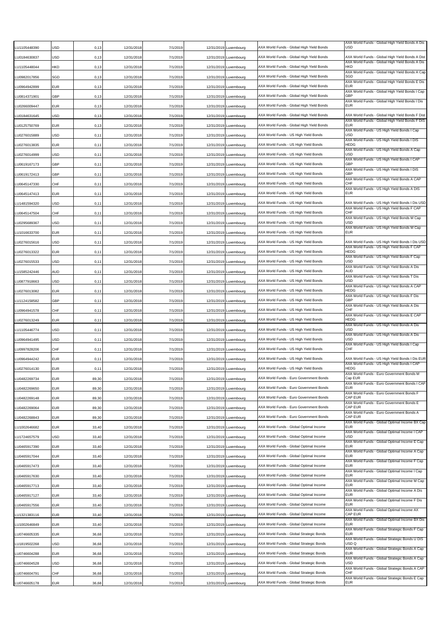| U1105448390  | USD        | 0, 13 | 12/31/2018 | 7/1/2019 | 12/31/2019 | Luxembourg            | AXA World Funds - Global High Yield Bonds | AXA World Funds - Global High Yield Bonds A Dis<br><b>USD</b> |
|--------------|------------|-------|------------|----------|------------|-----------------------|-------------------------------------------|---------------------------------------------------------------|
| LU0184630837 | <b>USD</b> | 0, 13 | 12/31/2018 | 7/1/2019 | 12/31/2019 | Luxembourg            | AXA World Funds - Global High Yield Bonds | AXA World Funds - Global High Yield Bonds A Dist              |
| U1105448044  | <b>HKD</b> | 0, 13 | 12/31/2018 | 7/1/2019 | 12/31/2019 | Luxembourg            | AXA World Funds - Global High Yield Bonds | AXA World Funds - Global High Yield Bonds A Dis<br>HKD        |
| LU0982017856 | SGD        | 0, 13 | 12/31/2018 | 7/1/2019 | 12/31/2019 | Luxembourg            | AXA World Funds - Global High Yield Bonds | AXA World Funds - Global High Yield Bonds A Cap<br>SGD        |
| LU0964942899 | <b>EUR</b> | 0, 13 | 12/31/2018 | 7/1/2019 | 12/31/2019 | Luxembourg            | AXA World Funds - Global High Yield Bonds | AXA World Funds - Global High Yield Bonds E Dis<br>EUR        |
| U0814371901  | <b>GBP</b> | 0, 13 | 12/31/2018 | 7/1/2019 |            | 12/31/2019 Luxembourg | AXA World Funds - Global High Yield Bonds | AXA World Funds - Global High Yield Bonds I Cap<br>GBP        |
| LU0266009447 | <b>EUR</b> | 0, 13 | 12/31/2018 | 7/1/2019 |            | 12/31/2019 Luxembourg | AXA World Funds - Global High Yield Bonds | AXA World Funds - Global High Yield Bonds I Dis<br><b>EUR</b> |
| LU0184631645 | <b>USD</b> | 0, 13 | 12/31/2018 | 7/1/2019 |            | 12/31/2019 Luxembourg | AXA World Funds - Global High Yield Bonds | AXA World Funds - Global High Yield Bonds F Dist              |
| LU0125750769 | <b>EUR</b> | 0, 13 | 12/31/2018 | 7/1/2019 | 12/31/2019 | Luxembourg            | AXA World Funds - Global High Yield Bonds | AXA World Funds - Global High Yield Bonds F DIS<br><b>EUR</b> |
| LU0276015889 | USD        | 0,11  | 12/31/2018 | 7/1/2019 | 12/31/2019 | Luxembourg            | AXA World Funds - US High Yield Bonds     | AXA World Funds - US High Yield Bonds I Cap<br>USD            |
| LU0276013835 | <b>EUR</b> | 0, 11 | 12/31/2018 | 7/1/2019 | 12/31/2019 | Luxembourg            | AXA World Funds - US High Yield Bonds     | AXA World Funds - US High Yield Bonds I DIS<br>HEDG           |
| LU0276014999 | <b>USD</b> | 0,11  | 12/31/2018 | 7/1/2019 | 12/31/2019 | Luxembourg            | AXA World Funds - US High Yield Bonds     | AXA World Funds - US High Yield Bonds A Cap<br><b>USD</b>     |
| LU0619167173 | GBP        | 0, 11 | 12/31/2018 | 7/1/2019 |            | 12/31/2019 Luxembourg | AXA World Funds - US High Yield Bonds     | AXA World Funds - US High Yield Bonds I CAP<br>GBP            |
| LU0619172413 | GBP        | 0, 11 | 12/31/2018 | 7/1/2019 |            | 12/31/2019 Luxembourg | AXA World Funds - US High Yield Bonds     | AXA World Funds - US High Yield Bonds I DIS<br>GBP            |
| LU0645147330 | <b>CHF</b> | 0,11  | 12/31/2018 | 7/1/2019 | 12/31/2019 | Luxembourg            | AXA World Funds - US High Yield Bonds     | AXA World Funds - US High Yield Bonds A CAP<br>CHF            |
| LU0645147413 | <b>EUR</b> | 0,11  | 12/31/2018 | 7/1/2019 | 12/31/2019 | Luxembourg            | AXA World Funds - US High Yield Bonds     | AXA World Funds - US High Yield Bonds A DIS<br><b>EUR</b>     |
| U1481594320  | <b>USD</b> | 0, 11 | 12/31/2018 | 7/1/2019 | 12/31/2019 | Luxembourg            | AXA World Funds - US High Yield Bonds     | AXA World Funds - US High Yield Bonds I Dis USD               |
| LU0645147504 | CHF        | 0,11  | 12/31/2018 | 7/1/2019 | 12/31/2019 | Luxembourg            | AXA World Funds - US High Yield Bonds     | AXA World Funds - US High Yield Bonds F CAP<br>CHF            |
| LU0295689367 | <b>USD</b> | 0, 11 | 12/31/2018 | 7/1/2019 |            | 12/31/2019 Luxembourg | AXA World Funds - US High Yield Bonds     | AXA World Funds - US High Yield Bonds M Cap<br>USD            |
| U1016633700  | <b>EUR</b> | 0, 11 | 12/31/2018 | 7/1/2019 |            | 12/31/2019 Luxembourg | AXA World Funds - US High Yield Bonds     | AXA World Funds - US High Yield Bonds M Cap<br><b>EUR</b>     |
| LU0276015616 | USD        | 0,11  | 12/31/2018 | 7/1/2019 |            | 12/31/2019 Luxembourg | AXA World Funds - US High Yield Bonds     | AXA World Funds - US High Yield Bonds I Dis USD               |
| LU0276013322 | <b>EUR</b> | 0,11  | 12/31/2018 | 7/1/2019 |            | 12/31/2019 Luxembourg | AXA World Funds - US High Yield Bonds     | AXA World Funds - US High Yield Bonds F CAP<br>HEDG           |
| LU0276015533 | <b>USD</b> | 0,11  | 12/31/2018 | 7/1/2019 | 12/31/2019 | Luxembourg            | AXA World Funds - US High Yield Bonds     | AXA World Funds - US High Yield Bonds F Cap<br>USD            |
| U1585242446  | AUD        | 0, 11 | 12/31/2018 | 7/1/2019 |            | 12/31/2019 Luxembourg | AXA World Funds - US High Yield Bonds     | AXA World Funds - US High Yield Bonds A Dis<br>AUD            |
| LU0877918663 | <b>USD</b> | 0, 11 | 12/31/2018 | 7/1/2019 |            | 12/31/2019 Luxembourg | AXA World Funds - US High Yield Bonds     | AXA World Funds - US High Yield Bonds T Dis<br>USD            |
| LU0276013082 | <b>EUR</b> | 0,11  | 12/31/2018 | 7/1/2019 | 12/31/2019 | Luxembourg            | AXA World Funds - US High Yield Bonds     | AXA World Funds - US High Yield Bonds A CAP<br>HEDG           |
| LU1124158582 | GBP        | 0, 11 | 12/31/2018 | 7/1/2019 |            | 12/31/2019 Luxembourg | AXA World Funds - US High Yield Bonds     | AXA World Funds - US High Yield Bonds F Dis<br>GBP            |
| U0964941578  | CHF        | 0,11  | 12/31/2018 | 7/1/2019 | 12/31/2019 | Luxembourg            | AXA World Funds - US High Yield Bonds     | AXA World Funds - US High Yield Bonds A Dis<br>CHF            |
| LU0276013249 | <b>EUR</b> | 0,11  | 12/31/2018 | 7/1/2019 | 12/31/2019 | Luxembourg            | AXA World Funds - US High Yield Bonds     | AXA World Funds - US High Yield Bonds E CAP<br>HEDG           |
| U1105446774  | <b>USD</b> | 0, 11 | 12/31/2018 | 7/1/2019 | 12/31/2019 | Luxembourg            | AXA World Funds - US High Yield Bonds     | AXA World Funds - US High Yield Bonds A Dis<br>USD            |
| U0964941495  | <b>USD</b> | 0,11  | 12/31/2018 | 7/1/2019 |            | 12/31/2019 Luxembourg | AXA World Funds - US High Yield Bonds     | AXA World Funds - US High Yield Bonds A Dis<br>USD            |
| LU0997828206 | CHF        | 0, 11 | 12/31/2018 | 7/1/2019 | 12/31/2019 | Luxembourg            | AXA World Funds - US High Yield Bonds     | AXA World Funds - US High Yield Bonds I Cap<br>CHF            |
| U0964944242  | <b>EUR</b> | 0, 11 | 12/31/2018 | 7/1/2019 |            | 12/31/2019 Luxembourg | AXA World Funds - US High Yield Bonds     | AXA World Funds - US High Yield Bonds I Dis EUR               |
| U0276014130  | <b>EUR</b> | 0,11  | 12/31/2018 | 7/1/2019 |            | 12/31/2019 Luxembourg | AXA World Funds - US High Yield Bonds     | AXA World Funds - US High Yield Bonds I CAP<br>HEDG           |
| LU0482269734 | <b>EUR</b> | 89,30 | 12/31/2018 | 7/1/2019 |            | 12/31/2019 Luxembourg | AXA World Funds - Euro Government Bonds   | AXA World Funds - Euro Government Bonds M<br>Cap EUR          |
| LU0482269650 | <b>EUR</b> | 89,30 | 12/31/2018 | 7/1/2019 |            | 12/31/2019 Luxembourg | AXA World Funds - Euro Government Bonds   | AXA World Funds - Euro Government Bonds I CAP<br><b>EUR</b>   |
| LU0482269148 | <b>EUR</b> | 89,30 | 12/31/2018 | 7/1/2019 |            | 12/31/2019 Luxembourg | AXA World Funds - Euro Government Bonds   | AXA World Funds - Euro Government Bonds F<br>CAP EUR          |
| LU0482269064 | <b>EUR</b> | 89,30 | 12/31/2018 | 7/1/2019 |            | 12/31/2019 Luxembourg | AXA World Funds - Euro Government Bonds   | AXA World Funds - Euro Government Bonds E<br>CAP EUR          |
| LU0482268843 | <b>EUR</b> | 89,30 | 12/31/2018 | 7/1/2019 |            | 12/31/2019 Luxembourg | AXA World Funds - Euro Government Bonds   | AXA World Funds - Euro Government Bonds A<br>CAP EUR          |
| LU1002646682 | <b>EUR</b> | 33,40 | 12/31/2018 | 7/1/2019 |            | 12/31/2019 Luxembourg | AXA World Funds - Global Optimal Income   | AXA World Funds - Global Optimal Income BX Cap<br>EUR         |
| LU1724657579 | USD        | 33,40 | 12/31/2018 | 7/1/2019 |            | 12/31/2019 Luxembourg | AXA World Funds - Global Optimal Income   | AXA World Funds - Global Optimal Income I CAP<br>USD          |
| LU0465917390 | <b>EUR</b> | 33,40 | 12/31/2018 | 7/1/2019 |            | 12/31/2019 Luxembourg | AXA World Funds - Global Optimal Income   | AXA World Funds - Global Optimal Income E Cap<br>EUR          |
| LU0465917044 | <b>EUR</b> | 33,40 | 12/31/2018 | 7/1/2019 |            | 12/31/2019 Luxembourg | AXA World Funds - Global Optimal Income   | AXA World Funds - Global Optimal Income A Cap<br><b>EUR</b>   |
| LU0465917473 | <b>EUR</b> | 33,40 | 12/31/2018 | 7/1/2019 |            | 12/31/2019 Luxembourg | AXA World Funds - Global Optimal Income   | AXA World Funds - Global Optimal Income F Cap<br><b>EUR</b>   |
| LU0465917630 | <b>EUR</b> | 33,40 | 12/31/2018 | 7/1/2019 |            | 12/31/2019 Luxembourg | AXA World Funds - Global Optimal Income   | AXA World Funds - Global Optimal Income I Cap<br><b>EUR</b>   |
| LU0465917713 | <b>EUR</b> | 33,40 | 12/31/2018 | 7/1/2019 |            | 12/31/2019 Luxembourg | AXA World Funds - Global Optimal Income   | AXA World Funds - Global Optimal Income M Cap<br><b>EUR</b>   |
| LU0465917127 | <b>EUR</b> | 33,40 | 12/31/2018 | 7/1/2019 |            | 12/31/2019 Luxembourg | AXA World Funds - Global Optimal Income   | AXA World Funds - Global Optimal Income A Dis<br>EUR          |
| LU0465917556 | <b>EUR</b> | 33,40 | 12/31/2018 | 7/1/2019 | 12/31/2019 | Luxembourg            | AXA World Funds - Global Optimal Income   | AXA World Funds - Global Optimal Income F Dis<br><b>EUR</b>   |
| LU1321383116 | <b>EUR</b> | 33,40 | 12/31/2018 | 7/1/2019 |            | 12/31/2019 Luxembourg | AXA World Funds - Global Optimal Income   | AXA World Funds - Global Optimal Income AX<br>CAP EUR         |
| LU1002646849 | <b>EUR</b> | 33,40 | 12/31/2018 | 7/1/2019 |            | 12/31/2019 Luxembourg | AXA World Funds - Global Optimal Income   | AXA World Funds - Global Optimal Income BX Dis<br><b>EUR</b>  |
| LU0746605335 | <b>EUR</b> | 36,68 | 12/31/2018 | 7/1/2019 |            | 12/31/2019 Luxembourg | AXA World Funds - Global Strategic Bonds  | AXA World Funds - Global Strategic Bonds F Cap<br><b>EUR</b>  |
| LU1819502268 | USD        | 36,68 | 12/31/2018 | 7/1/2019 |            | 12/31/2019 Luxembourg | AXA World Funds - Global Strategic Bonds  | AXA World Funds - Global Strategic Bonds U DIS<br>USD Q       |
| LU0746604288 | <b>EUR</b> | 36,68 | 12/31/2018 | 7/1/2019 |            | 12/31/2019 Luxembourg | AXA World Funds - Global Strategic Bonds  | AXA World Funds - Global Strategic Bonds A Cap<br><b>EUR</b>  |
| LU0746604528 | <b>USD</b> | 36,68 | 12/31/2018 | 7/1/2019 | 12/31/2019 | Luxembourg            | AXA World Funds - Global Strategic Bonds  | AXA World Funds - Global Strategic Bonds A Cap<br><b>USD</b>  |
| LU0746604791 | CHF        | 36,68 | 12/31/2018 | 7/1/2019 | 12/31/2019 | Luxembourg            | AXA World Funds - Global Strategic Bonds  | AXA World Funds - Global Strategic Bonds A CAP<br>CHF         |
| LU0746605178 | <b>EUR</b> | 36,68 | 12/31/2018 | 7/1/2019 |            | 12/31/2019 Luxembourg | AXA World Funds - Global Strategic Bonds  | AXA World Funds - Global Strategic Bonds E Cap<br><b>EUR</b>  |
|              |            |       |            |          |            |                       |                                           |                                                               |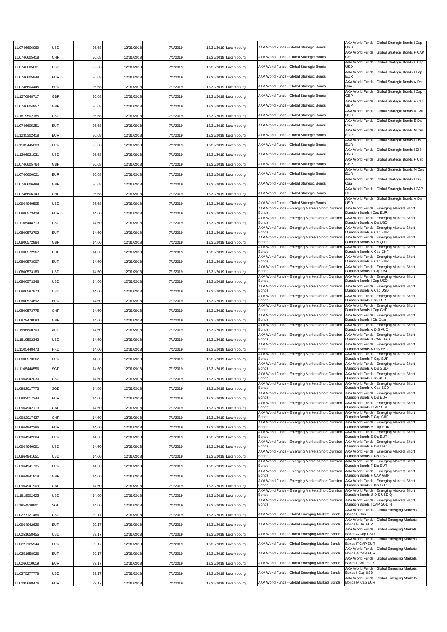| U0746606069          | JSD | 36,68 | 12/31/2018 | 7/1/2019 | 12/31/2019 Luxembourg | AXA World Funds - Global Strategic Bonds                                                      | AXA World Funds - Global Strategic Bonds I Cap<br><b>USD</b>           |
|----------------------|-----|-------|------------|----------|-----------------------|-----------------------------------------------------------------------------------------------|------------------------------------------------------------------------|
| LU0746605418         | CHF | 36,68 | 12/31/2018 | 7/1/2019 | 12/31/2019 Luxembourg | AXA World Funds - Global Strategic Bonds                                                      | AXA World Funds - Global Strategic Bonds F CAP<br>CHF                  |
| LU0746605681         | USD | 36,68 | 12/31/2018 | 7/1/2019 | 12/31/2019 Luxembourg | AXA World Funds - Global Strategic Bonds                                                      | AXA World Funds - Global Strategic Bonds F Cap<br><b>USD</b>           |
| LU0746605848         | EUR | 36,68 | 12/31/2018 | 7/1/2019 | 12/31/2019 Luxembourg | AXA World Funds - Global Strategic Bonds                                                      | AXA World Funds - Global Strategic Bonds I Cap<br><b>EUR</b>           |
| U0746604445          | EUR | 36,68 | 12/31/2018 | 7/1/2019 | 12/31/2019 Luxembourg | AXA World Funds - Global Strategic Bonds                                                      | AXA World Funds - Global Strategic Bonds A Dis<br>Qua                  |
| U1276848717          | GBP | 36,68 | 12/31/2018 | 7/1/2019 | 12/31/2019 Luxembourg | AXA World Funds - Global Strategic Bonds                                                      | AXA World Funds - Global Strategic Bonds I Cap<br>GBP                  |
| U0746604957.         | GBP | 36,68 | 12/31/2018 | 7/1/2019 | 12/31/2019 Luxembourg | AXA World Funds - Global Strategic Bonds                                                      | AXA World Funds - Global Strategic Bonds A Cap<br>GBP                  |
| U1819502185          | JSD | 36,68 | 12/31/2018 | 7/1/2019 | 12/31/2019 Luxembourg | AXA World Funds - Global Strategic Bonds                                                      | AXA World Funds - Global Strategic Bonds U CAP<br>USD                  |
| LU0746605251         | EUR | 36,68 | 12/31/2018 | 7/1/2019 | 12/31/2019 Luxembourg | AXA World Funds - Global Strategic Bonds                                                      | AXA World Funds - Global Strategic Bonds E Dis<br>Qua                  |
| U1235302418          | EUR | 36,68 | 12/31/2018 | 7/1/2019 | 12/31/2019 Luxembourg | AXA World Funds - Global Strategic Bonds                                                      | AXA World Funds - Global Strategic Bonds M Dis<br><b>EUR</b>           |
| U1105445883          | EUR | 36,68 | 12/31/2018 | 7/1/2019 | 12/31/2019 Luxembourg | AXA World Funds - Global Strategic Bonds                                                      | AXA World Funds - Global Strategic Bonds I Dis<br><b>EUR</b>           |
| U1296921031          | USD | 36,68 | 12/31/2018 | 7/1/2019 | 12/31/2019 Luxembourg | AXA World Funds - Global Strategic Bonds                                                      | AXA World Funds - Global Strategic Bonds I DIS<br><b>USD</b>           |
|                      | GBP |       |            |          |                       | AXA World Funds - Global Strategic Bonds                                                      | AXA World Funds - Global Strategic Bonds F Cap<br>GBP                  |
| LU0746605764         |     | 36,68 | 12/31/2018 | 7/1/2019 | 12/31/2019 Luxembourg | AXA World Funds - Global Strategic Bonds                                                      | AXA World Funds - Global Strategic Bonds M Cap<br><b>EUR</b>           |
| LU0746600021         | EUR | 36,68 | 12/31/2018 | 7/1/2019 | 12/31/2019 Luxembourg |                                                                                               | AXA World Funds - Global Strategic Bonds I Dis                         |
| LU0746606499         | GBP | 36,68 | 12/31/2018 | 7/1/2019 | 12/31/2019 Luxembourg | AXA World Funds - Global Strategic Bonds                                                      | Qua<br>AXA World Funds - Global Strategic Bonds I CAP                  |
| LU0746606143         | CHF | 36,68 | 12/31/2018 | 7/1/2019 | 12/31/2019 Luxembourg | AXA World Funds - Global Strategic Bonds                                                      | CHF<br>AXA World Funds - Global Strategic Bonds A Dis                  |
| U0964940505          | USD | 36,68 | 12/31/2018 | 7/1/2019 | 12/31/2019 Luxembourg | AXA World Funds - Global Strategic Bonds<br>AXA World Funds - Emerging Markets Short Duration | <b>USD</b><br>AXA World Funds - Emerging Markets Short                 |
| U0800573429.         | EUR | 14,60 | 12/31/2018 | 7/1/2019 | 12/31/2019 Luxembourg | Bonds<br>AXA World Funds - Emerging Markets Short Duration                                    | Duration Bonds I Cap EUR<br>AXA World Funds - Emerging Markets Short   |
| U1105448713 <u>.</u> | USD | 14,60 | 12/31/2018 | 7/1/2019 | 12/31/2019 Luxembourg | Bonds<br>AXA World Funds - Emerging Markets Short Duratior                                    | Duration Bonds A Dis USD<br>AXA World Funds - Emerging Markets Short   |
| LU0800572702         | EUR | 14,60 | 12/31/2018 | 7/1/2019 | 12/31/2019 Luxembourg | Bonds<br>AXA World Funds - Emerging Markets Short Duration                                    | Duration Bonds A Cap EUR<br>AXA World Funds - Emerging Markets Short   |
| LU0800572884         | GBP | 14,60 | 12/31/2018 | 7/1/2019 | 12/31/2019 Luxembourg | Bonds<br>AXA World Funds - Emerging Markets Short Duration                                    | Duration Bonds A Dis Qua<br>AXA World Funds - Emerging Markets Short   |
| LU0800572967         | CHF | 14,60 | 12/31/2018 | 7/1/2019 | 12/31/2019 Luxembourg | Bonds<br>AXA World Funds - Emerging Markets Short Duration                                    | Duration Bonds A Cap CHF<br>AXA World Funds - Emerging Markets Short   |
| U0800573007          | EUR | 14,60 | 12/31/2018 | 7/1/2019 | 12/31/2019 Luxembourg | Bonds                                                                                         | Duration Bonds E Cap EUR                                               |
| LU0800573189         | USD | 14,60 | 12/31/2018 | 7/1/2019 | 12/31/2019 Luxembourg | AXA World Funds - Emerging Markets Short Duration<br>Bonds                                    | AXA World Funds - Emerging Markets Short<br>Duration Bonds F Cap USD   |
| LU0800573346         | USD | 14,60 | 12/31/2018 | 7/1/2019 | 12/31/2019 Luxembourg | AXA World Funds - Emerging Markets Short Duratior<br>Bonds                                    | AXA World Funds - Emerging Markets Short<br>Duration Bonds I Cap USD   |
| LU0800597873         | USD | 14,60 | 12/31/2018 | 7/1/2019 | 12/31/2019 Luxembourg | AXA World Funds - Emerging Markets Short Duration<br>Bonds                                    | AXA World Funds - Emerging Markets Short<br>Duration Bonds A Cap USD   |
| LU0800573692         | EUR | 14,60 | 12/31/2018 | 7/1/2019 | 12/31/2019 Luxembourg | AXA World Funds - Emerging Markets Short Duratior<br>Bonds                                    | AXA World Funds - Emerging Markets Short<br>Duration Bonds I Dis EUR   |
| U0800573775          | CHF | 14,60 | 12/31/2018 | 7/1/2019 | 12/31/2019 Luxembourg | AXA World Funds - Emerging Markets Short Duration<br>Bonds                                    | AXA World Funds - Emerging Markets Short<br>Duration Bonds I Cap CHF   |
| U0879470093          | GBP | 14,60 | 12/31/2018 | 7/1/2019 | 12/31/2019 Luxembourg | AXA World Funds - Emerging Markets Short Duration<br>Bonds                                    | AXA World Funds - Emerging Markets Short<br>Duration Bonds I Dis Quar  |
| U1596800703          | AUD | 14,60 | 12/31/2018 | 7/1/2019 | 12/31/2019 Luxembourg | AXA World Funds - Emerging Markets Short Duration<br>Bonds                                    | AXA World Funds - Emerging Markets Short<br>Duration Bonds A DIS AUD   |
| U1819502342          | USD | 14,60 | 12/31/2018 | 7/1/2019 | 12/31/2019 Luxembourg | AXA World Funds - Emerging Markets Short Duration<br>Bonds                                    | AXA World Funds - Emerging Markets Short<br>Duration Bonds U CAP USD   |
| U1105448473 <u>.</u> | HKD | 14,60 | 12/31/2018 | 7/1/2019 | 12/31/2019 Luxembourg | AXA World Funds - Emerging Markets Short Duration<br>Bonds                                    | AXA World Funds - Emerging Markets Short<br>Duration Bonds A DIS HKD   |
| U0800573262          | EUR | 14,60 | 12/31/2018 | 7/1/2019 | 12/31/2019 Luxembourg | AXA World Funds - Emerging Markets Short Duratior<br>Bonds                                    | AXA World Funds - Emerging Markets Short<br>Duration Bonds F Cap EUR   |
| U1105448556          | SGD | 14,60 | 12/31/2018 | 7/1/2019 | 12/31/2019 Luxembourg | AXA World Funds - Emerging Markets Short Duratior<br>Bonds                                    | AXA World Funds - Emerging Markets Short<br>Duration Bonds A Dis SGD   |
|                      |     |       |            |          |                       | AXA World Funds - Emerging Markets Short Duration<br><b>Bonds</b>                             | AXA World Funds - Emerging Markets Short<br>Duration Bonds I Dis USD   |
| LU0964942030         | USD | 14,60 | 12/31/2018 | 7/1/2019 | 12/31/2019 Luxembourg | AXA World Funds - Emerging Markets Short Duration<br>Bonds                                    | AXA World Funds - Emerging Markets Short<br>Duration Bonds A Cap SGD   |
| LU0982017773         | SGD | 14,60 | 12/31/2018 | 7/1/2019 | 12/31/2019 Luxembourg | AXA World Funds - Emerging Markets Short Duration                                             | AXA World Funds - Emerging Markets Short                               |
| LU0982017344         | EUR | 14,60 | 12/31/2018 | 7/1/2019 | 12/31/2019 Luxembourg | Bonds<br>AXA World Funds - Emerging Markets Short Duration                                    | Duration Bonds A Dis EUR<br>AXA World Funds - Emerging Markets Short   |
| LU0964942113         | GBP | 14,60 | 12/31/2018 | 7/1/2019 | 12/31/2019 Luxembourg | Bonds<br>AXA World Funds - Emerging Markets Short Duration                                    | Duration Bonds I CAP GBP<br>AXA World Funds - Emerging Markets Short   |
| LU0982017427         | CHF | 14,60 | 12/31/2018 | 7/1/2019 | 12/31/2019 Luxembourg | Bonds<br>AXA World Funds - Emerging Markets Short Duration                                    | Duration Bonds F Cap CHF<br>AXA World Funds - Emerging Markets Short   |
| U0964942386          | EUR | 14,60 | 12/31/2018 | 7/1/2019 | 12/31/2019 Luxembourg | Bonds<br>AXA World Funds - Emerging Markets Short Duration                                    | Duration Bonds M Cap EUR<br>AXA World Funds - Emerging Markets Short   |
| U0964942204          | EUR | 14,60 | 12/31/2018 | 7/1/2019 | 12/31/2019 Luxembourg | Bonds<br>AXA World Funds - Emerging Markets Short Duration                                    | Duration Bonds E Dis EUR<br>AXA World Funds - Emerging Markets Short   |
| LU0964940091         | USD | 14,60 | 12/31/2018 | 7/1/2019 | 12/31/2019 Luxembourg | Bonds<br>AXA World Funds - Emerging Markets Short Duration                                    | Duration Bonds A Dis USD<br>AXA World Funds - Emerging Markets Short   |
| LU0964941651         | USD | 14,60 | 12/31/2018 | 7/1/2019 | 12/31/2019 Luxembourg | Bonds<br>AXA World Funds - Emerging Markets Short Duration                                    | Duration Bonds F Dis USD<br>AXA World Funds - Emerging Markets Short   |
| LU0964941735         | EUR | 14,60 | 12/31/2018 | 7/1/2019 | 12/31/2019 Luxembourg | Bonds<br>AXA World Funds - Emerging Markets Short Duration                                    | Duration Bonds F Dis EUR<br>AXA World Funds - Emerging Markets Short   |
| LU0964941818         | GBP | 14,60 | 12/31/2018 | 7/1/2019 | 12/31/2019 Luxembourg | Bonds<br>AXA World Funds - Emerging Markets Short Duration                                    | Duration Bonds F CAP GBP<br>AXA World Funds - Emerging Markets Short   |
| LU0964941909         | GBP | 14,60 | 12/31/2018 | 7/1/2019 | 12/31/2019 Luxembourg | Bonds<br>AXA World Funds - Emerging Markets Short Duration                                    | Duration Bonds F Dis GBP<br>AXA World Funds - Emerging Markets Short   |
| LU1819502425         | USD | 14,60 | 12/31/2018 | 7/1/2019 | 12/31/2019 Luxembourg | Bonds                                                                                         | Duration Bonds U DIS USD Q                                             |
| U1954530801          | SGD | 14,60 | 12/31/2018 | 7/1/2019 | 12/31/2019 Luxembourg | AXA World Funds - Emerging Markets Short Duration<br>Bonds                                    | AXA World Funds - Emerging Markets Short<br>Duration Bonds I CAP SGD H |
| U0227127486          | USD | 39,17 | 12/31/2018 | 7/1/2019 | 12/31/2019 Luxembourg | AXA World Funds - Global Emerging Markets Bonds                                               | AXA World Funds - Global Emerging Markets<br>Bonds F Cap               |
| LU0964942626         | EUR | 39,17 | 12/31/2018 | 7/1/2019 | 12/31/2019 Luxembourg | AXA World Funds - Global Emerging Markets Bonds                                               | AXA World Funds - Global Emerging Markets<br>Bonds E Dis EUR           |
| LU0251658455         | USD | 39,17 | 12/31/2018 | 7/1/2019 | 12/31/2019 Luxembourg | AXA World Funds - Global Emerging Markets Bonds                                               | AXA World Funds - Global Emerging Markets<br>Bonds A Cap USD           |
| LU0227125944         | EUR | 39,17 | 12/31/2018 | 7/1/2019 | 12/31/2019 Luxembourg | AXA World Funds - Global Emerging Markets Bonds                                               | AXA World Funds - Global Emerging Markets<br>Bonds F CAP EUR           |
| LU0251658026         | EUR | 39,17 | 12/31/2018 | 7/1/2019 | 12/31/2019 Luxembourg | AXA World Funds - Global Emerging Markets Bonds                                               | AXA World Funds - Global Emerging Markets<br>Bonds A CAP EUR           |
| U0266010619          | EUR | 39,17 | 12/31/2018 | 7/1/2019 | 12/31/2019 Luxembourg | AXA World Funds - Global Emerging Markets Bonds                                               | AXA World Funds - Global Emerging Markets<br>Bonds I CAP EUR           |
| LU0375277778         | USD | 39,17 | 12/31/2018 | 7/1/2019 | 12/31/2019 Luxembourg | AXA World Funds - Global Emerging Markets Bonds                                               | AXA World Funds - Global Emerging Markets<br>Bonds I Cap USD           |
| LU0295688476         | EUR | 39,17 | 12/31/2018 | 7/1/2019 | 12/31/2019 Luxembourg | AXA World Funds - Global Emerging Markets Bonds                                               | AXA World Funds - Global Emerging Markets<br>Bonds M Cap EUR           |
|                      |     |       |            |          |                       |                                                                                               |                                                                        |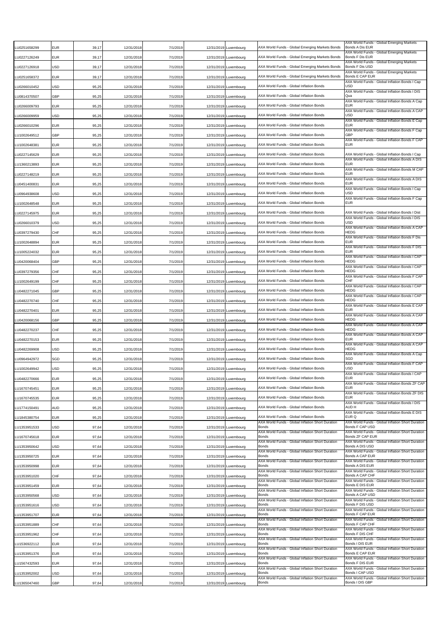| U0251658299  | <b>EUR</b> | 39,17 | 12/31/2018 | 7/1/2019 | 12/31/2019 Luxembourg | AXA World Funds - Global Emerging Markets Bonds                   | AXA World Funds - Global Emerging Markets<br>Bonds A Dis EUR          |
|--------------|------------|-------|------------|----------|-----------------------|-------------------------------------------------------------------|-----------------------------------------------------------------------|
| LU0227126249 | EUR        | 39,17 | 12/31/2018 | 7/1/2019 | 12/31/2019 Luxembourg | AXA World Funds - Global Emerging Markets Bonds                   | AXA World Funds - Global Emerging Markets<br>Bonds F Dis EUR          |
| U0227126918  | USD        | 39,17 | 12/31/2018 | 7/1/2019 | 12/31/2019 Luxembourg | AXA World Funds - Global Emerging Markets Bonds                   | AXA World Funds - Global Emerging Markets<br>Bonds F Dis USD          |
| LU0251658372 | <b>EUR</b> | 39,17 | 12/31/2018 | 7/1/2019 | 12/31/2019 Luxembourg | AXA World Funds - Global Emerging Markets Bonds                   | AXA World Funds - Global Emerging Markets<br>Bonds E CAP EUR          |
| LU0266010452 | <b>USD</b> | 95,25 | 12/31/2018 | 7/1/2019 | 12/31/2019 Luxembourg | AXA World Funds - Global Inflation Bonds                          | AXA World Funds - Global Inflation Bonds I Cap<br>USD                 |
| U0814370507  | GBP        | 95,25 | 12/31/2018 | 7/1/2019 | 12/31/2019 Luxembourg | AXA World Funds - Global Inflation Bonds                          | AXA World Funds - Global Inflation Bonds I DIS<br>Qua                 |
| LU0266009793 | <b>EUR</b> | 95,25 | 12/31/2018 | 7/1/2019 | 12/31/2019 Luxembourg | AXA World Funds - Global Inflation Bonds                          | AXA World Funds - Global Inflation Bonds A Cap<br><b>EUR</b>          |
| LU0266009959 | <b>USD</b> | 95,25 | 12/31/2018 | 7/1/2019 | 12/31/2019 Luxembourg | AXA World Funds - Global Inflation Bonds                          | AXA World Funds - Global Inflation Bonds A CAP<br><b>USD</b>          |
| LU0266010296 | <b>EUR</b> | 95,25 | 12/31/2018 | 7/1/2019 | 12/31/2019 Luxembourg | AXA World Funds - Global Inflation Bonds                          | AXA World Funds - Global Inflation Bonds E Cap<br><b>EUR</b>          |
| LU1002649512 | GBP        | 95,25 | 12/31/2018 | 7/1/2019 | 12/31/2019 Luxembourg | AXA World Funds - Global Inflation Bonds                          | AXA World Funds - Global Inflation Bonds F Cap<br>GBP                 |
| U1002648381  | <b>EUR</b> | 95,25 | 12/31/2018 | 7/1/2019 | 12/31/2019 Luxembourg | AXA World Funds - Global Inflation Bonds                          | AXA World Funds - Global Inflation Bonds F CAP<br><b>EUR</b>          |
| LU0227145629 | <b>EUR</b> | 95,25 | 12/31/2018 | 7/1/2019 | 12/31/2019 Luxembourg | AXA World Funds - Global Inflation Bonds                          | AXA World Funds - Global Inflation Bonds I Cap                        |
| LU1360213893 | <b>EUR</b> | 95,25 | 12/31/2018 | 7/1/2019 | 12/31/2019 Luxembourg | AXA World Funds - Global Inflation Bonds                          | AXA World Funds - Global Inflation Bonds A DIS<br>EUR                 |
| LU0227148219 | EUR        | 95,25 | 12/31/2018 | 7/1/2019 | 12/31/2019 Luxembourg | AXA World Funds - Global Inflation Bonds                          | AXA World Funds - Global Inflation Bonds M CAP<br><b>EUR</b>          |
| LU0451400831 | <b>EUR</b> | 95,25 | 12/31/2018 | 7/1/2019 | 12/31/2019 Luxembourg | AXA World Funds - Global Inflation Bonds                          | AXA World Funds - Global Inflation Bonds A DIS<br>FUR                 |
| LU0964938608 | <b>USD</b> | 95,25 | 12/31/2018 | 7/1/2019 | 12/31/2019 Luxembourg | AXA World Funds - Global Inflation Bonds                          | AXA World Funds - Global Inflation Bonds I Cap<br><b>USD</b>          |
| U1002648548  | <b>EUR</b> | 95,25 | 12/31/2018 | 7/1/2019 | 12/31/2019 Luxembourg | AXA World Funds - Global Inflation Bonds                          | AXA World Funds - Global Inflation Bonds F Cap<br><b>EUR</b>          |
| LU0227145975 | <b>EUR</b> | 95,25 | 12/31/2018 | 7/1/2019 | 12/31/2019 Luxembourg | AXA World Funds - Global Inflation Bonds                          | AXA World Funds - Global Inflation Bonds I Dist                       |
| LU0266010379 | <b>USD</b> | 95,25 | 12/31/2018 | 7/1/2019 | 12/31/2019 Luxembourg | AXA World Funds - Global Inflation Bonds                          | AXA World Funds - Global Inflation Bonds I DIS<br><b>USD</b>          |
| U0397279430  | CHF        | 95,25 | 12/31/2018 | 7/1/2019 | 12/31/2019 Luxembourg | AXA World Funds - Global Inflation Bonds                          | AXA World Funds - Global Inflation Bonds A CAP<br><b>HEDG</b>         |
| LU1002648894 | EUR        | 95,25 | 12/31/2018 | 7/1/2019 | 12/31/2019 Luxembourg | AXA World Funds - Global Inflation Bonds                          | AXA World Funds - Global Inflation Bonds F Dis<br><b>EUR</b>          |
| LU1005224032 | <b>EUR</b> | 95,25 | 12/31/2018 | 7/1/2019 | 12/31/2019 Luxembourg | AXA World Funds - Global Inflation Bonds                          | AXA World Funds - Global Inflation Bonds F DIS<br>EUR                 |
| LU0420068404 | GBP        | 95,25 | 12/31/2018 | 7/1/2019 | 12/31/2019 Luxembourg | AXA World Funds - Global Inflation Bonds                          | AXA World Funds - Global Inflation Bonds I CAP<br><b>HEDG</b>         |
| LU0397279356 | CHF        | 95,25 | 12/31/2018 | 7/1/2019 | 12/31/2019 Luxembourg | AXA World Funds - Global Inflation Bonds                          | AXA World Funds - Global Inflation Bonds I CAP<br>HEDG                |
| LU1002649199 | CHF        | 95,25 | 12/31/2018 | 7/1/2019 | 12/31/2019 Luxembourg | AXA World Funds - Global Inflation Bonds                          | AXA World Funds - Global Inflation Bonds F CAP<br>CHF                 |
| LU0482271045 | GBP        | 95,25 | 12/31/2018 | 7/1/2019 | 12/31/2019 Luxembourg | AXA World Funds - Global Inflation Bonds                          | AXA World Funds - Global Inflation Bonds I CAP<br><b>HEDG</b>         |
| LU0482270740 | CHF        | 95,25 | 12/31/2018 | 7/1/2019 | 12/31/2019 Luxembourg | AXA World Funds - Global Inflation Bonds                          | AXA World Funds - Global Inflation Bonds I CAP<br>HEDG                |
| U0482270401  | <b>EUR</b> | 95,25 | 12/31/2018 | 7/1/2019 | 12/31/2019 Luxembourg | AXA World Funds - Global Inflation Bonds                          | AXA World Funds - Global Inflation Bonds E CAP<br><b>EUR</b>          |
| U0420068156  | GBP        | 95,25 | 12/31/2018 | 7/1/2019 | 12/31/2019 Luxembourg | AXA World Funds - Global Inflation Bonds                          | AXA World Funds - Global Inflation Bonds A CAP<br><b>HEDG</b>         |
| U0482270237  | CHF        | 95,25 | 12/31/2018 | 7/1/2019 | 12/31/2019 Luxembourg | AXA World Funds - Global Inflation Bonds                          | AXA World Funds - Global Inflation Bonds A CAP<br><b>HEDG</b>         |
| U0482270153  | <b>EUR</b> | 95,25 | 12/31/2018 | 7/1/2019 | 12/31/2019 Luxembourg | AXA World Funds - Global Inflation Bonds                          | AXA World Funds - Global Inflation Bonds A CAP<br><b>EUR</b>          |
| LU0482269908 | USD        | 95,25 | 12/31/2018 | 7/1/2019 | 12/31/2019 Luxembourg | AXA World Funds - Global Inflation Bonds                          | AXA World Funds - Global Inflation Bonds A CAP<br><b>HEDG</b>         |
| U0964942972  | SGD        | 95,25 | 12/31/2018 | 7/1/2019 | 12/31/2019 Luxembourg | AXA World Funds - Global Inflation Bonds                          | AXA World Funds - Global Inflation Bonds A Cap<br>SGD                 |
| U1002649942  | <b>JSD</b> | 95,25 | 12/31/2018 | 7/1/2019 | 12/31/2019 Luxembourg | AXA World Funds - Global Inflation Bonds                          | AXA World Funds - Global Inflation Bonds F CAP<br><b>USD</b>          |
| LU0482270666 | <b>EUR</b> | 95,25 | 12/31/2018 | 7/1/2019 | 12/31/2019 Luxembourg | AXA World Funds - Global Inflation Bonds                          | AXA World Funds - Global Inflation Bonds I CAP<br><b>EUR</b>          |
| LU1670745451 | <b>EUR</b> | 95,25 | 12/31/2018 | 7/1/2019 | 12/31/2019 Luxembourg | AXA World Funds - Global Inflation Bonds                          | AXA World Funds - Global Inflation Bonds ZF CAP<br><b>EUR</b>         |
| LU1670745535 | <b>EUR</b> | 95,25 | 12/31/2018 | 7/1/2019 | 12/31/2019 Luxembourg | AXA World Funds - Global Inflation Bonds                          | AXA World Funds - Global Inflation Bonds ZF DIS<br><b>EUR</b>         |
| LU1774150491 | <b>AUD</b> | 95,25 | 12/31/2018 | 7/1/2019 | 12/31/2019 Luxembourg | AXA World Funds - Global Inflation Bonds                          | AXA World Funds - Global Inflation Bonds I DIS<br>AUD H               |
| LU1845380754 | <b>EUR</b> | 95,25 | 12/31/2018 | 7/1/2019 | 12/31/2019 Luxembourg | AXA World Funds - Global Inflation Bonds                          | AXA World Funds - Global Inflation Bonds E DIS<br>EUR <sub>Q</sub>    |
| LU1353951533 | USD        | 97,64 | 12/31/2018 | 7/1/2019 | 12/31/2019 Luxembourg | AXA World Funds - Global Inflation Short Duration<br><b>Bonds</b> | AXA World Funds - Global Inflation Short Duration<br>Bonds F CAP USD  |
| LU1670745618 | <b>EUR</b> | 97,64 | 12/31/2018 | 7/1/2019 | 12/31/2019 Luxembourg | AXA World Funds - Global Inflation Short Duration<br>Bonds        | AXA World Funds - Global Inflation Short Duration<br>Bonds ZF CAP EUR |
| LU1353950642 | USD        | 97,64 | 12/31/2018 | 7/1/2019 | 12/31/2019 Luxembourg | AXA World Funds - Global Inflation Short Duration<br>Bonds        | AXA World Funds - Global Inflation Short Duration<br>Bonds A DIS USD  |
| LU1353950725 | <b>EUR</b> | 97,64 | 12/31/2018 | 7/1/2019 | 12/31/2019 Luxembourg | AXA World Funds - Global Inflation Short Duration<br>Bonds        | AXA World Funds - Global Inflation Short Duration<br>Bonds A CAP EUR  |
| LU1353950998 | <b>EUR</b> | 97,64 | 12/31/2018 | 7/1/2019 | 12/31/2019 Luxembourg | AXA World Funds - Global Inflation Short Duration<br>Bonds        | AXA World Funds - Global Inflation Short Duration<br>Bonds A DIS EUR  |
| LU1353951020 | CHF        | 97,64 | 12/31/2018 | 7/1/2019 | 12/31/2019 Luxembourg | AXA World Funds - Global Inflation Short Duration<br>Bonds        | AXA World Funds - Global Inflation Short Duration<br>Bonds A CAP CHF  |
| LU1353951459 | <b>EUR</b> | 97,64 | 12/31/2018 | 7/1/2019 | 12/31/2019 Luxembourg | AXA World Funds - Global Inflation Short Duration<br>Bonds        | AXA World Funds - Global Inflation Short Duration<br>Bonds E DIS EUR  |
| LU1353950568 | <b>USD</b> | 97,64 | 12/31/2018 | 7/1/2019 | 12/31/2019 Luxembourg | AXA World Funds - Global Inflation Short Duration<br>Bonds        | AXA World Funds - Global Inflation Short Duration<br>Bonds A CAP USD  |
| LU1353951616 | <b>USD</b> | 97,64 | 12/31/2018 | 7/1/2019 | 12/31/2019 Luxembourg | AXA World Funds - Global Inflation Short Duration<br>Bonds        | AXA World Funds - Global Inflation Short Duration<br>Bonds F DIS USD  |
| LU1353951707 | <b>EUR</b> | 97,64 | 12/31/2018 | 7/1/2019 | 12/31/2019 Luxembourg | AXA World Funds - Global Inflation Short Duration<br>Bonds        | AXA World Funds - Global Inflation Short Duration<br>Bonds F CAP EUR  |
| LU1353951889 | CHF        | 97,64 | 12/31/2018 | 7/1/2019 | 12/31/2019 Luxembourg | AXA World Funds - Global Inflation Short Duration<br>Bonds        | AXA World Funds - Global Inflation Short Duration<br>Bonds F CAP CHF  |
| LU1353951962 | CHF        | 97,64 | 12/31/2018 | 7/1/2019 | 12/31/2019 Luxembourg | AXA World Funds - Global Inflation Short Duration<br><b>Bonds</b> | AXA World Funds - Global Inflation Short Duration<br>Bonds F DIS CHF  |
| LU1536922112 | <b>EUR</b> | 97,64 | 12/31/2018 | 7/1/2019 | 12/31/2019 Luxembourg | AXA World Funds - Global Inflation Short Duration<br>Bonds        | AXA World Funds - Global Inflation Short Duration<br>Bonds I DIS EUR  |
| LU1353951376 | <b>EUR</b> | 97,64 | 12/31/2018 | 7/1/2019 | 12/31/2019 Luxembourg | AXA World Funds - Global Inflation Short Duration<br>Bonds        | AXA World Funds - Global Inflation Short Duration<br>Bonds E CAP EUR  |
| LU1567432593 | <b>EUR</b> | 97,64 | 12/31/2018 | 7/1/2019 | 12/31/2019 Luxembourg | AXA World Funds - Global Inflation Short Duration<br>Bonds        | AXA World Funds - Global Inflation Short Duration<br>Bonds F DIS EUR  |
| LU1353952002 | <b>USD</b> | 97,64 | 12/31/2018 | 7/1/2019 | 12/31/2019 Luxembourg | AXA World Funds - Global Inflation Short Duration<br>Bonds        | AXA World Funds - Global Inflation Short Duration<br>Bonds I CAP USD  |
| LU1365047460 | <b>GBP</b> | 97,64 | 12/31/2018 | 7/1/2019 | 12/31/2019 Luxembourg | AXA World Funds - Global Inflation Short Duration<br>Bonds        | AXA World Funds - Global Inflation Short Duration<br>Bonds I DIS GBP  |
|              |            |       |            |          |                       |                                                                   |                                                                       |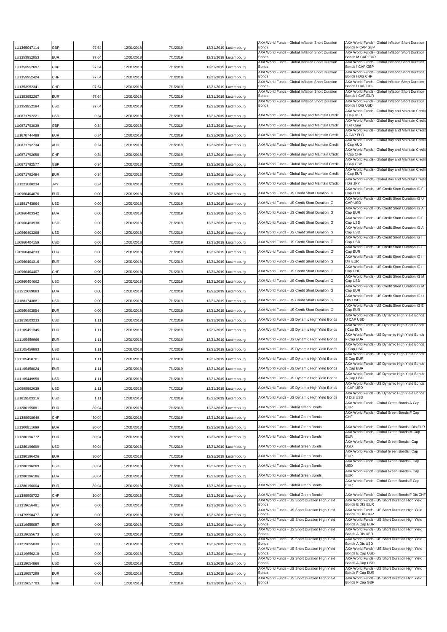| U1365047114  | GBP        | 97,64 | 12/31/2018 | 7/1/2019 | 12/31/2019 Luxembourg | AXA World Funds - Global Inflation Short Duration<br><b>Bonds</b> | AXA World Funds - Global Inflation Short Duration<br>Bonds F CAP GBP                         |
|--------------|------------|-------|------------|----------|-----------------------|-------------------------------------------------------------------|----------------------------------------------------------------------------------------------|
| LU1353952853 | EUR        | 97,64 | 12/31/2018 | 7/1/2019 | 12/31/2019 Luxembourg | AXA World Funds - Global Inflation Short Duration<br>Bonds        | AXA World Funds - Global Inflation Short Duration<br>Bonds M CAP EUR                         |
| U1353952697  | GBP        | 97,64 | 12/31/2018 | 7/1/2019 | 12/31/2019 Luxembourg | AXA World Funds - Global Inflation Short Duration<br>Bonds        | AXA World Funds - Global Inflation Short Duration<br>Bonds I CAP GBP                         |
| LU1353952424 | CHF        | 97,64 | 12/31/2018 | 7/1/2019 | 12/31/2019 Luxembourg | AXA World Funds - Global Inflation Short Duration<br>Bonds        | AXA World Funds - Global Inflation Short Duration<br>Bonds I DIS CHF                         |
| U1353952341  | CHF        | 97,64 | 12/31/2018 | 7/1/2019 | 12/31/2019 Luxembourg | AXA World Funds - Global Inflation Short Duration<br>Bonds        | AXA World Funds - Global Inflation Short Duration<br>Bonds I CAP CHF                         |
| U1353952267  | EUR        | 97,64 | 12/31/2018 | 7/1/2019 | 12/31/2019 Luxembourg | AXA World Funds - Global Inflation Short Duration<br>Bonds        | AXA World Funds - Global Inflation Short Duration<br>Bonds I CAP EUR                         |
| U1353952184  | USD        | 97,64 | 12/31/2018 | 7/1/2019 | 12/31/2019 Luxembourg | AXA World Funds - Global Inflation Short Duration<br>Bonds        | AXA World Funds - Global Inflation Short Duration<br>Bonds I DIS USD                         |
| LU0871792221 | USD        | 0,34  | 12/31/2018 | 7/1/2019 | 12/31/2019 Luxembourg | AXA World Funds - Global Buy and Maintain Credit                  | AXA World Funds - Global Buy and Maintain Credit<br>I Cap USD                                |
| LU0871793039 | GBP        | 0,34  | 12/31/2018 | 7/1/2019 | 12/31/2019 Luxembourg | AXA World Funds - Global Buy and Maintain Credit                  | AXA World Funds - Global Buy and Maintain Credit<br>I Dis Quar                               |
| LU1670744488 | EUR        | 0,34  | 12/31/2018 | 7/1/2019 | 12/31/2019 Luxembourg | AXA World Funds - Global Buy and Maintain Credit                  | AXA World Funds - Global Buy and Maintain Credit<br>A CAP EUR                                |
| LU0871792734 | AUD        | 0,34  | 12/31/2018 | 7/1/2019 | 12/31/2019 Luxembourg | AXA World Funds - Global Buy and Maintain Credit                  | AXA World Funds - Global Buy and Maintain Credit<br>I Cap AUD                                |
| LU0871792650 | CHF        | 0,34  | 12/31/2018 | 7/1/2019 | 12/31/2019 Luxembourg | AXA World Funds - Global Buy and Maintain Credit                  | AXA World Funds - Global Buy and Maintain Credit<br>I Cap CHF                                |
| LU0871792577 | GBP        | 0,34  | 12/31/2018 | 7/1/2019 | 12/31/2019 Luxembourg | AXA World Funds - Global Buy and Maintain Credit                  | AXA World Funds - Global Buy and Maintain Credit<br>l Cap GBP                                |
| LU0871792494 | EUR        | 0,34  | 12/31/2018 | 7/1/2019 | 12/31/2019 Luxembourg | AXA World Funds - Global Buy and Maintain Credit                  | AXA World Funds - Global Buy and Maintain Credit<br>I Cap EUR                                |
| LU1221080234 | JPY        | 0,34  | 12/31/2018 | 7/1/2019 | 12/31/2019 Luxembourg | AXA World Funds - Global Buy and Maintain Credit                  | AXA World Funds - Global Buy and Maintain Credit<br>Dis JPY                                  |
| LU0960404076 | EUR        | 0,00  | 12/31/2018 | 7/1/2019 | 12/31/2019 Luxembourg | AXA World Funds - US Credit Short Duration IG                     | AXA World Funds - US Credit Short Duration IG F<br>Cap EUR                                   |
| U1881743964  | USD        |       |            |          |                       | AXA World Funds - US Credit Short Duration IG                     | AXA World Funds - US Credit Short Duration IG U<br>CAP USD                                   |
|              |            | 0,00  | 12/31/2018 | 7/1/2019 | 12/31/2019 Luxembourg | AXA World Funds - US Credit Short Duration IG                     | AXA World Funds - US Credit Short Duration IG A<br>Cap EUR                                   |
| LU0960403342 | EUR        | 0,00  | 12/31/2018 | 7/1/2019 | 12/31/2019 Luxembourg | AXA World Funds - US Credit Short Duration IG                     | AXA World Funds - US Credit Short Duration IG F<br>Cap USD                                   |
| LU0960403938 | USD        | 0,00  | 12/31/2018 | 7/1/2019 | 12/31/2019 Luxembourg | AXA World Funds - US Credit Short Duration IG                     | AXA World Funds - US Credit Short Duration IG A                                              |
| LU0960403268 | JSD        | 0,00  | 12/31/2018 | 7/1/2019 | 12/31/2019 Luxembourg |                                                                   | Cap USD<br>AXA World Funds - US Credit Short Duration IG I                                   |
| LU0960404159 | USD        | 0,00  | 12/31/2018 | 7/1/2019 | 12/31/2019 Luxembourg | AXA World Funds - US Credit Short Duration IG                     | Cap USD<br>AXA World Funds - US Credit Short Duration IG I                                   |
| LU0960404233 | <b>EUR</b> | 0,00  | 12/31/2018 | 7/1/2019 | 12/31/2019 Luxembourg | AXA World Funds - US Credit Short Duration IG                     | Cap EUR<br>AXA World Funds - US Credit Short Duration IG I                                   |
| U0960404316  | EUR        | 0,00  | 12/31/2018 | 7/1/2019 | 12/31/2019 Luxembourg | AXA World Funds - US Credit Short Duration IG                     | Dis EUR<br>AXA World Funds - US Credit Short Duration IG I                                   |
| LU0960404407 | CHF        | 0,00  | 12/31/2018 | 7/1/2019 | 12/31/2019 Luxembourg | AXA World Funds - US Credit Short Duration IG                     | Cap CHF<br>AXA World Funds - US Credit Short Duration IG M                                   |
| LU0960404662 | USD        | 0,00  | 12/31/2018 | 7/1/2019 | 12/31/2019 Luxembourg | AXA World Funds - US Credit Short Duration IG                     | Cap USD<br>AXA World Funds - US Credit Short Duration IG M                                   |
| U1512669083  | EUR        | 0,00  | 12/31/2018 | 7/1/2019 | 12/31/2019 Luxembourg | AXA World Funds - US Credit Short Duration IG                     | Cap EUR<br>AXA World Funds - US Credit Short Duration IG U                                   |
| LU1881743881 | USD        | 0,00  | 12/31/2018 | 7/1/2019 | 12/31/2019 Luxembourg | AXA World Funds - US Credit Short Duration IG                     | DIS USD<br>AXA World Funds - US Credit Short Duration IG E                                   |
| LU0960403854 | EUR        | 0,00  | 12/31/2018 | 7/1/2019 | 12/31/2019 Luxembourg | AXA World Funds - US Credit Short Duration IG                     | Cap EUR<br>AXA World Funds - US Dynamic High Yield Bonds                                     |
| U1819503233  | USD        | 1,11  | 12/31/2018 | 7/1/2019 | 12/31/2019 Luxembourg | AXA World Funds - US Dynamic High Yield Bonds                     | <b>U CAP USD</b><br>AXA World Funds - US Dynamic High Yield Bonds                            |
| U1105451345  | EUR        | 1,11  | 12/31/2018 | 7/1/2019 | 12/31/2019 Luxembourg | AXA World Funds - US Dynamic High Yield Bonds                     | Cap EUR<br>AXA World Funds - US Dynamic High Yield Bonds                                     |
| U1105450966  | EUR        | 1,11  | 12/31/2018 | 7/1/2019 | 12/31/2019 Luxembourg | AXA World Funds - US Dynamic High Yield Bonds                     | F Cap EUR<br>AXA World Funds - US Dynamic High Yield Bonds                                   |
| LU1105450883 | USD        | 1,11  | 12/31/2018 | 7/1/2019 | 12/31/2019 Luxembourg | AXA World Funds - US Dynamic High Yield Bonds                     | F Cap USD<br>AXA World Funds - US Dynamic High Yield Bonds                                   |
| .U1105450701 | EUR        | 1,11  | 12/31/2018 | 7/1/2019 | 12/31/2019 Luxembourg | AXA World Funds - US Dynamic High Yield Bonds                     | E Cap EUR<br>AXA World Funds - US Dynamic High Yield Bonds                                   |
| U1105450024  | EUR        | 1,11  | 12/31/2018 | 7/1/2019 | 12/31/2019 Luxembourg | AXA World Funds - US Dynamic High Yield Bonds                     | A Cap EUR<br>AXA World Funds - US Dynamic High Yield Bonds                                   |
| LU1105449950 | USD        | 1,11  | 12/31/2018 | 7/1/2019 | 12/31/2019 Luxembourg | AXA World Funds - US Dynamic High Yield Bonds                     | A Cap USD<br>AXA World Funds - US Dynamic High Yield Bonds                                   |
| LU0998992639 | USD        | 1,11  | 12/31/2018 | 7/1/2019 | 12/31/2019 Luxembourg | AXA World Funds - US Dynamic High Yield Bonds                     | I CAP USD<br>AXA World Funds - US Dynamic High Yield Bonds                                   |
| LU1819503316 | USD        | 1,11  | 12/31/2018 | 7/1/2019 | 12/31/2019 Luxembourg | AXA World Funds - US Dynamic High Yield Bonds                     | U DIS USD<br>AXA World Funds - Global Green Bonds A Cap                                      |
| LU1280195881 | EUR        | 30,04 | 12/31/2018 | 7/1/2019 | 12/31/2019 Luxembourg | AXA World Funds - Global Green Bonds                              | <b>EUR</b><br>AXA World Funds - Global Green Bonds F Cap                                     |
| LU1388908649 | CHF        | 30,04 | 12/31/2018 | 7/1/2019 | 12/31/2019 Luxembourg | AXA World Funds - Global Green Bonds                              | CHF                                                                                          |
| LU1300811699 | EUR        | 30,04 | 12/31/2018 | 7/1/2019 | 12/31/2019 Luxembourg | AXA World Funds - Global Green Bonds                              | AXA World Funds - Global Green Bonds I Dis EUR<br>AXA World Funds - Global Green Bonds M Cap |
| LU1280196772 | EUR        | 30,04 | 12/31/2018 | 7/1/2019 | 12/31/2019 Luxembourg | AXA World Funds - Global Green Bonds                              | <b>EUR</b>                                                                                   |
| LU1280196699 | USD        | 30,04 | 12/31/2018 | 7/1/2019 | 12/31/2019 Luxembourg | AXA World Funds - Global Green Bonds                              | AXA World Funds - Global Green Bonds I Cap<br><b>USD</b>                                     |
| LU1280196426 | EUR        | 30,04 | 12/31/2018 | 7/1/2019 | 12/31/2019 Luxembourg | AXA World Funds - Global Green Bonds                              | AXA World Funds - Global Green Bonds I Cap<br><b>EUR</b>                                     |
| LU1280196269 | USD        | 30,04 | 12/31/2018 | 7/1/2019 | 12/31/2019 Luxembourg | AXA World Funds - Global Green Bonds                              | AXA World Funds - Global Green Bonds F Cap<br><b>USD</b>                                     |
| LU1280196186 | EUR        | 30,04 | 12/31/2018 | 7/1/2019 | 12/31/2019 Luxembourg | AXA World Funds - Global Green Bonds                              | AXA World Funds - Global Green Bonds F Cap<br><b>EUR</b>                                     |
| LU1280196004 | EUR        | 30,04 | 12/31/2018 | 7/1/2019 | 12/31/2019 Luxembourg | AXA World Funds - Global Green Bonds                              | AXA World Funds - Global Green Bonds E Cap<br><b>EUR</b>                                     |
| LU1388908722 | CHF        | 30,04 | 12/31/2018 | 7/1/2019 | 12/31/2019 Luxembourg | AXA World Funds - Global Green Bonds                              | AXA World Funds - Global Green Bonds F Dis CHF                                               |
| U1319656481  | EUR        | 0,00  | 12/31/2018 | 7/1/2019 | 12/31/2019 Luxembourg | AXA World Funds - US Short Duration High Yield<br>Bonds           | AXA World Funds - US Short Duration High Yield<br>Bonds E DIS EUR                            |
| LU1479558477 | GBP        | 0,00  | 12/31/2018 | 7/1/2019 | 12/31/2019 Luxembourg | AXA World Funds - US Short Duration High Yield<br>Bonds           | AXA World Funds - US Short Duration High Yield<br>Bonds ZI Dis GBP                           |
| LU1319655087 | EUR        | 0,00  | 12/31/2018 | 7/1/2019 | 12/31/2019 Luxembourg | AXA World Funds - US Short Duration High Yield<br>Bonds           | AXA World Funds - US Short Duration High Yield<br>Bonds A Cap EUR                            |
| LU1319655673 | USD        | 0,00  | 12/31/2018 | 7/1/2019 | 12/31/2019 Luxembourg | AXA World Funds - US Short Duration High Yield<br>Bonds           | AXA World Funds - US Short Duration High Yield<br>Bonds A Dis USD                            |
| LU1319655830 | USD        | 0,00  | 12/31/2018 | 7/1/2019 | 12/31/2019 Luxembourg | AXA World Funds - US Short Duration High Yield<br>Bonds           | AXA World Funds - US Short Duration High Yield<br>Bonds A Dis USD                            |
| LU1319656218 | USD        | 0,00  | 12/31/2018 | 7/1/2019 | 12/31/2019 Luxembourg | AXA World Funds - US Short Duration High Yield<br>Bonds           | AXA World Funds - US Short Duration High Yield<br>Bonds E Cap USD                            |
| U1319654866  | USD        | 0,00  | 12/31/2018 | 7/1/2019 | 12/31/2019 Luxembourg | AXA World Funds - US Short Duration High Yield<br>Bonds           | AXA World Funds - US Short Duration High Yield<br>Bonds A Cap USD                            |
| LU1319657299 | EUR        | 0,00  | 12/31/2018 | 7/1/2019 | 12/31/2019 Luxembourg | AXA World Funds - US Short Duration High Yield<br>Bonds           | AXA World Funds - US Short Duration High Yield<br>Bonds F Cap EUR                            |
| LU1319657703 | GBP        | 0,00  | 12/31/2018 | 7/1/2019 | 12/31/2019 Luxembourg | AXA World Funds - US Short Duration High Yield<br>Bonds           | AXA World Funds - US Short Duration High Yield<br>Bonds F Cap GBP                            |
|              |            |       |            |          |                       |                                                                   |                                                                                              |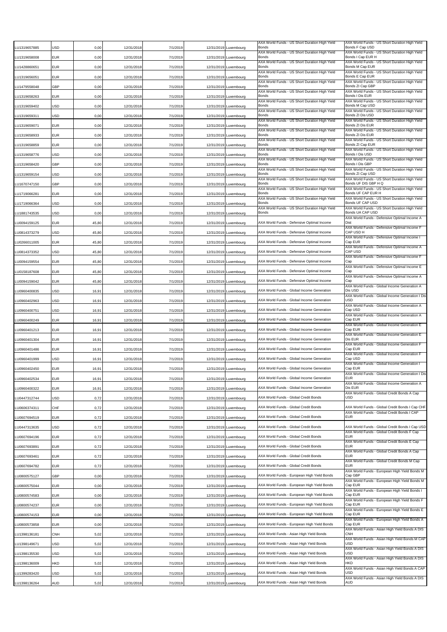| LU1319657885                 | USD               | 0,00         | 12/31/2018               | 7/1/2019             | 12/31/2019               | Luxembourg               | AXA World Funds - US Short Duration High Yield<br>Bonds        | AXA World Funds - US Short Duration High Yield<br>Bonds F Cap USD      |
|------------------------------|-------------------|--------------|--------------------------|----------------------|--------------------------|--------------------------|----------------------------------------------------------------|------------------------------------------------------------------------|
| LU1319658008                 | EUR               | 0,00         | 12/31/2018               | 7/1/2019             |                          | 12/31/2019 Luxembourg    | AXA World Funds - US Short Duration High Yield<br>Bonds        | AXA World Funds - US Short Duration High Yield<br>Bonds I Cap EUR H    |
| LU1428860651                 | EUR               | 0,00         | 12/31/2018               | 7/1/2019             | 12/31/2019               | Luxembourg               | AXA World Funds - US Short Duration High Yield<br>Bonds        | AXA World Funds - US Short Duration High Yield<br>Bonds M Cap EUR      |
| LU1319656051                 | EUR               | 0,00         | 12/31/2018               | 7/1/2019             | 12/31/2019               | Luxembourg               | AXA World Funds - US Short Duration High Yield<br><b>Bonds</b> | AXA World Funds - US Short Duration High Yield<br>Bonds E Cap EUR      |
| LU1479558048                 | GBP               | 0,00         | 12/31/2018               | 7/1/2019             | 12/31/2019               | Luxembourg               | AXA World Funds - US Short Duration High Yield<br>Bonds        | AXA World Funds - US Short Duration High Yield<br>Bonds ZI Cap GBP     |
| LU1319658263                 | EUR               | 0,00         | 12/31/2018               | 7/1/2019             | 12/31/2019               | Luxembourg               | AXA World Funds - US Short Duration High Yield<br>Bonds        | AXA World Funds - US Short Duration High Yield<br>Bonds I Dis EUR      |
| LU1319659402                 | USD               | 0,00         | 12/31/2018               | 7/1/2019             |                          | 12/31/2019 Luxembourg    | AXA World Funds - US Short Duration High Yield<br><b>Bonds</b> | AXA World Funds - US Short Duration High Yield<br>Bonds M Cap USD      |
| LU1319659311                 | USD               | 0,00         | 12/31/2018               | 7/1/2019             |                          | 12/31/2019 Luxembourg    | AXA World Funds - US Short Duration High Yield<br>Bonds        | AXA World Funds - US Short Duration High Yield<br>Bonds ZI Dis USD     |
| LU1319659071                 | EUR               | 0,00         | 12/31/2018               | 7/1/2019             | 12/31/2019               | Luxembourg               | AXA World Funds - US Short Duration High Yield<br>Bonds        | AXA World Funds - US Short Duration High Yield<br>Bonds ZLDis EUR      |
| LU1319658933                 | <b>EUR</b>        | 0,00         | 12/31/2018               | 7/1/2019             | 12/31/2019               | Luxembourg               | AXA World Funds - US Short Duration High Yield<br>Bonds        | AXA World Funds - US Short Duration High Yield<br>Bonds ZI Dis EUR     |
| LU1319658859                 | <b>EUR</b>        | 0,00         | 12/31/2018               | 7/1/2019             | 12/31/2019               | Luxembourg               | AXA World Funds - US Short Duration High Yield<br>Bonds        | AXA World Funds - US Short Duration High Yield<br>Bonds ZI Cap EUR     |
| LU1319658776                 | USD               | 0,00         | 12/31/2018               | 7/1/2019             | 12/31/2019               | Luxembourg               | AXA World Funds - US Short Duration High Yield<br>Bonds        | AXA World Funds - US Short Duration High Yield<br>Bonds I Dis USD      |
| LU1319658420                 | GBP               | 0,00         | 12/31/2018               | 7/1/2019             |                          | 12/31/2019 Luxembourg    | AXA World Funds - US Short Duration High Yield<br>Bonds        | AXA World Funds - US Short Duration High Yield<br>Bonds I Dis GBP      |
| LU1319659154                 | USD               | 0,00         | 12/31/2018               | 7/1/2019             |                          | 12/31/2019 Luxembourg    | AXA World Funds - US Short Duration High Yield<br>Bonds        | AXA World Funds - US Short Duration High Yield<br>Bonds ZI Cap USD     |
| LU1670747150                 | GBP               | 0,00         | 12/31/2018               | 7/1/2019             |                          | 12/31/2019 Luxembourg    | AXA World Funds - US Short Duration High Yield<br>Bonds        | AXA World Funds - US Short Duration High Yield<br>Bonds UF DIS GBP H Q |
| LU1719066281                 | EUR               | 0,00         | 12/31/2018               | 7/1/2019             | 12/31/2019               | Luxembourg               | AXA World Funds - US Short Duration High Yield<br>Bonds        | AXA World Funds - US Short Duration High Yield<br>Bonds UF CAP EUR H   |
| LU1719066364                 | USD               | 0,00         | 12/31/2018               | 7/1/2019             | 12/31/2019               | Luxembourg               | AXA World Funds - US Short Duration High Yield<br>Bonds        | AXA World Funds - US Short Duration High Yield<br>Bonds UF CAP USD     |
| LU1881743535                 | <b>USD</b>        | 0,00         | 12/31/2018               | 7/1/2019             | 12/31/2019               | Luxembourg               | AXA World Funds - US Short Duration High Yield<br><b>Bonds</b> | AXA World Funds - US Short Duration High Yield<br>Bonds UA CAP USD     |
| LU0094159125                 | <b>EUR</b>        | 45,80        | 12/31/2018               | 7/1/2019             |                          | 12/31/2019 Luxembourg    | AXA World Funds - Defensive Optimal Income                     | AXA World Funds - Defensive Optimal Income A<br>Dist                   |
| LU0814373279                 | USD               | 45,80        | 12/31/2018               | 7/1/2019             |                          | 12/31/2019 Luxembourg    | AXA World Funds - Defensive Optimal Income                     | AXA World Funds - Defensive Optimal Income F<br>CAP USD H              |
| LU0266011005                 | EUR               | 45,80        | 12/31/2018               | 7/1/2019             |                          | 12/31/2019 Luxembourg    | AXA World Funds - Defensive Optimal Income                     | AXA World Funds - Defensive Optimal Income I<br>Cap EUR                |
| LU0814373352                 | USD               | 45,80        | 12/31/2018               | 7/1/2019             | 12/31/2019               | Luxembourg               | AXA World Funds - Defensive Optimal Income                     | AXA World Funds - Defensive Optimal Income A<br>CAP USD                |
| LU0094159554                 | <b>EUR</b>        | 45,80        | 12/31/2018               | 7/1/2019             | 12/31/2019               | Luxembourg               | AXA World Funds - Defensive Optimal Income                     | AXA World Funds - Defensive Optimal Income F<br>Cap                    |
| LU0158187608                 | EUR               | 45,80        | 12/31/2018               | 7/1/2019             | 12/31/2019               | Luxembourg               | AXA World Funds - Defensive Optimal Income                     | AXA World Funds - Defensive Optimal Income E<br>Cap                    |
| LU0094159042                 | EUR               | 45,80        | 12/31/2018               | 7/1/2019             |                          | 12/31/2019 Luxembourg    | AXA World Funds - Defensive Optimal Income                     | AXA World Funds - Defensive Optimal Income A<br>Cap                    |
| LU0960400835                 | USD               | 16,91        | 12/31/2018               | 7/1/2019             |                          | 12/31/2019 Luxembourg    | AXA World Funds - Global Income Generation                     | AXA World Funds - Global Income Generation A<br>Dis USD                |
| LU0960402963                 | USD               | 16,91        | 12/31/2018               | 7/1/2019             |                          | 12/31/2019 Luxembourg    | AXA World Funds - Global Income Generation                     | AXA World Funds - Global Income Generation I Dis<br>USD                |
| LU0960400751                 | USD               | 16,91        | 12/31/2018               | 7/1/2019             | 12/31/2019               | Luxembourg               | AXA World Funds - Global Income Generation                     | AXA World Funds - Global Income Generation A<br>Cap USD                |
| LU0960400249                 | EUR               | 16,91        | 12/31/2018               | 7/1/2019             | 12/31/2019               | Luxembourg               | AXA World Funds - Global Income Generation                     | AXA World Funds - Global Income Generation A<br>Cap EUR                |
| LU0960401213                 | <b>EUR</b>        | 16,91        | 12/31/2018               | 7/1/2019             | 12/31/2019               | Luxembourg               | AXA World Funds - Global Income Generation                     | AXA World Funds - Global Income Generation E<br>Cap EUR                |
| LU0960401304                 | EUR               | 16,91        | 12/31/2018               | 7/1/2019             | 12/31/2019               | Luxembourg               | AXA World Funds - Global Income Generation                     | AXA World Funds - Global Income Generation E<br>Dis EUR                |
| U0960401486 <b>.</b>         | EUR               | 16,91        | 12/31/2018               | 7/1/2019             |                          | 12/31/2019 Luxembourg    | AXA World Funds - Global Income Generation                     | AXA World Funds - Global Income Generation F<br>Cap EUR                |
| LU0960401999                 | USD               | 16,91        | 12/31/2018               | 7/1/2019             |                          | 12/31/2019 Luxembourg    | AXA World Funds - Global Income Generation                     | AXA World Funds - Global Income Generation F<br>Cap USD                |
| LU0960402450                 | EUR               | 16,91        | 12/31/2018               | 7/1/2019             |                          | 12/31/2019 Luxembourg    | AXA World Funds - Global Income Generation                     | AXA World Funds - Global Income Generation I<br>Cap EUR                |
| LU0960402534                 | <b>EUR</b>        | 16,91        | 12/31/2018               | 7/1/2019             |                          | 12/31/2019 Luxembourg    | AXA World Funds - Global Income Generation                     | AXA World Funds - Global Income Generation I Dis<br><b>EUR</b>         |
| LU0960400322                 | <b>EUR</b>        | 16,91        | 12/31/2018               | 7/1/2019             | 12/31/2019               | Luxembourg               | AXA World Funds - Global Income Generation                     | AXA World Funds - Global Income Generation A<br>Dis EUR                |
| LU0447312744                 | USD               | 0,72         | 12/31/2018               | 7/1/2019             |                          | 12/31/2019 Luxembourg    | AXA World Funds - Global Credit Bonds                          | AXA World Funds - Global Credit Bonds A Cap<br><b>USD</b>              |
| LU0606374311                 | CHF               | 0,72         | 12/31/2018               | 7/1/2019             |                          | 12/31/2019 Luxembourg    | AXA World Funds - Global Credit Bonds                          | AXA World Funds - Global Credit Bonds I Cap CHF                        |
| LU0607694519                 | <b>EUR</b>        | 0,72         | 12/31/2018               | 7/1/2019             |                          | 12/31/2019 Luxembourg    | AXA World Funds - Global Credit Bonds                          | AXA World Funds - Global Credit Bonds I CAP<br><b>EUR</b>              |
| LU0447313635                 | USD               | 0,72         | 12/31/2018               | 7/1/2019             |                          | 12/31/2019 Luxembourg    | AXA World Funds - Global Credit Bonds                          | AXA World Funds - Global Credit Bonds I Cap USD                        |
| LU0607694196                 | <b>EUR</b>        | 0,72         | 12/31/2018               | 7/1/2019             | 12/31/2019               | Luxembourg               | AXA World Funds - Global Credit Bonds                          | AXA World Funds - Global Credit Bonds F Cap<br>EUR                     |
| LU0607693891                 | <b>EUR</b>        | 0,72         | 12/31/2018               | 7/1/2019             |                          | 12/31/2019 Luxembourg    | AXA World Funds - Global Credit Bonds                          | AXA World Funds - Global Credit Bonds E Cap<br><b>EUR</b>              |
| LU0607693461                 | EUR               | 0,72         | 12/31/2018               | 7/1/2019             |                          | 12/31/2019 Luxembourg    | AXA World Funds - Global Credit Bonds                          | AXA World Funds - Global Credit Bonds A Cap<br><b>EUR</b>              |
| LU0607694782                 | <b>EUR</b>        | 0,72         | 12/31/2018               | 7/1/2019             |                          | 12/31/2019 Luxembourg    | AXA World Funds - Global Credit Bonds                          | AXA World Funds - Global Credit Bonds M Cap<br><b>EUR</b>              |
| LU0800575127                 | GBP               | 0,00         | 12/31/2018               | 7/1/2019             |                          | 12/31/2019 Luxembourg    | AXA World Funds - European High Yield Bonds                    | AXA World Funds - European High Yield Bonds M<br>Cap GBP               |
| LU0800575044                 | EUR               | 0,00         | 12/31/2018               | 7/1/2019             |                          | 12/31/2019 Luxembourg    | AXA World Funds - European High Yield Bonds                    | AXA World Funds - European High Yield Bonds M<br>Cap EUR               |
|                              |                   |              |                          |                      |                          |                          | AXA World Funds - European High Yield Bonds                    | AXA World Funds - European High Yield Bonds I<br>Cap EUR               |
| LU0800574583<br>LU0800574237 | EUR<br><b>EUR</b> | 0,00<br>0,00 | 12/31/2018<br>12/31/2018 | 7/1/2019<br>7/1/2019 | 12/31/2019<br>12/31/2019 | Luxembourg<br>Luxembourg | AXA World Funds - European High Yield Bonds                    | AXA World Funds - European High Yield Bonds F<br>Cap EUR               |
|                              | <b>EUR</b>        |              |                          |                      |                          |                          | AXA World Funds - European High Yield Bonds                    | AXA World Funds - European High Yield Bonds E<br>Cap EUR               |
| LU0800574153                 |                   | 0,00         | 12/31/2018               | 7/1/2019             |                          | 12/31/2019 Luxembourg    | AXA World Funds - European High Yield Bonds                    | AXA World Funds - European High Yield Bonds A<br>Cap EUR               |
| LU0800573858                 | <b>EUR</b>        | 0,00         | 12/31/2018               | 7/1/2019             |                          | 12/31/2019 Luxembourg    | AXA World Funds - Asian High Yield Bonds                       | AXA World Funds - Asian High Yield Bonds A DIS<br><b>CNH</b>           |
| LU1398136181                 | CNH               | 5,02         | 12/31/2018               | 7/1/2019             |                          | 12/31/2019 Luxembourg    |                                                                | AXA World Funds - Asian High Yield Bonds M CAP<br><b>USD</b>           |
| LU1398149671                 | USD               | 5,02         | 12/31/2018               | 7/1/2019             |                          | 12/31/2019 Luxembourg    | AXA World Funds - Asian High Yield Bonds                       | AXA World Funds - Asian High Yield Bonds A DIS<br><b>USD</b>           |
| LU1398135530                 | USD               | 5,02         | 12/31/2018               | 7/1/2019             |                          | 12/31/2019 Luxembourg    | AXA World Funds - Asian High Yield Bonds                       | AXA World Funds - Asian High Yield Bonds A DIS<br><b>HKD</b>           |
| LU1398136009                 | HKD               | 5,02         | 12/31/2018               | 7/1/2019             | 12/31/2019               | Luxembourg               | AXA World Funds - Asian High Yield Bonds                       | AXA World Funds - Asian High Yield Bonds A CAP<br>USD                  |
| U1399283420                  | USD               | 5,02         | 12/31/2018               | 7/1/2019             | 12/31/2019               | Luxembourg               | AXA World Funds - Asian High Yield Bonds                       | AXA World Funds - Asian High Yield Bonds A DIS                         |
| LU1398136264                 | AUD               | 5,02         | 12/31/2018               | 7/1/2019             |                          | 12/31/2019 Luxembourg    | AXA World Funds - Asian High Yield Bonds                       | AUD                                                                    |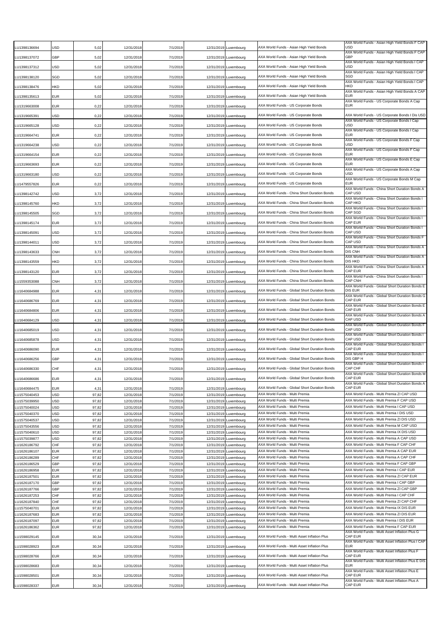| U1398136694                  | USD                      | 5,02           | 12/31/2018               | 7/1/2019             |                          | 12/31/2019 Luxembourg                          | AXA World Funds - Asian High Yield Bonds                                        | AXA World Funds - Asian High Yield Bonds F CAP<br>USD                                 |
|------------------------------|--------------------------|----------------|--------------------------|----------------------|--------------------------|------------------------------------------------|---------------------------------------------------------------------------------|---------------------------------------------------------------------------------------|
| LU1398137072                 | <b>GBP</b>               | 5,02           | 12/31/2018               | 7/1/2019             |                          | 12/31/2019 Luxembourg                          | AXA World Funds - Asian High Yield Bonds                                        | AXA World Funds - Asian High Yield Bonds F CAP<br>GBP                                 |
| LU1398137312                 | <b>USD</b>               | 5,02           | 12/31/2018               | 7/1/2019             | 12/31/2019               | Luxembourg                                     | AXA World Funds - Asian High Yield Bonds                                        | AXA World Funds - Asian High Yield Bonds I CAP<br>USD                                 |
| LU1398138120                 | SGD                      | 5,02           | 12/31/2018               | 7/1/2019             | 12/31/2019               | Luxembourg                                     | AXA World Funds - Asian High Yield Bonds                                        | AXA World Funds - Asian High Yield Bonds I CAP<br>SGD                                 |
| U1398138476.                 | <b>HKD</b>               | 5,02           | 12/31/2018               | 7/1/2019             | 12/31/2019               | Luxembourg                                     | AXA World Funds - Asian High Yield Bonds                                        | AXA World Funds - Asian High Yield Bonds I CAP<br>HKD                                 |
| LU1398135613                 | <b>EUR</b>               | 5,02           | 12/31/2018               | 7/1/2019             |                          | 12/31/2019 Luxembourg                          | AXA World Funds - Asian High Yield Bonds                                        | AXA World Funds - Asian High Yield Bonds A CAP<br><b>EUR</b>                          |
| U1319663008                  | <b>EUR</b>               | 0,22           | 12/31/2018               | 7/1/2019             | 12/31/2019               | Luxembourg                                     | AXA World Funds - US Corporate Bonds                                            | AXA World Funds - US Corporate Bonds A Cap<br><b>EUR</b>                              |
| LU1319665391                 | USD                      | 0,22           | 12/31/2018               | 7/1/2019             |                          | 12/31/2019 Luxembourg                          | AXA World Funds - US Corporate Bonds                                            | AXA World Funds - US Corporate Bonds I Dis USD                                        |
| LU1319665128                 | <b>USD</b>               | 0,22           | 12/31/2018               | 7/1/2019             | 12/31/2019               | Luxembourg                                     | AXA World Funds - US Corporate Bonds                                            | AXA World Funds - US Corporate Bonds I Cap<br>USD                                     |
|                              |                          |                |                          |                      |                          |                                                | AXA World Funds - US Corporate Bonds                                            | AXA World Funds - US Corporate Bonds I Cap<br><b>EUR</b>                              |
| LU1319664741                 | <b>EUR</b>               | 0,22           | 12/31/2018               | 7/1/2019             | 12/31/2019               | Luxembourg                                     |                                                                                 | AXA World Funds - US Corporate Bonds F Cap<br>USD                                     |
| LU1319664238                 | <b>USD</b>               | 0,22           | 12/31/2018               | 7/1/2019             | 12/31/2019               | Luxembourg                                     | AXA World Funds - US Corporate Bonds                                            | AXA World Funds - US Corporate Bonds F Cap                                            |
| LU1319664154                 | <b>EUR</b>               | 0,22           | 12/31/2018               | 7/1/2019             |                          | 12/31/2019 Luxembourg                          | AXA World Funds - US Corporate Bonds                                            | <b>EUR</b><br>AXA World Funds - US Corporate Bonds E Cap                              |
| LU1319663693                 | <b>EUR</b>               | 0,22           | 12/31/2018               | 7/1/2019             | 12/31/2019               | Luxembourg                                     | AXA World Funds - US Corporate Bonds                                            | <b>EUR</b><br>AXA World Funds - US Corporate Bonds A Cap                              |
| LU1319663180                 | <b>USD</b>               | 0,22           | 12/31/2018               | 7/1/2019             |                          | 12/31/2019 Luxembourg                          | AXA World Funds - US Corporate Bonds                                            | USD<br>AXA World Funds - US Corporate Bonds M Cap                                     |
| U1479557826                  | <b>EUR</b>               | 0,22           | 12/31/2018               | 7/1/2019             | 12/31/2019               | Luxembourg                                     | AXA World Funds - US Corporate Bonds                                            | <b>EUR</b><br>AXA World Funds - China Short Duration Bonds A                          |
| LU1398142742                 | USD                      | 3,72           | 12/31/2018               | 7/1/2019             | 12/31/2019               | Luxembourg                                     | AXA World Funds - China Short Duration Bonds                                    | CAP USD<br>AXA World Funds - China Short Duration Bonds I                             |
| U1398145760                  | <b>HKD</b>               | 3,72           | 12/31/2018               | 7/1/2019             | 12/31/2019               | Luxembourg                                     | AXA World Funds - China Short Duration Bonds                                    | CAP HKD<br>AXA World Funds - China Short Duration Bonds                               |
| LU1398145505                 | SGD                      | 3,72           | 12/31/2018               | 7/1/2019             | 12/31/2019               | Luxembourg                                     | AXA World Funds - China Short Duration Bonds                                    | CAP SGD<br>AXA World Funds - China Short Duration Bonds I                             |
| LU1398145174                 | <b>EUR</b>               | 3,72           | 12/31/2018               | 7/1/2019             | 12/31/2019               | Luxembourg                                     | AXA World Funds - China Short Duration Bonds                                    | CAP EUR<br>AXA World Funds - China Short Duration Bonds I                             |
| LU1398145091                 | <b>USD</b>               | 3,72           | 12/31/2018               | 7/1/2019             |                          | 12/31/2019 Luxembourg                          | AXA World Funds - China Short Duration Bonds                                    | CAP USD                                                                               |
| LU1398144011                 | USD                      | 3,72           | 12/31/2018               | 7/1/2019             | 12/31/2019               | Luxembourg                                     | AXA World Funds - China Short Duration Bonds                                    | AXA World Funds - China Short Duration Bonds F<br>CAP USD                             |
| LU1398143633                 | <b>CNH</b>               | 3,72           | 12/31/2018               | 7/1/2019             | 12/31/2019               | Luxembourg                                     | AXA World Funds - China Short Duration Bonds                                    | AXA World Funds - China Short Duration Bonds A<br>DIS CNH                             |
| LU1398143559                 | <b>HKD</b>               | 3,72           | 12/31/2018               | 7/1/2019             | 12/31/2019               | Luxembourg                                     | AXA World Funds - China Short Duration Bonds                                    | AXA World Funds - China Short Duration Bonds A<br>DIS HKD                             |
| LU1398143120                 | <b>EUR</b>               | 3,72           | 12/31/2018               | 7/1/2019             | 12/31/2019               | Luxembourg                                     | AXA World Funds - China Short Duration Bonds                                    | AXA World Funds - China Short Duration Bonds A<br>CAP EUR                             |
| LU1559353088                 | <b>CNH</b>               | 3,72           | 12/31/2018               | 7/1/2019             |                          | 12/31/2019 Luxembourg                          | AXA World Funds - China Short Duration Bonds                                    | AXA World Funds - China Short Duration Bonds I<br>CAP CNH                             |
| LU1640684988                 | <b>EUR</b>               | 4,31           | 12/31/2018               | 7/1/2019             |                          | 12/31/2019 Luxembourg                          | AXA World Funds - Global Short Duration Bonds                                   | AXA World Funds - Global Short Duration Bonds E<br>dis Eur                            |
| LU1640686769                 | <b>EUR</b>               | 4,31           | 12/31/2018               | 7/1/2019             | 12/31/2019               | Luxembourg                                     | AXA World Funds - Global Short Duration Bonds                                   | AXA World Funds - Global Short Duration Bonds G<br>CAP EUR                            |
| LU1640684806                 | <b>EUR</b>               | 4,31           | 12/31/2018               | 7/1/2019             | 12/31/2019               | Luxembourg                                     | AXA World Funds - Global Short Duration Bonds                                   | AXA World Funds - Global Short Duration Bonds E<br>CAP EUR                            |
| U1640684129                  | <b>USD</b>               | 4,31           | 12/31/2018               | 7/1/2019             | 12/31/2019               | Luxembourg                                     | AXA World Funds - Global Short Duration Bonds                                   | AXA World Funds - Global Short Duration Bonds A<br>CAP USD                            |
| LU1640685019                 | <b>USD</b>               | 4,31           | 12/31/2018               | 7/1/2019             | 12/31/2019               | Luxembourg                                     | AXA World Funds - Global Short Duration Bonds                                   | AXA World Funds - Global Short Duration Bonds F<br>CAP USD                            |
| LU1640685878                 | <b>USD</b>               | 4,31           | 12/31/2018               | 7/1/2019             |                          | 12/31/2019 Luxembourg                          | AXA World Funds - Global Short Duration Bonds                                   | AXA World Funds - Global Short Duration Bonds I<br>CAP USD                            |
| U1640686090                  | <b>EUR</b>               | 4,31           | 12/31/2018               | 7/1/2019             | 12/31/2019               | Luxembourg                                     | AXA World Funds - Global Short Duration Bonds                                   | AXA World Funds - Global Short Duration Bonds I<br>CAP EUR                            |
|                              |                          |                |                          |                      |                          |                                                | AXA World Funds - Global Short Duration Bonds                                   | AXA World Funds - Global Short Duration Bonds I<br>DIS GBP H                          |
| U1640686256 <b>.</b>         | GBP                      | 4,31           | 12/31/2018               | 7/1/2019             |                          | 12/31/2019 Luxembourg                          | AXA World Funds - Global Short Duration Bonds                                   | AXA World Funds - Global Short Duration Bonds I<br>CAP CHF                            |
| LU1640686330                 | CHF                      | 4,31           | 12/31/2018               | 7/1/2019             |                          | 12/31/2019 Luxembourg                          |                                                                                 | AXA World Funds - Global Short Duration Bonds M                                       |
| LU1640686686                 | EUR                      | 4,31           | 12/31/2018               | 7/1/2019             |                          | 12/31/2019 Luxembourg                          | AXA World Funds - Global Short Duration Bonds                                   | CAP EUR<br>AXA World Funds - Global Short Duration Bonds A                            |
| LU1640684475<br>LU1575040453 | <b>EUR</b><br>USD        | 4,31<br>97,82  | 12/31/2018<br>12/31/2018 | 7/1/2019<br>7/1/2019 |                          | 12/31/2019 Luxembourg<br>12/31/2019 Luxembourg | AXA World Funds - Global Short Duration Bonds<br>AXA World Funds - Multi Premia | CAP EUR<br>AXA World Funds - Multi Premia ZI CAP USD                                  |
| LU1575039950                 | <b>USD</b>               | 97,82          | 12/31/2018               | 7/1/2019             | 12/31/2019               | Luxembourg                                     | AXA World Funds - Multi Premia                                                  | AXA World Funds - Multi Premia F CAP USD                                              |
| LU1575040024                 | <b>USD</b><br><b>USD</b> | 97,82          | 12/31/2018               | 7/1/2019             | 12/31/2019               | Luxembourg                                     | AXA World Funds - Multi Premia<br>AXA World Funds - Multi Premia                | AXA World Funds - Multi Premia I CAP USD<br>AXA World Funds - Multi Premia I DIS USD  |
| LU1575040370<br>LU1575040537 | USD                      | 97,82<br>97,82 | 12/31/2018<br>12/31/2018 | 7/1/2019<br>7/1/2019 | 12/31/2019               | Luxembourg<br>12/31/2019 Luxembourg            | AXA World Funds - Multi Premia                                                  | AXA World Funds - Multi Premia ZI DIS USD                                             |
| U1575043556                  | USD                      | 97,82          | 12/31/2018               | 7/1/2019             | 12/31/2019               | Luxembourg                                     | AXA World Funds - Multi Premia                                                  | AXA World Funds - Multi Premia M CAP USD                                              |
| LU1575040610                 | <b>USD</b>               | 97,82          | 12/31/2018               | 7/1/2019             | 12/31/2019               | Luxembourg                                     | AXA World Funds - Multi Premia                                                  | AXA World Funds - Multi Premia IX DIS USD                                             |
| LU1575039877<br>LU1626186792 | <b>USD</b><br>CHF        | 97,82<br>97,82 | 12/31/2018<br>12/31/2018 | 7/1/2019<br>7/1/2019 | 12/31/2019<br>12/31/2019 | Luxembourg<br>Luxembourg                       | AXA World Funds - Multi Premia<br>AXA World Funds - Multi Premia                | AXA World Funds - Multi Premia A CAP USD<br>AXA World Funds - Multi Premia F CAP CHF  |
| LU1626186107                 | <b>EUR</b>               | 97,82          | 12/31/2018               | 7/1/2019             |                          | 12/31/2019 Luxembourg                          | AXA World Funds - Multi Premia                                                  | AXA World Funds - Multi Premia A CAP EUR                                              |
| U1626186289                  | CHF                      | 97,82          | 12/31/2018               | 7/1/2019             | 12/31/2019               | Luxembourg                                     | AXA World Funds - Multi Premia                                                  | AXA World Funds - Multi Premia A CAP CHF                                              |
| LU1626186529                 | GBP                      | 97,82          | 12/31/2018               | 7/1/2019             | 12/31/2019               | Luxembourg                                     | AXA World Funds - Multi Premia                                                  | AXA World Funds - Multi Premia F CAP GBP                                              |
| LU1626186958                 | <b>EUR</b>               | 97,82          | 12/31/2018               | 7/1/2019             | 12/31/2019               | Luxembourg                                     | AXA World Funds - Multi Premia                                                  | AXA World Funds - Multi Premia I CAP EUR                                              |
| LU1626187501                 | <b>EUR</b>               | 97,82          | 12/31/2018               | 7/1/2019             | 12/31/2019               | Luxembourg                                     | AXA World Funds - Multi Premia<br>AXA World Funds - Multi Premia                | AXA World Funds - Multi Premia ZI CAP EUR<br>AXA World Funds - Multi Premia I CAP GBP |
| LU1626187170<br>LU1626187766 | GBP<br>GBP               | 97,82<br>97,82 | 12/31/2018<br>12/31/2018 | 7/1/2019<br>7/1/2019 | 12/31/2019               | 12/31/2019 Luxembourg<br>Luxembourg            | AXA World Funds - Multi Premia                                                  | AXA World Funds - Multi Premia ZI CAP GBP                                             |
| LU1626187253                 | CHF                      | 97,82          | 12/31/2018               | 7/1/2019             | 12/31/2019               | Luxembourg                                     | AXA World Funds - Multi Premia                                                  | AXA World Funds - Multi Premia I CAP CHF                                              |
| LU1626187840                 | CHF                      | 97,82          | 12/31/2018               | 7/1/2019             | 12/31/2019               | Luxembourg                                     | AXA World Funds - Multi Premia                                                  | AXA World Funds - Multi Premia ZI CAP CHF                                             |
| LU1575040701                 | <b>EUR</b>               | 97,82          | 12/31/2018               | 7/1/2019             | 12/31/2019               | Luxembourg                                     | AXA World Funds - Multi Premia                                                  | AXA World Funds - Multi Premia IX DIS EUR                                             |
| LU1626187683                 | <b>EUR</b>               | 97,82          | 12/31/2018               | 7/1/2019             | 12/31/2019               | Luxembourg                                     | AXA World Funds - Multi Premia                                                  | AXA World Funds - Multi Premia ZI DIS EUR                                             |
| U1626187097                  | <b>EUR</b>               | 97,82          | 12/31/2018               | 7/1/2019             | 12/31/2019               | Luxembourg                                     | AXA World Funds - Multi Premia<br>AXA World Funds - Multi Premia                | AXA World Funds - Multi Premia I DIS EUR<br>AXA World Funds - Multi Premia F CAP EUR  |
| LU1626186362                 | <b>EUR</b>               | 97,82          | 12/31/2018               | 7/1/2019             | 12/31/2019               | Luxembourg                                     |                                                                                 | AXA World Funds - Multi Asset Inflation Plus G                                        |
| LU1598029145                 | <b>EUR</b>               | 30,34          | 12/31/2018               | 7/1/2019             |                          | 12/31/2019 Luxembourg                          | AXA World Funds - Multi Asset Inflation Plus                                    | CAP EUR<br>AXA World Funds - Multi Asset Inflation Plus I CAP                         |
| LU1598028923                 | <b>EUR</b>               | 30,34          | 12/31/2018               | 7/1/2019             |                          | 12/31/2019 Luxembourg                          | AXA World Funds - Multi Asset Inflation Plus                                    | <b>EUR</b><br>AXA World Funds - Multi Asset Inflation Plus F                          |
| LU1598028766                 | <b>EUR</b>               | 30,34          | 12/31/2018               | 7/1/2019             |                          | 12/31/2019 Luxembourg                          | AXA World Funds - Multi Asset Inflation Plus                                    | CAP EUR<br>AXA World Funds - Multi Asset Inflation Plus E DIS                         |
| LU1598028683                 | <b>EUR</b>               | 30,34          | 12/31/2018               | 7/1/2019             |                          | 12/31/2019 Luxembourg                          | AXA World Funds - Multi Asset Inflation Plus                                    | EUR<br>AXA World Funds - Multi Asset Inflation Plus E                                 |
| LU1598028501                 | <b>EUR</b>               | 30,34          | 12/31/2018               | 7/1/2019             |                          | 12/31/2019 Luxembourg                          | AXA World Funds - Multi Asset Inflation Plus                                    | CAP EUR<br>AXA World Funds - Multi Asset Inflation Plus A                             |
| LU1598028337                 | <b>EUR</b>               | 30,34          | 12/31/2018               | 7/1/2019             |                          | 12/31/2019 Luxembourg                          | AXA World Funds - Multi Asset Inflation Plus                                    | CAP EUR                                                                               |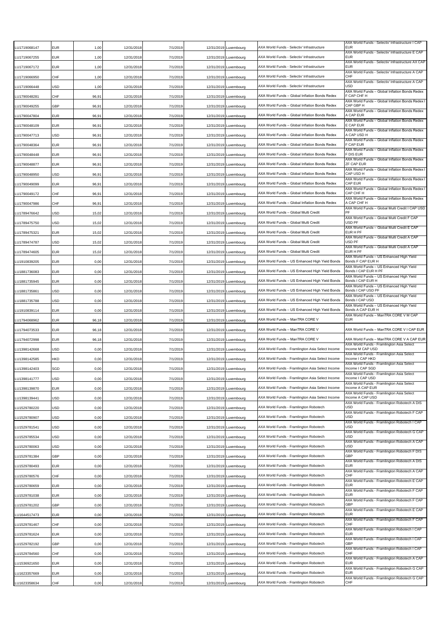| U1719068147          | EUR        | 1,00  | 12/31/2018 | 7/1/2019 | 12/31/2019 Luxembourg | AXA World Funds - Selectiv' Infrastructure       | AXA World Funds - Selectiv' Infrastructure I CAP<br><b>EUR</b>                                      |
|----------------------|------------|-------|------------|----------|-----------------------|--------------------------------------------------|-----------------------------------------------------------------------------------------------------|
| LU1719067255         | EUR        | 1,00  | 12/31/2018 | 7/1/2019 | 12/31/2019 Luxembourg | AXA World Funds - Selectiv' Infrastructure       | AXA World Funds - Selectiv' Infrastructure E CAP<br>EUR                                             |
| LU1719067172         | EUR        | 1,00  | 12/31/2018 | 7/1/2019 | 12/31/2019 Luxembourg | AXA World Funds - Selectiv' Infrastructure       | AXA World Funds - Selectiv' Infrastructure AX CAP<br><b>EUR</b>                                     |
| LU1719066950         | CHF        | 1,00  | 12/31/2018 | 7/1/2019 | 12/31/2019 Luxembourg | AXA World Funds - Selectiv' Infrastructure       | AXA World Funds - Selectiv' Infrastructure A CAP<br><b>CHF</b>                                      |
| U1719066448          | USD        | 1,00  | 12/31/2018 | 7/1/2019 | 12/31/2019 Luxembourg | AXA World Funds - Selectiv' Infrastructure       | AXA World Funds - Selectiv' Infrastructure A CAP<br>USD                                             |
| U1790048281          | CHF        | 96,91 | 12/31/2018 | 7/1/2019 | 12/31/2019 Luxembourg | AXA World Funds - Global Inflation Bonds Redex   | AXA World Funds - Global Inflation Bonds Redex<br>F CAP CHF H                                       |
| U1790049255 <u>.</u> | GBP        | 96,91 | 12/31/2018 | 7/1/2019 | 12/31/2019 Luxembourg | AXA World Funds - Global Inflation Bonds Redex   | AXA World Funds - Global Inflation Bonds Redex<br>CAP GBP H                                         |
| U1790047804.         | EUR        | 96,91 | 12/31/2018 | 7/1/2019 | 12/31/2019 Luxembourg | AXA World Funds - Global Inflation Bonds Redex   | AXA World Funds - Global Inflation Bonds Redex<br>A CAP EUR                                         |
| LU1790048109         | EUR        | 96,91 | 12/31/2018 | 7/1/2019 | 12/31/2019 Luxembourg | AXA World Funds - Global Inflation Bonds Redex   | AXA World Funds - Global Inflation Bonds Redex<br>E CAP EUR                                         |
| LU1790047713         | USD        | 96,91 | 12/31/2018 | 7/1/2019 | 12/31/2019 Luxembourg | AXA World Funds - Global Inflation Bonds Redex   | AXA World Funds - Global Inflation Bonds Redex<br>A CAP USD H                                       |
| LU1790048364         | EUR        | 96,91 | 12/31/2018 | 7/1/2019 | 12/31/2019 Luxembourg | AXA World Funds – Global Inflation Bonds Redex   | AXA World Funds - Global Inflation Bonds Redex<br>F CAP EUR                                         |
| U1790048448          | EUR        | 96,91 | 12/31/2018 | 7/1/2019 | 12/31/2019 Luxembourg | AXA World Funds - Global Inflation Bonds Redex   | AXA World Funds - Global Inflation Bonds Redex<br>F DIS EUR                                         |
| LU1790048877         | EUR        | 96,91 | 12/31/2018 | 7/1/2019 | 12/31/2019 Luxembourg | AXA World Funds - Global Inflation Bonds Redex   | AXA World Funds - Global Inflation Bonds Redex<br>ZF CAP EUR                                        |
| LU1790048950         | JSD        | 96,91 | 12/31/2018 | 7/1/2019 | 12/31/2019 Luxembourg | AXA World Funds – Global Inflation Bonds Redex   | AXA World Funds - Global Inflation Bonds Redex<br>CAP USD H                                         |
| LU1790049099         | EUR        | 96,91 |            | 7/1/2019 |                       | AXA World Funds - Global Inflation Bonds Redex   | AXA World Funds - Global Inflation Bonds Redex<br><b>CAP FUR</b>                                    |
|                      | CHF        |       | 12/31/2018 |          | 12/31/2019 Luxembourg | AXA World Funds - Global Inflation Bonds Redex   | AXA World Funds - Global Inflation Bonds Redex<br>CAP CHF H                                         |
| LU1790049172         |            | 96,91 | 12/31/2018 | 7/1/2019 | 12/31/2019 Luxembourg |                                                  | AXA World Funds - Global Inflation Bonds Redex                                                      |
| U1790047986          | CHF        | 96,91 | 12/31/2018 | 7/1/2019 | 12/31/2019 Luxembourg | AXA World Funds - Global Inflation Bonds Redex   | A CAP CHF H<br>AXA World Funds - Global Multi Credit I CAP USD<br>PF                                |
| U1789476642          | USD        | 15,02 | 12/31/2018 | 7/1/2019 | 12/31/2019 Luxembourg | AXA World Funds - Global Multi Credit            | AXA World Funds - Global Multi Credit F CAF                                                         |
| U1789475750          | USD        | 15,02 | 12/31/2018 | 7/1/2019 | 12/31/2019 Luxembourg | AXA World Funds - Global Multi Credit            | USD PF<br>AXA World Funds - Global Multi Credit E CAP                                               |
| U1789475321          | EUR        | 15,02 | 12/31/2018 | 7/1/2019 | 12/31/2019 Luxembourg | AXA World Funds - Global Multi Credit            | EUR H PF<br>AXA World Funds - Global Multi Credit A CAF                                             |
| LU1789474787         | USD        | 15,02 | 12/31/2018 | 7/1/2019 | 12/31/2019 Luxembourg | AXA World Funds - Global Multi Credit            | USD PF<br>AXA World Funds - Global Multi Credit A CAF                                               |
| LU1789474605         | <b>EUR</b> | 15,02 | 12/31/2018 | 7/1/2019 | 12/31/2019 Luxembourg | AXA World Funds – Global Multi Credit            | EUR H PF<br>AXA World Funds - US Enhanced High Yield                                                |
| U1910839205          | EUR        | 0,00  | 12/31/2018 | 7/1/2019 | 12/31/2019 Luxembourg | AXA World Funds - US Enhanced High Yield Bonds   | Bonds F CAP EUR H<br>AXA World Funds - US Enhanced High Yield                                       |
| LU1881736083         | EUR        | 0,00  | 12/31/2018 | 7/1/2019 | 12/31/2019 Luxembourg | AXA World Funds - US Enhanced High Yield Bonds   | Bonds I CAP EUR H PF<br>AXA World Funds - US Enhanced High Yield                                    |
| LU1881735945         | EUR        | 0,00  | 12/31/2018 | 7/1/2019 | 12/31/2019 Luxembourg | AXA World Funds – US Enhanced High Yield Bonds   | Bonds I CAP EUR H<br>AXA World Funds - US Enhanced High Yield                                       |
| U1881735861          | USD        | 0,00  | 12/31/2018 | 7/1/2019 | 12/31/2019 Luxembourg | AXA World Funds - US Enhanced High Yield Bonds   | Bonds I CAP USD PF                                                                                  |
| LU1881735788         | USD        | 0,00  | 12/31/2018 | 7/1/2019 | 12/31/2019 Luxembourg | AXA World Funds - US Enhanced High Yield Bonds   | AXA World Funds - US Enhanced High Yield<br>Bonds I CAP USD                                         |
| LU1910839114         | EUR        | 0,00  | 12/31/2018 | 7/1/2019 | 12/31/2019 Luxembourg | AXA World Funds – US Enhanced High Yield Bonds   | AXA World Funds – US Enhanced High Yield<br>Bonds A CAP EUR H                                       |
| U1794068962          | EUR        | 96,18 | 12/31/2018 | 7/1/2019 | 12/31/2019 Luxembourg | AXA World Funds - ManTRA CORE V                  | AXA World Funds - ManTRA CORE V M CAP<br><b>EUR</b>                                                 |
| U1794073533          | EUR        | 96,18 | 12/31/2018 | 7/1/2019 | 12/31/2019 Luxembourg | AXA World Funds – ManTRA CORE V                  | AXA World Funds - ManTRA CORE V I CAP EUR                                                           |
| U1794072998          | EUR        | 96,18 | 12/31/2018 | 7/1/2019 | 12/31/2019 Luxembourg | AXA World Funds – ManTRA CORE V                  | AXA World Funds - ManTRA CORE V A CAP EUR                                                           |
| LU1398142668         | USD        | 0,00  | 12/31/2018 | 7/1/2019 | 12/31/2019 Luxembourg | AXA World Funds - Framlington Asia Select Income | AXA World Funds - Framlington Asia Select<br>Income M CAP USD                                       |
| LU1398142585         | HKD        | 0,00  | 12/31/2018 | 7/1/2019 | 12/31/2019 Luxembourg | AXA World Funds - Framlington Asia Select Income | AXA World Funds - Framlington Asia Select<br>Income I CAP HKD                                       |
| U1398142403          | SGD        | 0,00  | 12/31/2018 | 7/1/2019 | 12/31/2019 Luxembourg | AXA World Funds - Framlington Asia Select Income | AXA World Funds - Framlington Asia Select<br>Income I CAP SGD                                       |
| LU1398141777         | USD        | 0,00  | 12/31/2018 | 7/1/2019 | 12/31/2019 Luxembourg | AXA World Funds - Framlington Asia Select Income | AXA World Funds - Framlington Asia Select<br>Income I CAP USD                                       |
| U1398139870          | EUR        | 0,00  | 12/31/2018 | 7/1/2019 | 12/31/2019 Luxembourg | AXA World Funds - Framlington Asia Select Income | AXA World Funds - Framlington Asia Select<br>Income A CAP EUR                                       |
| LU1398139441         | USD        | 0,00  | 12/31/2018 | 7/1/2019 |                       |                                                  |                                                                                                     |
| LU1529780220         | USD        |       |            |          |                       |                                                  | AXA World Funds - Framlington Asia Select<br>Income A CAP USD                                       |
|                      |            |       |            |          | 12/31/2019 Luxembourg | AXA World Funds - Framlington Asia Select Income | AXA World Funds - Framlington Robotech A DIS                                                        |
|                      |            | 0,00  | 12/31/2018 | 7/1/2019 | 12/31/2019 Luxembourg | AXA World Funds - Framlington Robotech           | <b>USD</b><br>AXA World Funds - Framlington Robotech F CAP                                          |
| LU1529780907         | USD        | 0,00  | 12/31/2018 | 7/1/2019 | 12/31/2019 Luxembourg | AXA World Funds - Framlington Robotech           | <b>USD</b><br>AXA World Funds - Framlington Robotech I CAP                                          |
| LU1529781541         | USD        | 0,00  | 12/31/2018 | 7/1/2019 | 12/31/2019 Luxembourg | AXA World Funds - Framlington Robotech           | USD<br>AXA World Funds - Framlington Robotech G CAP                                                 |
| LU1529785534         | USD        | 0,00  | 12/31/2018 | 7/1/2019 | 12/31/2019 Luxembourg | AXA World Funds - Framlington Robotech           | <b>USD</b><br>AXA World Funds - Framlington Robotech A CAP                                          |
| U1529780063          | USD        | 0,00  | 12/31/2018 | 7/1/2019 | 12/31/2019 Luxembourg | AXA World Funds - Framlington Robotech           | <b>USD</b><br>AXA World Funds - Framlington Robotech F DIS                                          |
| U1529781384          | GBP        | 0,00  | 12/31/2018 | 7/1/2019 | 12/31/2019 Luxembourg | AXA World Funds - Framlington Robotech           | GBP<br>AXA World Funds - Framlington Robotech A DIS                                                 |
| LU1529780493         | EUR        | 0,00  | 12/31/2018 | 7/1/2019 | 12/31/2019 Luxembourg | AXA World Funds - Framlington Robotech           | <b>EUR</b><br>AXA World Funds - Framlington Robotech A CAP                                          |
| LU1529780576         | CHF        | 0,00  | 12/31/2018 | 7/1/2019 | 12/31/2019 Luxembourg | AXA World Funds - Framlington Robotech           | <b>CHF</b><br>AXA World Funds - Framlington Robotech E CAP                                          |
| LU1529780659         | EUR        | 0,00  | 12/31/2018 | 7/1/2019 | 12/31/2019 Luxembourg | AXA World Funds - Framlington Robotech           | <b>EUR</b><br>AXA World Funds - Framlington Robotech F CAP                                          |
| LU1529781038         | EUR        | 0,00  | 12/31/2018 | 7/1/2019 | 12/31/2019 Luxembourg | AXA World Funds - Framlington Robotech           | <b>EUR</b><br>AXA World Funds - Framlington Robotech F CAP                                          |
| U1529781202          | GBP        | 0,00  | 12/31/2018 | 7/1/2019 | 12/31/2019 Luxembourg | AXA World Funds - Framlington Robotech           | GBP<br>AXA World Funds - Framlington Robotech E CAP                                                 |
| U1644517473          | EUR        | 0,00  | 12/31/2018 | 7/1/2019 | 12/31/2019 Luxembourg | AXA World Funds - Framlington Robotech           | <b>EUR</b>                                                                                          |
| LU1529781467         | CHF        | 0,00  | 12/31/2018 | 7/1/2019 | 12/31/2019 Luxembourg | AXA World Funds - Framlington Robotech           | AXA World Funds - Framlington Robotech F CAP<br>CHF                                                 |
| U1529781624          | EUR        | 0,00  | 12/31/2018 | 7/1/2019 | 12/31/2019 Luxembourg | AXA World Funds - Framlington Robotech           | AXA World Funds - Framlington Robotech I CAP<br><b>EUR</b>                                          |
| LU1529782192         | GBP        | 0,00  | 12/31/2018 | 7/1/2019 | 12/31/2019 Luxembourg | AXA World Funds - Framlington Robotech           | AXA World Funds - Framlington Robotech I CAP<br>GBF                                                 |
| LU1529784560         | CHF        | 0,00  | 12/31/2018 | 7/1/2019 | 12/31/2019 Luxembourg | AXA World Funds - Framlington Robotech           | AXA World Funds - Framlington Robotech I CAP<br>CHF                                                 |
| U1536921650          | EUR        | 0,00  | 12/31/2018 | 7/1/2019 | 12/31/2019 Luxembourg | AXA World Funds - Framlington Robotech           | AXA World Funds - Framlington Robotech A CAP<br><b>EUR</b>                                          |
| U1623357669          | EUR        | 0,00  | 12/31/2018 | 7/1/2019 | 12/31/2019 Luxembourg | AXA World Funds - Framlington Robotech           | AXA World Funds - Framlington Robotech G CAP<br>EUR<br>AXA World Funds - Framlington Robotech G CAP |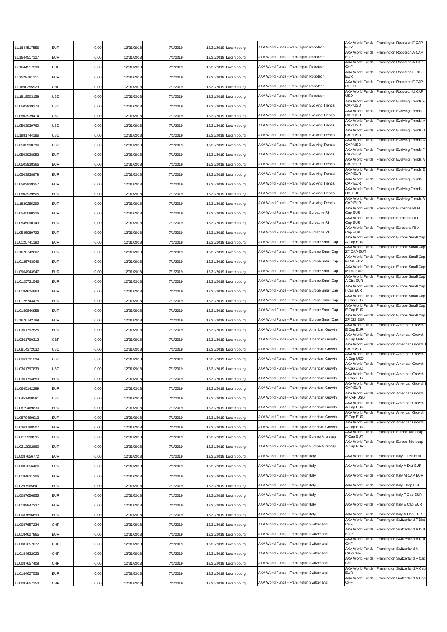| U1644517556  | <b>EUR</b> | 0.00 | 12/31/2018 | 7/1/2019 | 12/31/2019 | Luxembourg            | AXA World Funds - Framlington Robotech         | AXA World Funds - Framlington Robotech F CAP<br><b>EUR</b>     |
|--------------|------------|------|------------|----------|------------|-----------------------|------------------------------------------------|----------------------------------------------------------------|
| LU1644517127 | <b>FUR</b> | 0,00 | 12/31/2018 | 7/1/2019 |            | 12/31/2019 Luxembourg | AXA World Funds - Framlington Robotech         | AXA World Funds - Framlington Robotech A CAP<br><b>EUR</b>     |
| U1644517390  | <b>CHF</b> | 0,00 | 12/31/2018 | 7/1/2019 | 12/31/2019 | Luxembourg            | AXA World Funds - Framlington Robotech         | AXA World Funds - Framlington Robotech A CAP<br>CHF            |
| LU1529781111 | <b>EUR</b> | 0,00 | 12/31/2018 | 7/1/2019 | 12/31/2019 | Luxembourg            | AXA World Funds - Framlington Robotech         | AXA World Funds - Framlington Robotech F DIS<br><b>EUR</b>     |
| U1690255929  | CHF        | 0,00 | 12/31/2018 | 7/1/2019 | 12/31/2019 | Luxembourg            | AXA World Funds - Framlington Robotech         | AXA World Funds - Framlington Robotech F CAP<br>СНЕ Н          |
| U1819503159  | USD        | 0,00 | 12/31/2018 | 7/1/2019 | 12/31/2019 | Luxembourg            | AXA World Funds - Framlington Robotech         | AXA World Funds - Framlington Robotech U CAP<br><b>USD</b>     |
| LU0503939174 | USD        | 0,00 | 12/31/2018 | 7/1/2019 |            | 12/31/2019 Luxembourg | AXA World Funds - Framlington Evolving Trends  | AXA World Funds - Framlington Evolving Trends F<br>CAP USD     |
| LU0503939414 | <b>USD</b> | 0,00 | 12/31/2018 | 7/1/2019 |            | 12/31/2019 Luxembourg | AXA World Funds - Framlington Evolving Trends  | AXA World Funds - Framlington Evolving Trends I<br>CAP USD     |
| LU0503939760 | <b>USD</b> | 0,00 | 12/31/2018 | 7/1/2019 | 12/31/2019 | Luxembourg            | AXA World Funds - Framlington Evolving Trends  | AXA World Funds - Framlington Evolving Trends M<br>CAP USD     |
| LU1881744186 | USD        | 0,00 | 12/31/2018 | 7/1/2019 | 12/31/2019 | Luxembourg            | AXA World Funds - Framlington Evolving Trends  | AXA World Funds - Framlington Evolving Trends U<br>CAP USD     |
| LU0503938796 | USD        | 0,00 | 12/31/2018 | 7/1/2019 | 12/31/2019 | Luxembourg            | AXA World Funds - Framlington Evolving Trends  | AXA World Funds - Framlington Evolving Trends A<br>CAP USD     |
| U0503938952  | <b>EUR</b> | 0,00 | 12/31/2018 | 7/1/2019 | 12/31/2019 | Luxembourg            | AXA World Funds - Framlington Evolving Trends  | AXA World Funds - Framlington Evolving Trends F<br>CAP EUR     |
| LU0503938366 | <b>EUR</b> | 0,00 | 12/31/2018 | 7/1/2019 | 12/31/2019 | Luxembourg            | AXA World Funds - Framlington Evolving Trends  | AXA World Funds - Framlington Evolving Trends A<br>CAP EUR     |
| LU0503938879 | EUR        | 0,00 | 12/31/2018 | 7/1/2019 |            | 12/31/2019 Luxembourg | AXA World Funds - Framlington Evolving Trends  | AXA World Funds - Framlington Evolving Trends E<br>CAP EUR     |
| LU0503939257 | <b>EUR</b> | 0,00 | 12/31/2018 | 7/1/2019 | 12/31/2019 | Luxembourg            | AXA World Funds - Framlington Evolving Trends  | AXA World Funds - Framlington Evolving Trends I<br>CAP EUR     |
| LU0503939505 | <b>EUR</b> | 0,00 | 12/31/2018 | 7/1/2019 | 12/31/2019 | Luxembourg            | AXA World Funds - Framlington Evolving Trends  | AXA World Funds - Framlington Evolving Trends I<br>DIS EUR     |
| U1830285299  | <b>EUR</b> | 0,00 | 12/31/2018 | 7/1/2019 | 12/31/2019 | Luxembourg            | AXA World Funds - Framlington Evolving Trends  | AXA World Funds - Framlington Evolving Trends A<br>CAP EUR     |
| LU0545090226 | <b>EUR</b> | 0,00 | 12/31/2018 | 7/1/2019 | 12/31/2019 | Luxembourg            | AXA World Funds - Framlington Eurozone RI      | AXA World Funds - Framlington Eurozone RI M<br>Cap EUR         |
| U0545090143. | <b>EUR</b> | 0,00 | 12/31/2018 | 7/1/2019 |            | 12/31/2019 Luxembourg | AXA World Funds - Framlington Eurozone RI      | AXA World Funds - Framlington Eurozone RI F<br>Cap EUR         |
| U0545089723  | <b>EUR</b> | 0,00 | 12/31/2018 | 7/1/2019 |            | 12/31/2019 Luxembourg | AXA World Funds - Framlington Eurozone RI      | AXA World Funds - Framlington Eurozone RI A<br>Cap EUR         |
| LU0125741180 | <b>EUR</b> | 0,00 | 12/31/2018 | 7/1/2019 |            | 12/31/2019 Luxembourg | AXA World Funds - Framlington Europe Small Cap | AXA World Funds - Framlington Europe Small Cap<br>A Cap EUR    |
| LU1670742607 | <b>EUR</b> | 0,00 | 12/31/2018 | 7/1/2019 |            | 12/31/2019 Luxembourg | AXA World Funds - Framlington Europe Small Cap | AXA World Funds - Framlington Europe Small Cap<br>ZF CAP EUR   |
| LU0125743046 | <b>EUR</b> | 0,00 | 12/31/2018 | 7/1/2019 | 12/31/2019 | Luxembourg            | AXA World Funds - Framlington Europe Small Cap | AXA World Funds - Framlington Europe Small Cap<br>F Dist EUR   |
| LU0964943947 | <b>EUR</b> | 0,00 | 12/31/2018 | 7/1/2019 |            | 12/31/2019 Luxembourg | AXA World Funds - Framlington Europe Small Cap | AXA World Funds - Framlington Europe Small Cap<br>M Dis EUR    |
| LU0125731546 | <b>EUR</b> | 0,00 | 12/31/2018 | 7/1/2019 |            | 12/31/2019 Luxembourg | AXA World Funds - Framlington Europe Small Cap | AXA World Funds - Framlington Europe Small Cap<br>A Dist EUR   |
| LU0184624863 | <b>EUR</b> | 0,00 | 12/31/2018 | 7/1/2019 | 12/31/2019 | Luxembourg            | AXA World Funds - Framlington Europe Small Cap | AXA World Funds - Framlington Europe Small Cap<br>l Cap EUR    |
| LU0125743475 | EUR        | 0,00 | 12/31/2018 | 7/1/2019 |            | 12/31/2019 Luxembourg | AXA World Funds - Framlington Europe Small Cap | AXA World Funds - Framlington Europe Small Cap<br>F Cap EUR    |
| LU0189846958 | <b>EUR</b> | 0,00 | 12/31/2018 | 7/1/2019 | 12/31/2019 | Luxembourg            | AXA World Funds - Framlington Europe Small Cap | AXA World Funds - Framlington Europe Small Cap<br>E Cap EUR    |
| LU1670742789 | <b>EUR</b> | 0,00 | 12/31/2018 | 7/1/2019 | 12/31/2019 | Luxembourg            | AXA World Funds - Framlington Europe Small Cap | AXA World Funds - Framlington Europe Small Cap<br>ZF DIS EUR   |
| LU0361792525 | <b>EUR</b> | 0,00 | 12/31/2018 | 7/1/2019 | 12/31/2019 | Luxembourg            | AXA World Funds - Framlington American Growth  | AXA World Funds - Framlington American Growth<br>E Cap EUR     |
| U0361790313  | GBP        | 0,00 | 12/31/2018 | 7/1/2019 |            | 12/31/2019 Luxembourg | AXA World Funds - Framlington American Growth  | AXA World Funds - Framlington American Growth<br>A Cap GBP     |
| LU0814372032 | USD        | 0,00 | 12/31/2018 | 7/1/2019 | 12/31/2019 | Luxembourg            | AXA World Funds - Framlington American Growth  | AXA World Funds - Framlington American Growth<br>CAP USD       |
| LU0361791394 | <b>USD</b> | 0,00 | 12/31/2018 | 7/1/2019 |            | 12/31/2019 Luxembourg | AXA World Funds - Framlington American Growth  | AXA World Funds - Framlington American Growth<br>A Cap USD     |
| U0361797839  | <b>USD</b> | 0,00 | 12/31/2018 | 7/1/2019 |            | 12/31/2019 Luxembourg | AXA World Funds - Framlington American Growth  | AXA World Funds - Framlington American Growth<br>F Cap USD     |
| LU0361794653 | <b>EUR</b> | 0,00 | 12/31/2018 | 7/1/2019 |            | 12/31/2019 Luxembourg | AXA World Funds - Framlington American Growth  | AXA World Funds - Framlington American Growth<br>F Cap EUR     |
| LU0645142299 | <b>EUR</b> | 0,00 | 12/31/2018 | 7/1/2019 |            | 12/31/2019 Luxembourg | AXA World Funds - Framlington American Growth  | AXA World Funds - Framlington American Growth<br>CAP EUR       |
| LU0451400591 | <b>USD</b> | 0,00 | 12/31/2018 | 7/1/2019 |            | 12/31/2019 Luxembourg | AXA World Funds - Framlington American Growth  | AXA World Funds - Framlington American Growth<br>M CAP USD     |
| LU0879469830 | <b>EUR</b> | 0,00 | 12/31/2018 | 7/1/2019 |            | 12/31/2019 Luxembourg | AXA World Funds - Framlington American Growth  | AXA World Funds - Framlington American Growth<br>A Cap EUR     |
| LU0879469913 | <b>EUR</b> | 0,00 | 12/31/2018 | 7/1/2019 |            | 12/31/2019 Luxembourg | AXA World Funds - Framlington American Growth  | AXA World Funds - Framlington American Growth<br>E Cap EUR     |
| LU0361788507 | <b>EUR</b> | 0,00 | 12/31/2018 | 7/1/2019 |            | 12/31/2019 Luxembourg | AXA World Funds - Framlington American Growth  | AXA World Funds - Framlington American Growth<br>A Cap EUR     |
| LU0212993595 | <b>EUR</b> | 0,00 | 12/31/2018 | 7/1/2019 | 12/31/2019 | Luxembourg            | AXA World Funds - Framlington Europe Microcap  | AXA World Funds - Framlington Europe Microcap<br>F Cap EUR     |
| LU0212992860 | <b>EUR</b> | 0,00 | 12/31/2018 | 7/1/2019 |            | 12/31/2019 Luxembourg | AXA World Funds - Framlington Europe Microcap  | AXA World Funds - Framlington Europe Microcap<br>A Cap EUR     |
| LU0087656772 | <b>EUR</b> | 0,00 | 12/31/2018 | 7/1/2019 |            | 12/31/2019 Luxembourg | AXA World Funds - Framlington Italy            | AXA World Funds - Framlington Italy F Dist EUR                 |
| LU0087656426 | <b>EUR</b> | 0,00 | 12/31/2018 | 7/1/2019 |            | 12/31/2019 Luxembourg | AXA World Funds - Framlington Italy            | AXA World Funds - Framlington Italy A Dist EUR                 |
| LU0184631306 | <b>EUR</b> | 0,00 | 12/31/2018 | 7/1/2019 |            | 12/31/2019 Luxembourg | AXA World Funds - Framlington Italy            | AXA World Funds - Framlington Italy M CAP EUR                  |
| LU0297965641 | <b>EUR</b> | 0,00 | 12/31/2018 | 7/1/2019 |            | 12/31/2019 Luxembourg | AXA World Funds - Framlington Italy            | AXA World Funds - Framlington Italy I Cap EUR                  |
| LU0087656855 | <b>EUR</b> | 0,00 | 12/31/2018 | 7/1/2019 |            | 12/31/2019 Luxembourg | AXA World Funds - Framlington Italy            | AXA World Funds - Framlington Italy F Cap EUR                  |
| LU0189847337 | <b>EUR</b> | 0,00 | 12/31/2018 | 7/1/2019 | 12/31/2019 | Luxembourg            | AXA World Funds - Framlington Italy            | AXA World Funds - Framlington Italy E Cap EUR                  |
| LU0087656699 | <b>EUR</b> | 0,00 | 12/31/2018 | 7/1/2019 |            | 12/31/2019 Luxembourg | AXA World Funds - Framlington Italy            | AXA World Funds - Framlington Italy A Cap EUR                  |
| LU0087657234 | CHF        | 0,00 | 12/31/2018 | 7/1/2019 |            | 12/31/2019 Luxembourg | AXA World Funds - Framlington Switzerland      | AXA World Funds - Framlington Switzerland F Dist<br>CHF        |
| LU0184627965 | <b>EUR</b> | 0,00 | 12/31/2018 | 7/1/2019 |            | 12/31/2019 Luxembourg | AXA World Funds - Framlington Switzerland      | AXA World Funds - Framlington Switzerland A Dist<br><b>EUR</b> |
| LU0087657077 | CHF        | 0,00 | 12/31/2018 | 7/1/2019 |            | 12/31/2019 Luxembourg | AXA World Funds - Framlington Switzerland      | AXA World Funds - Framlington Switzerland A Dist<br>CHF        |
| LU0184632023 | CHF        | 0,00 | 12/31/2018 | 7/1/2019 |            | 12/31/2019 Luxembourg | AXA World Funds - Framlington Switzerland      | AXA World Funds - Framlington Switzerland M<br>CAP CHF         |
| LU0087657408 | CHF        | 0,00 | 12/31/2018 | 7/1/2019 | 12/31/2019 | Luxembourg            | AXA World Funds - Framlington Switzerland      | AXA World Funds - Framlington Switzerland F Cap<br>CHF         |
| LU0184627536 | <b>EUR</b> | 0,00 | 12/31/2018 | 7/1/2019 | 12/31/2019 | Luxembourg            | AXA World Funds - Framlington Switzerland      | AXA World Funds - Framlington Switzerland A Cap<br>EUR         |
| LU0087657150 | CHF        | 0,00 | 12/31/2018 | 7/1/2019 |            | 12/31/2019 Luxembourg | AXA World Funds - Framlington Switzerland      | AXA World Funds - Framlington Switzerland A Cap<br>CHF         |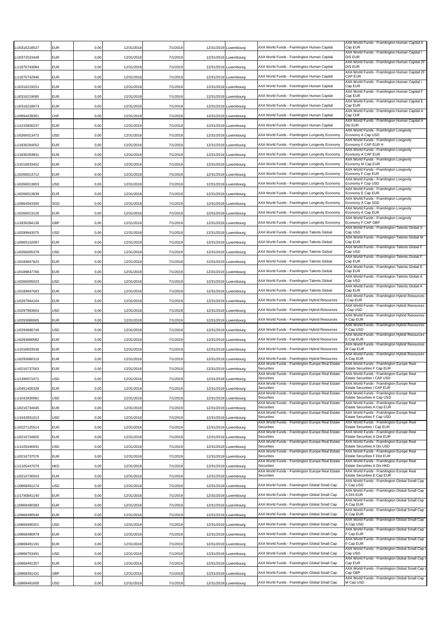| U0316218527          | EUR | 0,00 | 12/31/2018 | 7/1/2019 | 12/31/2019 Luxembourg | AXA World Funds - Framlington Human Capital                    | AXA World Funds - Framlington Human Capital A<br>Cap EUR                             |
|----------------------|-----|------|------------|----------|-----------------------|----------------------------------------------------------------|--------------------------------------------------------------------------------------|
| LU0372523448         | EUR | 0,00 | 12/31/2018 | 7/1/2019 | 12/31/2019 Luxembourg | AXA World Funds - Framlington Human Capital                    | AXA World Funds - Framlington Human Capital I<br><b>DIS EUR</b>                      |
| U1670743084          | EUR | 0,00 | 12/31/2018 | 7/1/2019 | 12/31/2019 Luxembourg | AXA World Funds - Framlington Human Capital                    | AXA World Funds - Framlington Human Capital ZF<br><b>DIS EUR</b>                     |
| U1670742946          | EUR | 0,00 | 12/31/2018 | 7/1/2019 | 12/31/2019 Luxembourg | AXA World Funds - Framlington Human Capital                    | AXA World Funds - Framlington Human Capital ZF<br>CAP EUR                            |
| U0316219251          | EUR | 0,00 | 12/31/2018 | 7/1/2019 | 12/31/2019 Luxembourg | AXA World Funds - Framlington Human Capital                    | AXA World Funds - Framlington Human Capital I<br>Cap EUR                             |
| U0316219095          | EUR | 0,00 | 12/31/2018 | 7/1/2019 | 12/31/2019 Luxembourg | AXA World Funds - Framlington Human Capital                    | AXA World Funds - Framlington Human Capital F<br>Cap EUR                             |
| U0316218873          | EUR | 0,00 | 12/31/2018 | 7/1/2019 | 12/31/2019 Luxembourg | AXA World Funds - Framlington Human Capital                    | AXA World Funds - Framlington Human Capital E<br>Cap EUR                             |
| LU0994439361         | CHF | 0,00 | 12/31/2018 | 7/1/2019 | 12/31/2019 Luxembourg | AXA World Funds - Framlington Human Capital                    | AXA World Funds - Framlington Human Capital A<br>Cap CHF                             |
| U1215836237          | EUR | 0,00 | 12/31/2018 | 7/1/2019 | 12/31/2019 Luxembourg | AXA World Funds - Framlington Human Capital                    | AXA World Funds - Framlington Human Capital A<br>Dis EUR                             |
| LU0266013472         | USD | 0,00 | 12/31/2018 | 7/1/2019 | 12/31/2019 Luxembourg | AXA World Funds - Framlington Longevity Economy                | AXA World Funds - Framlington Longevity<br>Economy A Cap USD                         |
| U1830284052          | EUR | 0,00 | 12/31/2018 | 7/1/2019 | 12/31/2019 Luxembourg | AXA World Funds - Framlington Longevity Economy                | AXA World Funds - Framlington Longevity<br>Economy F CAP EUR H                       |
| U1830283831          | EUR | 0,00 | 12/31/2018 | 7/1/2019 | 12/31/2019 Luxembourg | AXA World Funds - Framlington Longevity Economy                | AXA World Funds - Framlington Longevity<br>Economy A CAP EUR                         |
| LU1016633452         | EUR | 0,00 | 12/31/2018 | 7/1/2019 | 12/31/2019 Luxembourg | AXA World Funds - Framlington Longevity Economy                | AXA World Funds - Framlington Longevity<br>Economy M Cap EUR                         |
| LU0266013712         | EUR | 0,00 | 12/31/2018 | 7/1/2019 | 12/31/2019 Luxembourg | AXA World Funds - Framlington Longevity Economy                | AXA World Funds - Framlington Longevity<br>Economy F Cap EUR                         |
|                      |     |      |            |          |                       | AXA World Funds - Framlington Longevity Economy                | AXA World Funds - Framlington Longevity<br>Economy F Cap USD                         |
| LU0266013803         | USD | 0,00 | 12/31/2018 | 7/1/2019 | 12/31/2019 Luxembourg | AXA World Funds - Framlington Longevity Economy                | AXA World Funds - Framlington Longevity<br>Economy E Cap EUR                         |
| LU0266013639         | EUR | 0,00 | 12/31/2018 | 7/1/2019 | 12/31/2019 Luxembourg |                                                                | AXA World Funds - Framlington Longevity                                              |
| U0964943350          | SGD | 0,00 | 12/31/2018 | 7/1/2019 | 12/31/2019 Luxembourg | AXA World Funds - Framlington Longevity Economy                | Economy A Cap SGD<br>AXA World Funds - Framlington Longevity                         |
| U0266013126          | EUR | 0,00 | 12/31/2018 | 7/1/2019 | 12/31/2019 Luxembourg | AXA World Funds - Framlington Longevity Economy                | Economy A Cap EUR<br>AXA World Funds - Framlington Longevity                         |
| U1830284136          | GBP | 0,00 | 12/31/2018 | 7/1/2019 | 12/31/2019 Luxembourg | AXA World Funds - Framlington Longevity Economy                | Economy F CAP GBP<br>AXA World Funds - Framlington Talents Global S                  |
| U0299943075          | JSD | 0,00 | 12/31/2018 | 7/1/2019 | 12/31/2019 Luxembourg | AXA World Funds - Framlington Talents Global                   | Cap USD<br>AXA World Funds - Framlington Talents Global M                            |
| LU0965102097         | EUR | 0,00 | 12/31/2018 | 7/1/2019 | 12/31/2019 Luxembourg | AXA World Funds - Framlington Talents Global                   | Cap EUR<br>AXA World Funds - Framlington Talents Global F                            |
| LU0266005379         | USD | 0,00 | 12/31/2018 | 7/1/2019 | 12/31/2019 Luxembourg | AXA World Funds - Framlington Talents Global                   | Cap USD<br>AXA World Funds - Framlington Talents Global F                            |
| U0189847923          | EUR | 0,00 | 12/31/2018 | 7/1/2019 | 12/31/2019 Luxembourg | AXA World Funds - Framlington Talents Global                   | Cap EUR<br>AXA World Funds - Framlington Talents Global E                            |
| LU0189847766         | EUR | 0,00 | 12/31/2018 | 7/1/2019 | 12/31/2019 Luxembourg | AXA World Funds - Framlington Talents Global                   | Cap EUR<br>AXA World Funds - Framlington Talents Global A                            |
| LU0266005023         | USD | 0,00 | 12/31/2018 | 7/1/2019 | 12/31/2019 Luxembourg | AXA World Funds - Framlington Talents Global                   | Cap USD<br>AXA World Funds - Framlington Talents Global A                            |
| LU0189847683         | EUR | 0,00 | 12/31/2018 | 7/1/2019 | 12/31/2019 Luxembourg | AXA World Funds - Framlington Talents Global                   | Cap EUR<br>AXA World Funds - Framlington Hybrid Resources                            |
| LU0297964164         | EUR | 0,00 | 12/31/2018 | 7/1/2019 | 12/31/2019 Luxembourg | AXA World Funds - Framlington Hybrid Resources                 | l Cap EUR                                                                            |
| U0297963604          | USD | 0,00 | 12/31/2018 | 7/1/2019 | 12/31/2019 Luxembourg | AXA World Funds - Framlington Hybrid Resources                 | AXA World Funds - Framlington Hybrid Resources<br>l Cap USD                          |
| U0293680665          | EUR | 0,00 | 12/31/2018 | 7/1/2019 | 12/31/2019 Luxembourg | AXA World Funds - Framlington Hybrid Resources                 | AXA World Funds - Framlington Hybrid Resources<br>F Cap EUR                          |
| U0293680749          | USD | 0,00 | 12/31/2018 | 7/1/2019 | 12/31/2019 Luxembourg | AXA World Funds - Framlington Hybrid Resources                 | AXA World Funds - Framlington Hybrid Resources<br>F Cap USD                          |
| U0293680582          | EUR | 0,00 | 12/31/2018 | 7/1/2019 | 12/31/2019 Luxembourg | AXA World Funds - Framlington Hybrid Resources                 | AXA World Funds - Framlington Hybrid Resources<br>E Cap EUR                          |
| U1016633536 <u>.</u> | EUR | 0,00 | 12/31/2018 | 7/1/2019 | 12/31/2019 Luxembourg | AXA World Funds - Framlington Hybrid Resources                 | AXA World Funds - Framlington Hybrid Resources<br>M Cap EUR                          |
| LU0293680319         | EUR | 0,00 | 12/31/2018 | 7/1/2019 | 12/31/2019 Luxembourg | AXA World Funds - Framlington Hybrid Resources                 | AXA World Funds - Framlington Hybrid Resources<br>A Can FUR                          |
| U0216737063          | EUR | 0,00 | 12/31/2018 | 7/1/2019 | 12/31/2019 Luxembourg | AXA World Funds - Framlington Europe Real Estate<br>Securities | AXA World Funds - Framlington Europe Real<br><b>Estate Securities F Cap EUR</b>      |
| LU1390071071         | USD | 0,00 | 12/31/2018 | 7/1/2019 | 12/31/2019 Luxembourg | AXA World Funds - Framlington Europe Real Estate<br>Securities | AXA World Funds - Framlington Europe Real<br>Estate Securities I CAP USD             |
| LU0451400328         | EUR | 0,00 | 12/31/2018 | 7/1/2019 | 12/31/2019 Luxembourg | AXA World Funds - Framlington Europe Real Estate<br>Securities | AXA World Funds - Framlington Europe Real<br>Estate Securities I CAP EUR             |
| LU1042830981         | USD | 0,00 | 12/31/2018 | 7/1/2019 | 12/31/2019 Luxembourg | AXA World Funds - Framlington Europe Real Estate<br>Securities | AXA World Funds - Framlington Europe Real<br>Estate Securities A Cap USD             |
| LU0216734045         | EUR | 0,00 | 12/31/2018 | 7/1/2019 | 12/31/2019 Luxembourg | AXA World Funds - Framlington Europe Real Estate<br>Securities | AXA World Funds - Framlington Europe Real<br>Estate Securities A Cap EUR             |
| LU1042831013         | USD | 0,00 | 12/31/2018 | 7/1/2019 | 12/31/2019 Luxembourg | AXA World Funds - Framlington Europe Real Estate<br>Securities | AXA World Funds - Framlington Europe Real<br><b>Estate Securities F Cap USD</b>      |
| U0227125514          | EUR | 0,00 | 12/31/2018 | 7/1/2019 | 12/31/2019 Luxembourg | AXA World Funds - Framlington Europe Real Estate<br>Securities | AXA World Funds - Framlington Europe Real<br>Estate Securities I Cap EUR             |
| LU0216734805         | EUR | 0,00 | 12/31/2018 | 7/1/2019 | 12/31/2019 Luxembourg | AXA World Funds - Framlington Europe Real Estate<br>Securities | AXA World Funds - Framlington Europe Real<br>Estate Securities A Dist EUR            |
| LU1105446931         | USD | 0,00 | 12/31/2018 | 7/1/2019 | 12/31/2019 Luxembourg | AXA World Funds - Framlington Europe Real Estate<br>Securities | AXA World Funds - Framlington Europe Real<br>Estate Securities A Dis USD             |
|                      | EUR |      |            |          |                       | AXA World Funds - Framlington Europe Real Estate<br>Securities | AXA World Funds - Framlington Europe Real<br>Estate Securities F Dist EUR            |
| LU0216737576         | HKD | 0,00 | 12/31/2018 | 7/1/2019 | 12/31/2019 Luxembourg | AXA World Funds - Framlington Europe Real Estate<br>Securities | AXA World Funds - Framlington Europe Real<br>Estate Securities A Dis HKD             |
| LU1105447079         |     | 0,00 | 12/31/2018 | 7/1/2019 | 12/31/2019 Luxembourg | AXA World Funds - Framlington Europe Real Estate               | AXA World Funds - Framlington Europe Real                                            |
| LU0216736503         | EUR | 0,00 | 12/31/2018 | 7/1/2019 | 12/31/2019 Luxembourg | Securities                                                     | <b>Estate Securities E Cap EUR</b><br>AXA World Funds - Framlington Global Small Cap |
| LU0868491274         | USD | 0,00 | 12/31/2018 | 7/1/2019 | 12/31/2019 Luxembourg | AXA World Funds - Framlington Global Small Cap                 | F Cap USD<br>AXA World Funds - Framlington Global Small Cap                          |
| LU1740841140         | EUR | 0,00 | 12/31/2018 | 7/1/2019 | 12/31/2019 Luxembourg | AXA World Funds - Framlington Global Small Cap                 | A DIS EUR<br>AXA World Funds - Framlington Global Small Cap                          |
| U0868490383          | EUR | 0,00 | 12/31/2018 | 7/1/2019 | 12/31/2019 Luxembourg | AXA World Funds - Framlington Global Small Cap                 | A Cap EUR<br>AXA World Funds - Framlington Global Small Cap                          |
| LU0868490540         | EUR | 0,00 | 12/31/2018 | 7/1/2019 | 12/31/2019 Luxembourg | AXA World Funds - Framlington Global Small Cap                 | E Cap EUR<br>AXA World Funds - Framlington Global Small Cap                          |
| LU0868490201         | USD | 0,00 | 12/31/2018 | 7/1/2019 | 12/31/2019 Luxembourg | AXA World Funds - Framlington Global Small Cap                 | A Cap USD<br>AXA World Funds - Framlington Global Small Cap                          |
| LU0868490979         | EUR | 0,00 | 12/31/2018 | 7/1/2019 | 12/31/2019 Luxembourg | AXA World Funds - Framlington Global Small Cap                 | F Cap EUR<br>AXA World Funds - Framlington Global Small Cap                          |
| LU0868491191         | EUR | 0,00 | 12/31/2018 | 7/1/2019 | 12/31/2019 Luxembourg | AXA World Funds - Framlington Global Small Cap                 | F Cap EUR<br>AXA World Funds - Framlington Global Small Cap I                        |
| LU0868753491         | USD | 0,00 | 12/31/2018 | 7/1/2019 | 12/31/2019 Luxembourg | AXA World Funds - Framlington Global Small Cap                 | Cap USD<br>AXA World Funds - Framlington Global Small Cap I                          |
| U0868491357          | EUR | 0,00 | 12/31/2018 | 7/1/2019 | 12/31/2019 Luxembourg | AXA World Funds - Framlington Global Small Cap                 | Cap EUR<br>AXA World Funds - Framlington Global Small Cap I                          |
| LU0868491431         | GBP | 0,00 | 12/31/2018 | 7/1/2019 | 12/31/2019 Luxembourg | AXA World Funds - Framlington Global Small Cap                 | Cap GBP<br>AXA World Funds - Framlington Global Small Cap                            |
| LU0868491605         | USD | 0,00 | 12/31/2018 | 7/1/2019 | 12/31/2019 Luxembourg | AXA World Funds - Framlington Global Small Cap                 | M Cap USD                                                                            |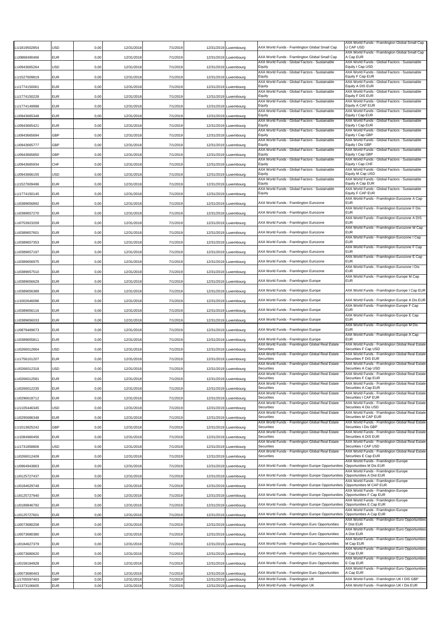| U1819502854          | JSD        | 0,00         | 12/31/2018               | 7/1/2019             |            | 12/31/2019 Luxembourg               | AXA World Funds - Framlington Global Small Cap                       | AXA World Funds - Framlington Global Small Cap<br>U CAP USD                                  |
|----------------------|------------|--------------|--------------------------|----------------------|------------|-------------------------------------|----------------------------------------------------------------------|----------------------------------------------------------------------------------------------|
| U0868490466          | EUR        | 0,00         | 12/31/2018               | 7/1/2019             |            | 12/31/2019 Luxembourg               | AXA World Funds - Framlington Global Small Cap                       | AXA World Funds - Framlington Global Small Cap<br>A Cap EUR                                  |
| LU0943665264         | USD        | 0,00         | 12/31/2018               | 7/1/2019             |            | 12/31/2019 Luxembourg               | AXA World Funds - Global Factors - Sustainable<br>Equity             | AXA World Funds - Global Factors - Sustainable<br>Equity I Cap USD                           |
| U1527609819          | EUR        | 0,00         | 12/31/2018               | 7/1/2019             |            | 12/31/2019 Luxembourg               | AXA World Funds - Global Factors - Sustainable<br>Eauity             | AXA World Funds - Global Factors - Sustainable<br>Equity F Cap EUR                           |
| U1774150061          | EUR        | 0,00         | 12/31/2018               | 7/1/2019             |            | 12/31/2019 Luxembourg               | AXA World Funds - Global Factors - Sustainable<br>Equity             | AXA World Funds - Global Factors - Sustainable<br>Equity A DIS EUR                           |
| U1774150228          | EUR        | 0,00         | 12/31/2018               | 7/1/2019             |            | 12/31/2019 Luxembourg               | AXA World Funds - Global Factors - Sustainable<br>Equity             | AXA World Funds - Global Factors - Sustainable<br>Equity F DIS EUR                           |
| U1774149998 <u>.</u> | EUR        | 0,00         | 12/31/2018               | 7/1/2019             |            | 12/31/2019 Luxembourg               | AXA World Funds - Global Factors - Sustainable<br>Eauity             | AXA World Funds - Global Factors - Sustainable<br>Equity A CAP EUR                           |
| LU0943665348         | EUR        | 0,00         | 12/31/2018               | 7/1/2019             |            | 12/31/2019 Luxembourg               | AXA World Funds - Global Factors - Sustainable<br>Equity             | AXA World Funds - Global Factors - Sustainable<br>Equity I Cap EUR                           |
| LU0943665421         | EUR        | 0,00         | 12/31/2018               | 7/1/2019             |            | 12/31/2019 Luxembourg               | AXA World Funds - Global Factors - Sustainable<br>Equity             | AXA World Funds - Global Factors - Sustainable<br>Equity I Cap EUR                           |
| LU0943665694         | GBP        | 0,00         | 12/31/2018               | 7/1/2019             |            | 12/31/2019 Luxembourg               | AXA World Funds - Global Factors - Sustainable<br>Equity             | AXA World Funds - Global Factors - Sustainable<br>Equity I Cap GBP                           |
| LU0943665777         | GBP        | 0,00         | 12/31/2018               | 7/1/2019             |            | 12/31/2019 Luxembourg               | AXA World Funds - Global Factors - Sustainable<br>Equity             | AXA World Funds - Global Factors - Sustainable<br>Equity I Dis GBP                           |
| U0943665850          | GBP        | 0,00         | 12/31/2018               | 7/1/2019             |            | 12/31/2019 Luxembourg               | AXA World Funds - Global Factors - Sustainable<br>Equity             | AXA World Funds - Global Factors - Sustainable<br>Equity I Cap GBP                           |
| LU0943665934         | CHF        | 0,00         | 12/31/2018               | 7/1/2019             |            | 12/31/2019 Luxembourg               | AXA World Funds - Global Factors - Sustainable<br>Equity             | AXA World Funds - Global Factors - Sustainable<br>Equity I Cap CHF                           |
| LU0943666155         | USD        | 0,00         | 12/31/2018               | 7/1/2019             |            | 12/31/2019 Luxembourg               | AXA World Funds - Global Factors - Sustainable<br>Equity             | AXA World Funds - Global Factors - Sustainable<br>Equity M Cap USD                           |
|                      |            |              |                          |                      |            |                                     | AXA World Funds - Global Factors - Sustainable<br>Equity             | AXA World Funds - Global Factors - Sustainable<br>Equity A Cap EUR                           |
| U1527609496          | EUR        | 0,00         | 12/31/2018               | 7/1/2019             |            | 12/31/2019 Luxembourg               | AXA World Funds - Global Factors - Sustainable<br>Equity             | AXA World Funds - Global Factors - Sustainable<br>Equity F CAP EUR                           |
| LU1774150145         | EUR        | 0,00         | 12/31/2018               | 7/1/2019             |            | 12/31/2019 Luxembourg               |                                                                      | AXA World Funds - Framlington Eurozone A Cap                                                 |
| U0389656892          | EUR        | 0,00         | 12/31/2018               | 7/1/2019             |            | 12/31/2019 Luxembourg               | AXA World Funds - Framlington Eurozone                               | <b>EUR</b><br>AXA World Funds - Framlington Eurozone F Dis                                   |
| LU0389657270         | EUR        | 0,00         | 12/31/2018               | 7/1/2019             |            | 12/31/2019 Luxembourg               | AXA World Funds - Framlington Eurozone                               | <b>EUR</b><br>AXA World Funds - Framlington Eurozone A DIS                                   |
| LU0753923209         | EUR        | 0,00         | 12/31/2018               | 7/1/2019             |            | 12/31/2019 Luxembourg               | AXA World Funds - Framlington Eurozone                               | <b>EUR</b><br>AXA World Funds - Framlington Eurozone M Cap                                   |
| LU0389657601         | EUR        | 0,00         | 12/31/2018               | 7/1/2019             |            | 12/31/2019 Luxembourg               | AXA World Funds - Framlington Eurozone                               | <b>EUR</b><br>AXA World Funds - Framlington Eurozone I Cap                                   |
| LU0389657353         | EUR        | 0,00         | 12/31/2018               | 7/1/2019             |            | 12/31/2019 Luxembourg               | AXA World Funds - Framlington Eurozone                               | <b>EUR</b><br>AXA World Funds - Framlington Eurozone F Cap                                   |
| LU0389657197         | <b>EUR</b> | 0,00         | 12/31/2018               | 7/1/2019             |            | 12/31/2019 Luxembourg               | AXA World Funds - Framlington Eurozone                               | EUR<br>AXA World Funds - Framlington Eurozone E Cap                                          |
| U0389656975          | EUR        | 0,00         | 12/31/2018               | 7/1/2019             |            | 12/31/2019 Luxembourg               | AXA World Funds - Framlington Eurozone                               | <b>EUR</b><br>AXA World Funds - Framlington Eurozone I Dis                                   |
| LU0389657510         | EUR        | 0,00         | 12/31/2018               | 7/1/2019             |            | 12/31/2019 Luxembourg               | AXA World Funds - Framlington Eurozone                               | <b>EUR</b><br>AXA World Funds - Framlington Europe M Cap                                     |
| LU0389656629         | EUR        | 0,00         | 12/31/2018               | 7/1/2019             |            | 12/31/2019 Luxembourg               | AXA World Funds - Framlington Europe                                 | EUR                                                                                          |
| LU0389656389         | EUR        | 0,00         | 12/31/2018               | 7/1/2019             |            | 12/31/2019 Luxembourg               | AXA World Funds - Framlington Europe                                 | AXA World Funds - Framlington Europe I Cap EUR                                               |
| LU1002646096         | EUR        | 0,00         | 12/31/2018               | 7/1/2019             |            | 12/31/2019 Luxembourg               | AXA World Funds - Framlington Europe                                 | AXA World Funds - Framlington Europe A Dis EUR<br>AXA World Funds - Framlington Europe F Cap |
| LU0389656116         | EUR        | 0,00         | 12/31/2018               | 7/1/2019             |            | 12/31/2019 Luxembourg               | AXA World Funds - Framlington Europe                                 | <b>EUR</b>                                                                                   |
| U0389656033          | EUR        | 0,00         | 12/31/2018               | 7/1/2019             |            | 12/31/2019 Luxembourg               | AXA World Funds - Framlington Europe                                 | AXA World Funds - Framlington Europe E Cap<br><b>EUR</b>                                     |
| U0879469673          | EUR        | 0,00         | 12/31/2018               | 7/1/2019             |            | 12/31/2019 Luxembourg               | AXA World Funds - Framlington Europe                                 | AXA World Funds - Framlington Europe M Dis<br>EUR                                            |
| U0389655811          | EUR        | 0,00         | 12/31/2018               | 7/1/2019             |            | 12/31/2019 Luxembourg               | AXA World Funds - Framlington Europe                                 | AXA World Funds - Framlington Europe A Cap<br><b>EUR</b>                                     |
| LU0266012664         | USD        | 0,00         | 12/31/2018               | 7/1/2019             |            | 12/31/2019 Luxembourg               | AXA World Funds - Framlington Global Real Estate<br>Securities       | AXA World Funds - Framlington Global Real Estate<br>Securities F Cap USD                     |
| U1756101207          | EUR        | 0,00         | 12/31/2018               | 7/1/2019             |            | 12/31/2019 Luxembourg               | AXA World Funds - Framlington Global Real Estate<br>Securities       | AXA World Funds - Framlington Global Real Estate<br>Securities F DIS EUR                     |
| LU0266012318         | USD        | 0,00         | 12/31/2018               | 7/1/2019             |            | 12/31/2019 Luxembourg               | AXA World Funds - Framlington Global Real Estate<br>Securities       | AXA World Funds - Framlington Global Real Estate<br>Securities A Cap USD                     |
| LU0266012581         | EUR        | 0,00         | 12/31/2018               | 7/1/2019             |            | 12/31/2019 Luxembourg               | AXA World Funds - Framlington Global Real Estate<br>Securities       | AXA World Funds - Framlington Global Real Estate<br>Securities F Cap EUR                     |
| LU0266012235         | EUR        | 0,00         | 12/31/2018               | 7/1/2019             |            | 12/31/2019 Luxembourg               | AXA World Funds - Framlington Global Real Estate<br>Securities       | AXA World Funds - Framlington Global Real Estate<br>Securities A Cap EUR                     |
| LU0296618712         | EUR        | 0,00         | 12/31/2018               | 7/1/2019             |            | 12/31/2019 Luxembourg               | AXA World Funds - Framlington Global Real Estate<br>Securities       | AXA World Funds - Framlington Global Real Estate<br>Securities I CAP EUR                     |
| LU1105446345         | USD        | 0,00         | 12/31/2018               | 7/1/2019             |            | 12/31/2019 Luxembourg               | AXA World Funds - Framlington Global Real Estate<br>Securities       | AXA World Funds - Framlington Global Real Estate<br>Securities A Dis USD                     |
| LU0295686348         | EUR        | 0,00         | 12/31/2018               | 7/1/2019             |            | 12/31/2019 Luxembourg               | AXA World Funds - Framlington Global Real Estate<br>Securities       | AXA World Funds - Framlington Global Real Estate<br>Securities M CAP EUR                     |
| LU1013825242         | GBP        | 0,00         | 12/31/2018               | 7/1/2019             |            | 12/31/2019 Luxembourg               | AXA World Funds - Framlington Global Real Estate<br>Securities       | AXA World Funds - Framlington Global Real Estate<br>Securities I Dis GBP                     |
| LU1084960456         | EUR        | 0,00         | 12/31/2018               | 7/1/2019             |            | 12/31/2019 Luxembourg               | AXA World Funds - Framlington Global Real Estate<br>Securities       | AXA World Funds - Framlington Global Real Estate<br>Securities A DIS EUR                     |
| U1731858806          | USD        | 0,00         | 12/31/2018               | 7/1/2019             |            | 12/31/2019 Luxembourg               | AXA World Funds - Framlington Global Real Estate<br>Securities       | AXA World Funds - Framlington Global Real Estate<br>Securities I CAP USD                     |
|                      |            |              |                          |                      |            |                                     | AXA World Funds - Framlington Global Real Estate<br>Securities       | AXA World Funds - Framlington Global Real Estate<br>Securities E Cap EUR                     |
| LU0266012409         | EUR        | 0,00         | 12/31/2018               | 7/1/2019             |            | 12/31/2019 Luxembourg               |                                                                      | AXA World Funds - Framlington Europe                                                         |
| LU0964943863         | EUR        | 0,00         | 12/31/2018               | 7/1/2019             |            | 12/31/2019 Luxembourg               | AXA World Funds - Framlington Europe Opportunities                   | Opportunities M Dis EUR<br>AXA World Funds - Framlington Europe                              |
| LU0125727437         | EUR        | 0,00         | 12/31/2018               | 7/1/2019             |            | 12/31/2019 Luxembourg               | AXA World Funds - Framlington Europe Opportunities                   | Opportunities A Dist EUR<br>AXA World Funds - Framlington Europe                             |
| LU0184629748         | EUR        | 0,00         | 12/31/2018               | 7/1/2019             |            | 12/31/2019 Luxembourg               | AXA World Funds - Framlington Europe Opportunities                   | Opportunities M CAP EUR<br>AXA World Funds - Framlington Europe                              |
| LU0125727940         | EUR        | 0,00         | 12/31/2018               | 7/1/2019             |            | 12/31/2019 Luxembourg               | AXA World Funds - Framlington Europe Opportunities                   | Opportunities F Cap EUR<br>AXA World Funds - Framlington Europe                              |
| LU0189846792         | EUR        | 0,00         | 12/31/2018               | 7/1/2019             |            | 12/31/2019 Luxembourg               | AXA World Funds - Framlington Europe Opportunities                   | Opportunities E Cap EUR<br>AXA World Funds - Framlington Europe                              |
| LU0125727601         | EUR        | 0,00         | 12/31/2018               | 7/1/2019             |            | 12/31/2019 Luxembourg               | AXA World Funds - Framlington Europe Opportunities                   | Opportunities A Cap EUR<br>AXA World Funds - Framlington Euro Opportunities                  |
| LU0073680208         | EUR        | 0,00         | 12/31/2018               | 7/1/2019             |            | 12/31/2019 Luxembourg               | AXA World Funds - Framlington Euro Opportunities                     | F Dist EUR<br>AXA World Funds - Framlington Euro Opportunities                               |
| LU0073680380         | EUR        | 0,00         | 12/31/2018               | 7/1/2019             |            | 12/31/2019 Luxembourg               | AXA World Funds - Framlington Euro Opportunities                     | A Dist EUR<br>AXA World Funds - Framlington Euro Opportunities                               |
| LU0184627379         | EUR        | 0,00         | 12/31/2018               | 7/1/2019             |            | 12/31/2019 Luxembourg               | AXA World Funds - Framlington Euro Opportunities                     | M Cap EUR<br>AXA World Funds - Framlington Euro Opportunities                                |
| LU0073680620         | EUR        | 0,00         | 12/31/2018               | 7/1/2019             |            | 12/31/2019 Luxembourg               | AXA World Funds - Framlington Euro Opportunities                     | F Cap EUR<br>AXA World Funds - Framlington Euro Opportunities                                |
| LU0158184928         | EUR        | 0,00         | 12/31/2018               | 7/1/2019             |            | 12/31/2019 Luxembourg               | AXA World Funds - Framlington Euro Opportunities                     | E Cap EUR<br>AXA World Funds - Framlington Euro Opportunities                                |
| U0073680463          | EUR        | 0,00         | 12/31/2018               | 7/1/2019             |            | 12/31/2019 Luxembourg               | AXA World Funds - Framlington Euro Opportunities                     | A Cap EUR                                                                                    |
| LU1705597463         | GBP<br>EUR | 0,00<br>0,00 | 12/31/2018<br>12/31/2018 | 7/1/2019<br>7/1/2019 | 12/31/2019 | 12/31/2019 Luxembourg<br>Luxembourg | AXA World Funds - Framlington UK<br>AXA World Funds - Framlington UK | AXA World Funds - Framlington UK I DIS GBP<br>AXA World Funds - Framlington UK I Dis EUR     |
| LU1373106605         |            |              |                          |                      |            |                                     |                                                                      |                                                                                              |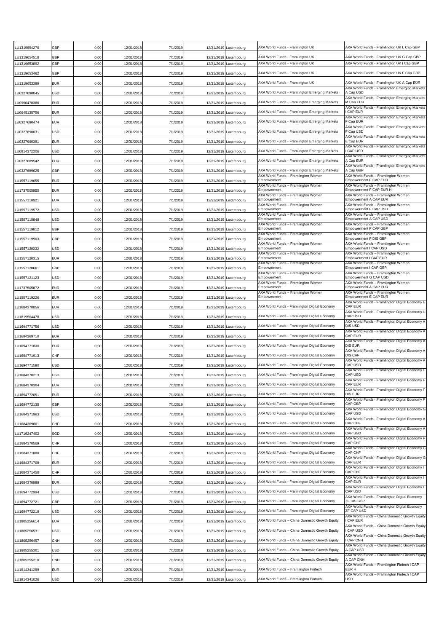| U1319654270                  | GBP        | 0,00         | 12/31/2018               | 7/1/2019             | 12/31/2019 Luxembourg                          | AXA World Funds - Framlington UK                                     | AXA World Funds - Framlington UK L Cap GBP                                                                    |
|------------------------------|------------|--------------|--------------------------|----------------------|------------------------------------------------|----------------------------------------------------------------------|---------------------------------------------------------------------------------------------------------------|
| U1319654510 <b>.</b>         | GBP        | 0,00         | 12/31/2018               | 7/1/2019             | 12/31/2019 Luxembourg                          | AXA World Funds - Framlington UK                                     | AXA World Funds - Framlington UK G Cap GBP                                                                    |
| LU1319653892                 | GBP        | 0,00         | 12/31/2018               | 7/1/2019             | 12/31/2019 Luxembourg                          | AXA World Funds - Framlington UK<br>AXA World Funds - Framlington UK | AXA World Funds - Framlington UK I Cap GBP                                                                    |
| U1319653462                  | GBP        | 0,00         | 12/31/2018               | 7/1/2019             | 12/31/2019 Luxembourg                          | AXA World Funds - Framlington UK                                     | AXA World Funds - Framlington UK F Cap GBP<br>AXA World Funds - Framlington UK A Cap EUR                      |
| LU1319653389<br>LU0327690045 | EUR<br>USD | 0,00<br>0,00 | 12/31/2018<br>12/31/2018 | 7/1/2019<br>7/1/2019 | 12/31/2019 Luxembourg<br>12/31/2019 Luxembourg | AXA World Funds - Framlington Emerging Markets                       | AXA World Funds - Framlington Emerging Markets<br>A Cap USD                                                   |
| LU0990470386                 | EUR        | 0,00         | 12/31/2018               | 7/1/2019             | 12/31/2019 Luxembourg                          | AXA World Funds - Framlington Emerging Markets                       | AXA World Funds - Framlington Emerging Markets<br>M Cap EUR                                                   |
| LU0645135756                 | EUR        | 0,00         | 12/31/2018               | 7/1/2019             | 12/31/2019 Luxembourg                          | AXA World Funds - Framlington Emerging Markets                       | AXA World Funds - Framlington Emerging Markets<br>I CAP EUR                                                   |
| LU0327690474                 | EUR        | 0,00         | 12/31/2018               | 7/1/2019             | 12/31/2019 Luxembourg                          | AXA World Funds - Framlington Emerging Markets                       | AXA World Funds - Framlington Emerging Markets<br>F Cap EUR                                                   |
| U0327690631                  | USD        | 0,00         | 12/31/2018               | 7/1/2019             | 12/31/2019 Luxembourg                          | AXA World Funds - Framlington Emerging Markets                       | AXA World Funds - Framlington Emerging Markets<br>F Cap USD                                                   |
| U0327690391                  | EUR        | 0,00         | 12/31/2018               | 7/1/2019             | 12/31/2019 Luxembourg                          | AXA World Funds - Framlington Emerging Markets                       | AXA World Funds - Framlington Emerging Markets<br>E Cap EUR                                                   |
| U0814372206                  | USD        | 0,00         | 12/31/2018               | 7/1/2019             | 12/31/2019 Luxembourg                          | AXA World Funds - Framlington Emerging Markets                       | AXA World Funds - Framlington Emerging Markets<br>I CAP USD                                                   |
| LU0327689542                 | EUR        | 0,00         | 12/31/2018               | 7/1/2019             | 12/31/2019 Luxembourg                          | AXA World Funds - Framlington Emerging Markets                       | AXA World Funds - Framlington Emerging Markets<br>A Cap EUR                                                   |
| LU0327689625                 | GBP        | 0,00         | 12/31/2018               | 7/1/2019             | 12/31/2019 Luxembourg                          | AXA World Funds - Framlington Emerging Markets                       | AXA World Funds - Framlington Emerging Markets<br>A Cap GBP                                                   |
| U1557119655                  | EUR        | 0,00         | 12/31/2018               | 7/1/2019             | 12/31/2019 Luxembourg                          | AXA World Funds – Framlington Women<br>Empowerment                   | AXA World Funds - Framlington Women<br>Empowerment F CAP EUR                                                  |
| LU1737505955                 | EUR        | 0,00         | 12/31/2018               | 7/1/2019             | 12/31/2019 Luxembourg                          | AXA World Funds - Framlington Women<br>Empowerment                   | AXA World Funds - Framlington Women<br>Empowerment F CAP EUR H                                                |
| U1557118921                  | EUR        | 0,00         | 12/31/2018               | 7/1/2019             | 12/31/2019 Luxembourg                          | AXA World Funds – Framlington Women<br>Empowerment                   | AXA World Funds - Framlington Women<br>Empowerment A CAP EUR                                                  |
| LU1557119572                 | USD        | 0,00         | 12/31/2018               | 7/1/2019             | 12/31/2019 Luxembourg                          | AXA World Funds - Framlington Women<br>Empowerment                   | AXA World Funds - Framlington Women<br>Empowerment F CAP USD                                                  |
| LU1557118848                 | USD        | 0,00         | 12/31/2018               | 7/1/2019             | 12/31/2019 Luxembourg                          | AXA World Funds - Framlington Women<br>Empowerment                   | AXA World Funds - Framlington Women<br>Empowerment A CAP USD                                                  |
| LU1557119812                 | GBP        | 0,00         | 12/31/2018               | 7/1/2019             | 12/31/2019 Luxembourg                          | AXA World Funds - Framlington Women<br>Empowerment                   | AXA World Funds – Framlington Women<br>Empowerment F CAP GBP                                                  |
| LU1557119903                 | GBP        | 0,00         | 12/31/2018               | 7/1/2019             | 12/31/2019 Luxembourg                          | AXA World Funds - Framlington Women<br>Empowerment                   | AXA World Funds - Framlington Women<br>Empowerment F DIS GBP                                                  |
| LU1557120232                 | USD        | 0,00         | 12/31/2018               | 7/1/2019             | 12/31/2019 Luxembourg                          | AXA World Funds - Framlington Women<br>Empowerment                   | AXA World Funds - Framlington Women<br>Empowerment I CAP USD                                                  |
| U1557120315                  | EUR        | 0,00         | 12/31/2018               | 7/1/2019             | 12/31/2019 Luxembourg                          | AXA World Funds - Framlington Women<br>Empowerment                   | AXA World Funds – Framlington Women<br>Empowerment I CAP EUR                                                  |
| U1557120661                  | GBP        | 0,00         | 12/31/2018               | 7/1/2019             | 12/31/2019 Luxembourg                          | AXA World Funds - Framlington Women<br>Empowerment                   | AXA World Funds - Framlington Women<br>Empowerment I CAP GBP                                                  |
| LU1557121123                 | USD        | 0,00         | 12/31/2018               | 7/1/2019             | 12/31/2019 Luxembourg                          | AXA World Funds - Framlington Women<br>Empowerment                   | AXA World Funds - Framlington Women<br>Empowerment G CAP USD                                                  |
| LU1737505872                 | EUR        | 0,00         | 12/31/2018               | 7/1/2019             | 12/31/2019 Luxembourg                          | AXA World Funds - Framlington Women<br>Empowerment                   | AXA World Funds – Framlington Women<br>Empowerment A CAP EUR                                                  |
| LU1557119226                 | EUR        | 0,00         | 12/31/2018               | 7/1/2019             | 12/31/2019 Luxembourg                          | AXA World Funds - Framlington Women<br>Empowerment                   | AXA World Funds - Framlington Women<br>Empowerment E CAP EUR                                                  |
| LU1684370056                 | EUR        | 0,00         | 12/31/2018               | 7/1/2019             | 12/31/2019 Luxembourg                          | AXA World Funds - Framlington Digital Economy                        | AXA World Funds - Framlington Digital Economy E<br>CAP EUR                                                    |
| U1819504470                  | USD        | 0,00         | 12/31/2018               | 7/1/2019             | 12/31/2019 Luxembourg                          | AXA World Funds - Framlington Digital Economy                        | AXA World Funds - Framlington Digital Economy U<br>CAP USD                                                    |
| LU1694771756                 | USD        | 0,00         | 12/31/2018               | 7/1/2019             | 12/31/2019 Luxembourg                          | AXA World Funds - Framlington Digital Economy                        | AXA World Funds - Framlington Digital Economy A<br>DIS USD                                                    |
| LU1684369710                 | EUR        | 0,00         | 12/31/2018               | 7/1/2019             | 12/31/2019 Luxembourg                          | AXA World Funds - Framlington Digital Economy                        | AXA World Funds - Framlington Digital Economy A<br>CAP FUR                                                    |
| U1694771830                  | EUR        | 0,00         | 12/31/2018               | 7/1/2019             | 12/31/2019 Luxembourg                          | AXA World Funds - Framlington Digital Economy                        | AXA World Funds - Framlington Digital Economy A<br>DIS EUR                                                    |
| LU1694771913                 | CHF        | 0,00         | 12/31/2018               | 7/1/2019             | 12/31/2019 Luxembourg                          | AXA World Funds - Framlington Digital Economy                        | AXA World Funds - Framlington Digital Economy A<br>DIS CHF                                                    |
| LU1694771590                 | USD        | 0,00         | 12/31/2018               | 7/1/2019             | 12/31/2019 Luxembourg                          | AXA World Funds - Framlington Digital Economy                        | AXA World Funds - Framlington Digital Economy A<br>CAP USD                                                    |
| LU1684370213                 | USD        | 0,00         | 12/31/2018               | 7/1/2019             | 12/31/2019 Luxembourg                          | AXA World Funds - Framlington Digital Economy                        | AXA World Funds - Framlington Digital Economy F<br>CAP USD                                                    |
| U1684370304                  | EUR        | 0,00         | 12/31/2018               | 7/1/2019             | 12/31/2019 Luxembourg                          | AXA World Funds - Framlington Digital Economy                        | AXA World Funds - Framlington Digital Economy F<br><b>CAP EUR</b>                                             |
| LU1694772051                 | EUR        | 0,00         | 12/31/2018               | 7/1/2019             | 12/31/2019 Luxembourg                          | AXA World Funds - Framlington Digital Economy                        | AXA World Funds - Framlington Digital Economy F<br>DIS EUR                                                    |
| LU1694772135                 | GBP        | 0,00         | 12/31/2018               | 7/1/2019             | 12/31/2019 Luxembourg                          | AXA World Funds - Framlington Digital Economy                        | AXA World Funds - Framlington Digital Economy F<br>CAP GBP                                                    |
| LU1684371963                 | USD        | 0,00         | 12/31/2018               | 7/1/2019             | 12/31/2019 Luxembourg                          | AXA World Funds - Framlington Digital Economy                        | AXA World Funds - Framlington Digital Economy G<br>CAP USD<br>AXA World Funds - Framlington Digital Economy A |
| U1684369801                  | CHF        | 0,00         | 12/31/2018               | 7/1/2019             | 12/31/2019 Luxembourg                          | AXA World Funds - Framlington Digital Economy                        | CAP CHF<br>AXA World Funds - Framlington Digital Economy A                                                    |
| LU1719247402                 | SGD        | 0,00         | 12/31/2018               | 7/1/2019             | 12/31/2019 Luxembourg                          | AXA World Funds - Framlington Digital Economy                        | CAP SGD<br>AXA World Funds - Framlington Digital Economy F                                                    |
| U1684370569                  | CHF        | 0,00         | 12/31/2018               | 7/1/2019             | 12/31/2019 Luxembourg                          | AXA World Funds - Framlington Digital Economy                        | CAP CHF<br>AXA World Funds - Framlington Digital Economy G                                                    |
| U1684371880                  | CHF        | 0,00         | 12/31/2018               | 7/1/2019             | 12/31/2019 Luxembourg                          | AXA World Funds - Framlington Digital Economy                        | CAP CHF<br>AXA World Funds - Framlington Digital Economy G                                                    |
| LU1684371708                 | EUR        | 0,00         | 12/31/2018               | 7/1/2019             | 12/31/2019 Luxembourg                          | AXA World Funds - Framlington Digital Economy                        | <b>CAP EUR</b><br>AXA World Funds - Framlington Digital Economy I                                             |
| LU1684371450                 | CHF        | 0,00         | 12/31/2018               | 7/1/2019             | 12/31/2019 Luxembourg                          | AXA World Funds - Framlington Digital Economy                        | <b>CAP CHF</b><br>AXA World Funds - Framlington Digital Economy I                                             |
| U1684370999                  | EUR        | 0,00         | 12/31/2018               | 7/1/2019             | 12/31/2019 Luxembourg                          | AXA World Funds - Framlington Digital Economy                        | CAP EUR<br>AXA World Funds - Framlington Digital Economy I                                                    |
| LU1694772994                 | USD        | 0,00         | 12/31/2018               | 7/1/2019             | 12/31/2019 Luxembourg                          | AXA World Funds - Framlington Digital Economy                        | CAP USD<br>AXA World Funds - Framlington Digital Economy                                                      |
| LU1694772721                 | GBP        | 0,00         | 12/31/2018               | 7/1/2019             | 12/31/2019 Luxembourg                          | AXA World Funds - Framlington Digital Economy                        | ZF DIS GBP<br>AXA World Funds - Framlington Digital Economy                                                   |
| U1694772218                  | USD        | 0,00         | 12/31/2018               | 7/1/2019             | 12/31/2019 Luxembourg                          | AXA World Funds - Framlington Digital Economy                        | ZF CAP USD<br>AXA World Funds - China Domestic Growth Equity                                                  |
| LU1805256614                 | EUR        | 0,00         | 12/31/2018               | 7/1/2019             | 12/31/2019 Luxembourg                          | AXA World Funds - China Domestic Growth Equity                       | I CAP EUR<br>AXA World Funds – China Domestic Growth Equity                                                   |
| LU1805256531                 | USD        | 0,00         | 12/31/2018               | 7/1/2019             | 12/31/2019 Luxembourg                          | AXA World Funds – China Domestic Growth Equity                       | I CAP USD<br>AXA World Funds - China Domestic Growth Equity                                                   |
| LU1805256457                 | CNH        | 0,00         | 12/31/2018               | 7/1/2019             | 12/31/2019 Luxembourg                          | AXA World Funds - China Domestic Growth Equity                       | <b>CAP CNH</b><br>AXA World Funds - China Domestic Growth Equity                                              |
| LU1805255301                 | USD        | 0,00         | 12/31/2018               | 7/1/2019             | 12/31/2019 Luxembourg                          | AXA World Funds - China Domestic Growth Equity                       | A CAP USD<br>AXA World Funds - China Domestic Growth Equity                                                   |
| U1805255210                  | CNH        | 0,00         | 12/31/2018               | 7/1/2019             | 12/31/2019 Luxembourg                          | AXA World Funds – China Domestic Growth Equity                       | A CAP CNH<br>AXA World Funds - Framlington Fintech I CAP                                                      |
| U1914341299                  | EUR        | 0,00         | 12/31/2018               | 7/1/2019             | 12/31/2019 Luxembourg                          | AXA World Funds - Framlington Fintech                                | EUR H<br>AXA World Funds - Framlington Fintech I CAP                                                          |
| LU1914341026                 | USD        | 0,00         | 12/31/2018               | 7/1/2019             | 12/31/2019 Luxembourg                          | AXA World Funds - Framlington Fintech                                | <b>USD</b>                                                                                                    |